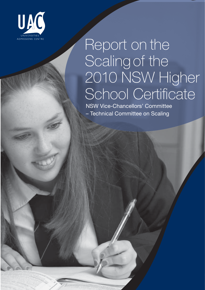

# Report on the<br>Scaling of the 2010 NSW Higher School Certificate

NSW Vice-Chancellors' Committee NSW VICE-CHANCELLO COMMANDE – Technical Committee on Scaling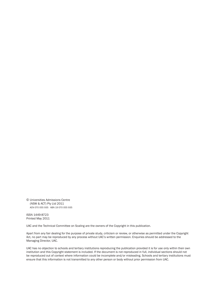© Universities Admissions Centre (NSW & ACT) Pty Ltd 2011 ACN 070 055 935 ABN 19 070 055 935

ISSN 1449-8723 Printed May 2011

UAC and the Technical Committee on Scaling are the owners of the Copyright in this publication.

Apart from any fair dealing for the purpose of private study, criticism or review, or otherwise as permitted under the Copyright Act, no part may be reproduced by any process without UAC's written permission. Enquiries should be addressed to the Managing Director, UAC.

UAC has no objection to schools and tertiary institutions reproducing the publication provided it is for use only within their own institution and this Copyright statement is included. If the document is not reproduced in full, individual sections should not be reproduced out of context where information could be incomplete and/or misleading. Schools and tertiary institutions must ensure that this information is not transmitted to any other person or body without prior permission from UAC.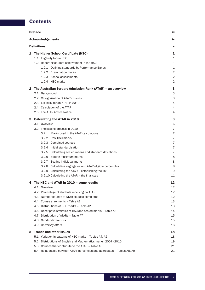# **Contents**

| <b>Acknowledgements</b><br><b>Definitions</b><br>v<br>1 The Higher School Certificate (HSC)<br>1.1 Eligibility for an HSC<br>1.2 Reporting student achievement in the HSC<br>1.2.1 Defining standards by Performance Bands<br>1.2.2 Examination marks<br>1.2.3 School assessments<br>1.2.4 HSC marks<br>The Australian Tertiary Admission Rank (ATAR) - an overview<br>2<br>2.1 Background<br>3<br>2.2 Categorisation of ATAR courses<br>2.3 Eligibility for an ATAR in 2010<br>2.4 Calculation of the ATAR<br>2.5 The ATAR Advice Notice<br>4<br>3 Calculating the ATAR in 2010<br>6<br>3.1 Overview<br>3.2 The scaling process in 2010<br>3.2.1 Marks used in the ATAR calculations<br>3.2.2 Raw HSC marks<br>7<br>3.2.3 Combined courses<br>3.2.4 Initial standardisation<br>3.2.5 Calculating scaled means and standard deviations<br>8<br>3.2.6 Setting maximum marks<br>3.2.7 Scaling individual marks<br>8<br>3.2.8 Calculating aggregates and ATAR-eligible percentiles<br>8<br>3.2.9 Calculating the ATAR - establishing the link<br>9<br>3.2.10 Calculating the ATAR - the final step<br>The HSC and ATAR in 2010 - some results<br>12<br>4<br>4.1 Overview<br>4.2 Percentage of students receiving an ATAR<br>4.3 Number of units of ATAR courses completed<br>4.4<br>Course enrolments - Table A1<br>4.5 Distributions of HSC marks - Table A2<br>4.6 Descriptive statistics of HSC and scaled marks - Table A3<br>4.7<br>Distribution of ATARs - Table A7<br>4.8 Gender differences<br>4.9 University offers<br><b>Trends and other issues</b><br>5.<br>5.1 Variation in patterns of HSC marks - Tables A4, A5<br>19<br>5.2 Distributions of English and Mathematics marks: 2007-2010<br>5.3 Courses that contribute to the ATAR - Table A6<br>5.4 Relationship between ATAR, percentiles and aggregates - Tables A8, A9<br>21 | <b>Preface</b> | iii                                                                     |  |  |  |  |
|---------------------------------------------------------------------------------------------------------------------------------------------------------------------------------------------------------------------------------------------------------------------------------------------------------------------------------------------------------------------------------------------------------------------------------------------------------------------------------------------------------------------------------------------------------------------------------------------------------------------------------------------------------------------------------------------------------------------------------------------------------------------------------------------------------------------------------------------------------------------------------------------------------------------------------------------------------------------------------------------------------------------------------------------------------------------------------------------------------------------------------------------------------------------------------------------------------------------------------------------------------------------------------------------------------------------------------------------------------------------------------------------------------------------------------------------------------------------------------------------------------------------------------------------------------------------------------------------------------------------------------------------------------------------------------------------------------------------------------------------------------------------------------------------------------------------------------------------|----------------|-------------------------------------------------------------------------|--|--|--|--|
|                                                                                                                                                                                                                                                                                                                                                                                                                                                                                                                                                                                                                                                                                                                                                                                                                                                                                                                                                                                                                                                                                                                                                                                                                                                                                                                                                                                                                                                                                                                                                                                                                                                                                                                                                                                                                                             |                | iv                                                                      |  |  |  |  |
|                                                                                                                                                                                                                                                                                                                                                                                                                                                                                                                                                                                                                                                                                                                                                                                                                                                                                                                                                                                                                                                                                                                                                                                                                                                                                                                                                                                                                                                                                                                                                                                                                                                                                                                                                                                                                                             |                |                                                                         |  |  |  |  |
|                                                                                                                                                                                                                                                                                                                                                                                                                                                                                                                                                                                                                                                                                                                                                                                                                                                                                                                                                                                                                                                                                                                                                                                                                                                                                                                                                                                                                                                                                                                                                                                                                                                                                                                                                                                                                                             |                | 1<br>1<br>1<br>1<br>2<br>2<br>2                                         |  |  |  |  |
|                                                                                                                                                                                                                                                                                                                                                                                                                                                                                                                                                                                                                                                                                                                                                                                                                                                                                                                                                                                                                                                                                                                                                                                                                                                                                                                                                                                                                                                                                                                                                                                                                                                                                                                                                                                                                                             |                | 3                                                                       |  |  |  |  |
|                                                                                                                                                                                                                                                                                                                                                                                                                                                                                                                                                                                                                                                                                                                                                                                                                                                                                                                                                                                                                                                                                                                                                                                                                                                                                                                                                                                                                                                                                                                                                                                                                                                                                                                                                                                                                                             |                | 3<br>4<br>4                                                             |  |  |  |  |
|                                                                                                                                                                                                                                                                                                                                                                                                                                                                                                                                                                                                                                                                                                                                                                                                                                                                                                                                                                                                                                                                                                                                                                                                                                                                                                                                                                                                                                                                                                                                                                                                                                                                                                                                                                                                                                             |                | 6<br>$\overline{7}$<br>$\overline{7}$<br>7<br>$\overline{7}$<br>7<br>11 |  |  |  |  |
|                                                                                                                                                                                                                                                                                                                                                                                                                                                                                                                                                                                                                                                                                                                                                                                                                                                                                                                                                                                                                                                                                                                                                                                                                                                                                                                                                                                                                                                                                                                                                                                                                                                                                                                                                                                                                                             |                | 12<br>12<br>12<br>13<br>13<br>14<br>15<br>15<br>16                      |  |  |  |  |
|                                                                                                                                                                                                                                                                                                                                                                                                                                                                                                                                                                                                                                                                                                                                                                                                                                                                                                                                                                                                                                                                                                                                                                                                                                                                                                                                                                                                                                                                                                                                                                                                                                                                                                                                                                                                                                             |                | 18                                                                      |  |  |  |  |
|                                                                                                                                                                                                                                                                                                                                                                                                                                                                                                                                                                                                                                                                                                                                                                                                                                                                                                                                                                                                                                                                                                                                                                                                                                                                                                                                                                                                                                                                                                                                                                                                                                                                                                                                                                                                                                             |                | 18<br>21                                                                |  |  |  |  |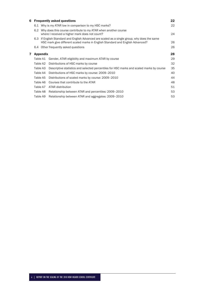| 6 |                                                                                                                         | <b>Frequently asked questions</b>                                                                                                                                              | 22 |  |  |
|---|-------------------------------------------------------------------------------------------------------------------------|--------------------------------------------------------------------------------------------------------------------------------------------------------------------------------|----|--|--|
|   |                                                                                                                         | 6.1 Why is my ATAR low in comparison to my HSC marks?                                                                                                                          | 22 |  |  |
|   | Why does this course contribute to my ATAR when another course<br>6.2<br>where I received a higher mark does not count? |                                                                                                                                                                                |    |  |  |
|   |                                                                                                                         | 6.3 If English Standard and English Advanced are scaled as a single group, why does the same<br>HSC mark give different scaled marks in English Standard and English Advanced? | 26 |  |  |
|   |                                                                                                                         | 6.4 Other frequently asked questions                                                                                                                                           | 26 |  |  |
| 7 | <b>Appendix</b>                                                                                                         |                                                                                                                                                                                | 28 |  |  |
|   | Table A1                                                                                                                | Gender, ATAR eligibility and maximum ATAR by course                                                                                                                            | 29 |  |  |
|   | Table A2                                                                                                                | Distributions of HSC marks by course                                                                                                                                           | 32 |  |  |
|   | Table A3                                                                                                                | Descriptive statistics and selected percentiles for HSC marks and scaled marks by course                                                                                       | 35 |  |  |
|   | Table A4                                                                                                                | Distributions of HSC marks by course: 2009–2010                                                                                                                                | 40 |  |  |
|   | Table A5                                                                                                                | Distributions of scaled marks by course: 2009-2010                                                                                                                             | 44 |  |  |
|   | Table A6                                                                                                                | Courses that contribute to the ATAR                                                                                                                                            | 48 |  |  |
|   | Table A7                                                                                                                | ATAR distribution                                                                                                                                                              | 51 |  |  |
|   | Table A8                                                                                                                | Relationship between ATAR and percentiles: 2009–2010                                                                                                                           | 53 |  |  |
|   | Table A9                                                                                                                | Relationship between ATAR and aggregates: 2009–2010                                                                                                                            | 53 |  |  |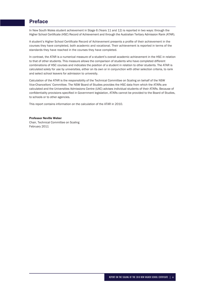# Preface

In New South Wales student achievement in Stage 6 (Years 11 and 12) is reported in two ways: through the Higher School Certificate (HSC) Record of Achievement and through the Australian Tertiary Admission Rank (ATAR).

A student's Higher School Certificate Record of Achievement presents a profile of their achievement in the courses they have completed, both academic and vocational. Their achievement is reported in terms of the standards they have reached in the courses they have completed.

In contrast, the ATAR is a numerical measure of a student's overall academic achievement in the HSC in relation to that of other students. This measure allows the comparison of students who have completed different combinations of HSC courses and indicates the position of a student in relation to other students. The ATAR is calculated solely for use by universities, either on its own or in conjunction with other selection criteria, to rank and select school leavers for admission to university.

Calculation of the ATAR is the responsibility of the Technical Committee on Scaling on behalf of the NSW Vice-Chancellors' Committee. The NSW Board of Studies provides the HSC data from which the ATARs are calculated and the Universities Admissions Centre (UAC) advises individual students of their ATARs. Because of confidentiality provisions specified in Government legislation, ATARs cannot be provided to the Board of Studies, to schools or to other agencies.

This report contains information on the calculation of the ATAR in 2010.

#### Professor Neville Weber

Chair, Technical Committee on Scaling February 2011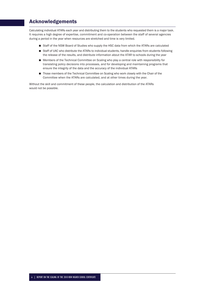# Acknowledgements

Calculating individual ATARs each year and distributing them to the students who requested them is a major task. It requires a high degree of expertise, commitment and co-operation between the staff of several agencies during a period in the year when resources are stretched and time is very limited.

- Staff of the NSW Board of Studies who supply the HSC data from which the ATARs are calculated
- Staff of UAC who distribute the ATARs to individual students, handle enquiries from students following the release of the results, and distribute information about the ATAR to schools during the year
- Members of the Technical Committee on Scaling who play a central role with responsibility for translating policy decisions into processes, and for developing and maintaining programs that ensure the integrity of the data and the accuracy of the individual ATARs
- Those members of the Technical Committee on Scaling who work closely with the Chair of the Committee when the ATARs are calculated, and at other times during the year.

Without the skill and commitment of these people, the calculation and distribution of the ATARs would not be possible.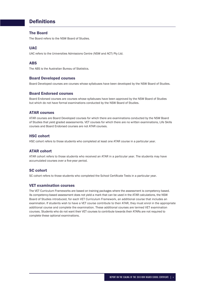# **Definitions**

# The Board

The Board refers to the NSW Board of Studies.

# UAC

UAC refers to the Universities Admissions Centre (NSW and ACT) Pty Ltd.

# ABS

The ABS is the Australian Bureau of Statistics.

# Board Developed courses

Board Developed courses are courses whose syllabuses have been developed by the NSW Board of Studies.

# Board Endorsed courses

Board Endorsed courses are courses whose syllabuses have been approved by the NSW Board of Studies but which do not have formal examinations conducted by the NSW Board of Studies.

# ATAR courses

ATAR courses are Board Developed courses for which there are examinations conducted by the NSW Board of Studies that yield graded assessments. VET courses for which there are no written examinations, Life Skills courses and Board Endorsed courses are not ATAR courses.

# HSC cohort

HSC cohort refers to those students who completed at least one ATAR course in a particular year.

# ATAR cohort

ATAR cohort refers to those students who received an ATAR in a particular year. The students may have accumulated courses over a five-year period.

# SC cohort

SC cohort refers to those students who completed the School Certificate Tests in a particular year.

# VET examination courses

The VET Curriculum Frameworks are based on training packages where the assessment is competency based. As competency-based assessment does not yield a mark that can be used in the ATAR calculations, the NSW Board of Studies introduced, for each VET Curriculum Framework, an additional course that includes an examination. If students wish to have a VET course contribute to their ATAR, they must enrol in the appropriate additional course and complete the examination. These additional courses are termed VET examination courses. Students who do not want their VET courses to contribute towards their ATARs are not required to complete these optional examinations.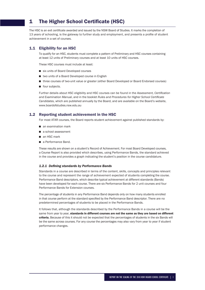# 1 The Higher School Certificate (HSC)

The HSC is an exit certificate awarded and issued by the NSW Board of Studies. It marks the completion of 13 years of schooling, is the gateway to further study and employment, and presents a profile of student achievement in a set of courses.

# 1.1 Eligibility for an HSC

To qualify for an HSC, students must complete a pattern of Preliminary and HSC courses containing at least 12 units of Preliminary courses and at least 10 units of HSC courses.

These HSC courses must include at least:

- six units of Board Developed courses
- two units of a Board Developed course in English
- three courses of two-unit value or greater (either Board Developed or Board Endorsed courses)
- four subjects.

Further details about HSC eligibility and HSC courses can be found in the Assessment, Certification and Examination Manual, and in the booklet *Rules and Procedures for Higher School Certificate Candidates*, which are published annually by the Board, and are available on the Board's website, www.boardofstudies.nsw.edu.au

# 1.2 Reporting student achievement in the HSC

For most ATAR courses, the Board reports student achievement against published standards by:

- an examination mark
- a school assessment
- an HSC mark
- a Performance Band.

These results are shown on a student's Record of Achievement. For most Board Developed courses, a Course Report is also provided which describes, using Performance Bands, the standard achieved in the course and provides a graph indicating the student's position in the course candidature.

#### **1.2.1 Defining standards by Performance Bands**

Standards in a course are described in terms of the content, skills, concepts and principles relevant to the course and represent the range of achievement expected of students completing the course. Performance Band descriptors, which describe typical achievement at different standards (Bands) have been developed for each course. There are six Performance Bands for 2 unit courses and four Performance Bands for Extension courses.

The percentage of students in any Performance Band depends only on how many students enrolled in that course perform at the standard specified by the Performance Band descriptor. There are no predetermined percentages of students to be placed in the Performance Bands.

It follows that, although the standards described by the Performance Bands in a course will be the same from year to year, standards in different courses are not the same as they are based on different criteria. Because of this it should not be expected that the percentages of students in the six Bands will be the same across courses. For any course the percentages may also vary from year to year if student performance changes.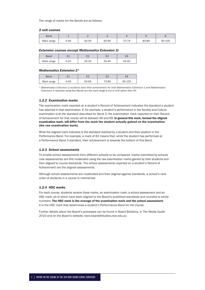The range of marks for the Bands are as follows:

#### *2 unit courses*

| Band       |      |       |       |       |       |        |
|------------|------|-------|-------|-------|-------|--------|
| Mark range | 0-49 | 50-59 | 60-69 | 70-79 | 80-89 | 90-100 |

#### *Extension courses (except Mathematics Extension 2)*

| Band       |      |       |       |       |
|------------|------|-------|-------|-------|
| Mark range | ጋ-24 | 25-34 | 35-44 | 45-50 |

#### *Mathematics Extension 2\**

| Band       |      | ⊏∩    | гo<br>└ |        |
|------------|------|-------|---------|--------|
| Mark range | ว-49 | 50-69 | 70-89   | 90-100 |

*\* Mathematics Extension 2 students have their achievement for both Mathematics Extension 1 and Mathematics Extension 2 reported using four Bands but the mark range is out of 100 rather than 50.*

#### *1.2.2 Examination marks*

The examination mark reported on a student's Record of Achievement indicates the standard a student has attained in that examination. If, for example, a student's performance in the Society and Culture examination is at the standard described for Band 3, the examination mark reported on their Record of Achievement for that course will lie between 60 and 69. In general this mark, termed the aligned examination mark, will differ from the mark the student actually gained on the examination (the raw examination mark).

What the aligned mark indicates is the standard reached by a student and their position in the Performance Band. For example, a mark of 62 means that, while the student has performed at a Performance Band 3 standard, their achievement is towards the bottom of this Band.

#### *1.2.3 School assessments*

To enable school assessments from different schools to be compared, marks submitted by schools (raw assessments) are first moderated using the raw examination marks gained by their students and then aligned to course standards. The school assessments reported on a student's Record of Achievement are the aligned assessments.

Although school assessments are moderated and then aligned against standards, a school's rank order of students in a course is maintained.

#### *1.2.4 HSC marks*

For each course, students receive three marks, an examination mark, a school assessment and an HSC mark, all of which have been aligned to the Board's published standards and rounded to whole numbers. The HSC mark is the average of the examination mark and the school assessment. It is the HSC mark that determines a student's Performance Band for the course.

Further details about the Board's processes can be found in Board Bulletins, in *The Media Guide 2010* and on the Board's website, www.boardofstudies.nsw.edu.au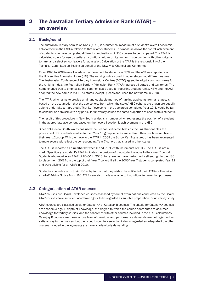# 2.1 Background

The Australian Tertiary Admission Rank (ATAR) is a numerical measure of a student's overall academic achievement in the HSC in relation to that of other students. This measure allows the overall achievement of students who have completed different combinations of HSC courses to be compared. The ATAR is calculated solely for use by tertiary institutions, either on its own or in conjunction with other criteria, to rank and select school leavers for admission. Calculation of the ATAR is the responsibility of the Technical Committee on Scaling on behalf of the NSW Vice-Chancellors' Committee.

From 1998 to 2008 overall academic achievement by students in NSW and the ACT was reported via the Universities Admission Index (UAI). The ranking indices used in other states had different names. The Australasian Conference of Tertiary Admissions Centres (ACTAC) agreed to adopt a common name for the ranking index, the Australian Tertiary Admission Rank (ATAR), across all states and territories. The name change was to emphasise the common scale used for reporting student ranks. NSW and the ACT adopted the new name in 2009. All states, except Queensland, used the new name in 2010.

The ATAR, which aims to provide a fair and equitable method of ranking applicants from all states, is based on the assumption that the age cohorts from which the states' HSC cohorts are drawn are equally able to undertake tertiary study. That is, if everyone in the age group completed Year 12, it would be fair to consider as admissible to any particular university course the same proportion of each state's students.

The result of this procedure in New South Wales is a number which represents the position of a student in the appropriate age cohort, based on their overall academic achievement in the HSC.

Since 1998 New South Wales has used the School Certificate Tests as the link that enables the positions of HSC students relative to their Year 10 group to be estimated from their positions relative to their Year 12 group. With the move to the ATAR in 2009 the School Certificate group has been augmented to more accurately reflect the corresponding Year 7 cohort that is used in other states.

The ATAR is reported as a number between 0 and 99.95 with increments of 0.05. The ATAR is not a mark. Specifically, a student's ATAR indicates the position of that student relative to their Year 7 cohort. Students who receive an ATAR of 80.00 in 2010, for example, have performed well enough in the HSC to place them 20% from the top of their Year 7 cohort, if all the 2005 Year 7 students completed Year 12 and were eligible for an ATAR in 2010.

Students who indicate on their HSC entry forms that they wish to be notified of their ATARs will receive an ATAR Advice Notice from UAC. ATARs are also made available to institutions for selection purposes.

# 2.2 Categorisation of ATAR courses

ATAR courses are Board Developed courses assessed by formal examinations conducted by the Board. ATAR courses have sufficient academic rigour to be regarded as suitable preparation for university study.

ATAR courses are classified as either Category A or Category B courses. The criteria for Category A courses are academic rigour, depth of knowledge, the degree to which the course contributes to assumed knowledge for tertiary studies, and the coherence with other courses included in the ATAR calculations. Category B courses are those whose level of cognitive and performance demands are not regarded as satisfactory in themselves, but their contribution to a selection index is regarded as adequate if the other courses included in the aggregate are more academically demanding.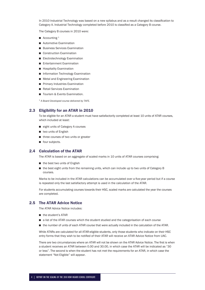In 2010 Industrial Technology was based on a new syllabus and as a result changed its classification to Category A. Industrial Technology completed before 2010 is classified as a Category B course.

The Category B courses in 2010 were:

- $\blacksquare$  Accounting <sup>1</sup>
- **Automotive Examination**
- **Business Services Examination**
- Construction Examination
- Electrotechnology Examination
- **Entertainment Examination**
- **Hospitality Examination**
- **Information Technology Examination**
- **Metal and Engineering Examination**
- **Primary Industries Examination**
- Retail Services Examination
- Tourism & Events Examination.

<sup>1</sup> *A Board Developed course delivered by TAFE.*

# 2.3 Eligibility for an ATAR in 2010

To be eligible for an ATAR a student must have satisfactorily completed at least 10 units of ATAR courses, which included at least:

- eight units of Category A courses
- two units of English
- three courses of two units or greater
- **four subjects.**

# 2.4 Calculation of the ATAR

The ATAR is based on an aggregate of scaled marks in 10 units of ATAR courses comprising:

- the best two units of English
- the best eight units from the remaining units, which can include up to two units of Category B courses.

Marks to be included in the ATAR calculations can be accumulated over a five-year period but if a course is repeated only the last satisfactory attempt is used in the calculation of the ATAR.

For students accumulating courses towards their HSC, scaled marks are calculated the year the courses are completed.

# 2.5 The ATAR Advice Notice

The ATAR Advice Notice includes:

- the student's ATAR
- a list of the ATAR courses which the student studied and the categorisation of each course
- the number of units of each ATAR course that were actually included in the calculation of the ATAR.

While ATARs are calculated for all ATAR-eligible students, only those students who indicate on their HSC entry forms that they wish to be notified of their ATAR will receive an ATAR Advice Notice from UAC.

There are two circumstances where an ATAR will not be shown on the ATAR Advice Notice. The first is when a student receives an ATAR between 0.00 and 30.00, in which case the ATAR will be indicated as "30 or less". The second is when the student has not met the requirements for an ATAR, in which case the statement "Not Eligible" will appear.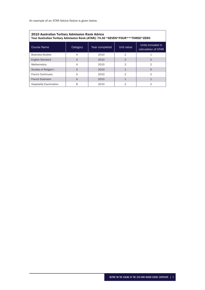An example of an ATAR Advice Notice is given below.

| 2010 Australian Tertiary Admission Rank Advice<br>Your Australian Tertiary Admission Rank (ATAR): 74.30 *SEVEN*FOUR***THREE*ZERO |                |      |                |                |  |  |  |  |
|----------------------------------------------------------------------------------------------------------------------------------|----------------|------|----------------|----------------|--|--|--|--|
| Units included in<br><b>Course Name</b><br>Unit value<br>Year completed<br>Category<br>calculation of ATAR                       |                |      |                |                |  |  |  |  |
| <b>Business Studies</b>                                                                                                          | A              | 2010 | 2              | 1              |  |  |  |  |
| <b>English Standard</b>                                                                                                          | $\overline{A}$ | 2010 | $\overline{2}$ | $\mathcal{D}$  |  |  |  |  |
| <b>Mathematics</b>                                                                                                               | A              | 2010 | 2              | $\mathfrak{D}$ |  |  |  |  |
| Studies of Religion I                                                                                                            | $\overline{A}$ | 2010 | $\mathbf{1}$   | $\Omega$       |  |  |  |  |
| <b>French Continuers</b>                                                                                                         | A              | 2010 | 2              | $\overline{2}$ |  |  |  |  |
| <b>French Extension</b><br>$\mathbf{1}$<br>2010<br>$\mathbf 1$<br>$\overline{A}$                                                 |                |      |                |                |  |  |  |  |
| <b>Hospitality Examination</b>                                                                                                   | B              | 2010 | $\overline{2}$ | 2              |  |  |  |  |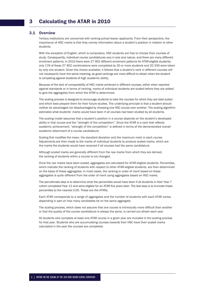## 3.1 Overview

Tertiary institutions are concerned with ranking school leaver applicants. From their perspective, the importance of HSC marks is that they convey information about a student's position in relation to other students.

With the exception of English, which is compulsory, HSC students are free to choose their courses of study. Consequently, individual course candidatures vary in size and nature, and there are many different enrolment patterns. In 2010 there were 27 902 different enrolment patterns for ATAR-eligible students; only 176 of these 27 902 combinations were completed by 20 or more students and 20 330 were taken by only one student. Given the choice available, it follows that a student's rank in different courses will not necessarily have the same meaning, as good rankings are more difficult to obtain when the student is competing against students of high academic ability.

Because of the lack of comparability of HSC marks achieved in different courses, either when reported against standards or in terms of ranking, marks of individual students are scaled before they are added to give the aggregates from which the ATAR is determined.

The scaling process is designed to encourage students to take the courses for which they are best suited and which best prepare them for their future studies. The underlying principle is that a student should neither be advantaged nor disadvantaged by choosing one HSC course over another. The scaling algorithm estimates what students' marks would have been if all courses had been studied by all students.

The scaling model assumes that a student's position in a course depends on the student's developed ability in that course and the "strength of the competition". Since the ATAR is a rank that reflects academic achievement, "strength of the competition" is defined in terms of the demonstrated overall academic attainment of a course candidature.

Scaling first modifies the mean, the standard deviation and the maximum mark in each course. Adjustments are then made to the marks of individual students to produce scaled marks, which are the marks the students would have received if all courses had the same candidature.

Although scaled marks are generally different from the raw marks from which they are derived, the ranking of students within a course is not changed.

Once the raw marks have been scaled, aggregates are calculated for ATAR-eligible students. Percentiles, which indicate the ranking of students with respect to other ATAR-eligible students, are then determined on the basis of these aggregates. In most cases, the ranking or order of merit based on these aggregates is quite different from the order of merit using aggregates based on HSC marks.

The penultimate step is to determine what the percentiles would have been if all students in their Year 7 cohort completed Year 12 and were eligible for an ATAR five years later. The last step is to truncate these percentiles to the nearest 0.05. These are the ATARs.

Each ATAR corresponds to a range of aggregates and the number of students with each ATAR varies, depending in part on how many candidates tie on the same aggregate.

The scaling process, which does not assume that one course is intrinsically more difficult than another or that the quality of the course candidature is always the same, is carried out afresh each year.

All students who complete at least one ATAR course in a given year are included in the scaling process for that year. Students who are accumulating courses towards their HSC have their scaled marks calculated in the year the courses are completed.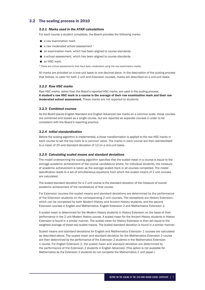# 3.2 The scaling process in 2010

## *3.2.1 Marks used in the ATAR calculations*

For each course a student completes, the Board provides the following marks:

- a raw examination mark
- $\blacksquare$  a raw moderated school assessment <sup>1</sup>
- an examination mark, which has been aligned to course standards
- a school assessment, which has been aligned to course standards
- an HSC mark.

<sup>1</sup> *These are school assessments that have been moderated using the raw examination marks.* 

All marks are provided on a one-unit basis to one decimal place. In the description of the scaling process that follows, to cater for both 2 unit and Extension courses, marks are described on a one-unit basis.

#### *3.2.2 Raw HSC marks*

Raw HSC marks, rather than the Board's reported HSC marks, are used in the scaling process. A student's raw HSC mark in a course is the average of their raw examination mark and their raw moderated school assessment. These marks are not reported to students.

#### *3.2.3 Combined courses*

As the Board places English Standard and English Advanced raw marks on a common scale, these courses are combined and scaled as a single course, but are reported as separate courses in order to be consistent with the Board's reporting practice.

#### *3.2.4 Initial standardisation*

Before the scaling algorithm is implemented, a linear transformation is applied to the raw HSC marks in each course to set the top mark to a common value. The marks in each course are then standardised to a mean of 25 and standard deviation of 12 on a one-unit basis.

#### *3.2.5 Calculating scaled means and standard deviations*

The model underpinning the scaling algorithm specifies that the scaled mean in a course is equal to the average academic achievement of the course candidature where, for individual students, the measure of academic achievement is taken as the average scaled mark in all courses completed. The model specification leads to a set of simultaneous equations from which the scaled means of 2 unit courses are calculated.

The scaled standard deviation for a 2 unit course is the standard deviation of the measure of overall academic achievement of the candidature of that course.

For Extension courses the scaled means and standard deviations are determined by the performance of the Extension students on the corresponding 2 unit courses. The exceptions are History Extension, which can be completed by both Modern History and Ancient History students, and the second Extension courses in English and Mathematics: English Extension 2 and Mathematics Extension 2.

A scaled mean is determined for the Modern History students in History Extension on the basis of their performance in the 2 unit Modern History course. A scaled mean for the Ancient History students in History Extension is found in a similar manner. The scaled mean for History Extension is then set equal to the weighted average of these two scaled means. The scaled standard deviation is found in a similar manner.

Scaled means and standard deviations for English and Mathematics Extension 1 courses are calculated as described above. The scaled mean and standard deviation for the Mathematics Extension 2 course are then determined by the performance of the Extension 2 students in the Mathematics Extension 1 course. For English Extension 2, the scaled mean and standard deviation are determined by the performance of the Extension 2 students in English Advanced. (This option is not available for Mathematics as the Extension 2 students do not complete the Mathematics 2 unit paper.)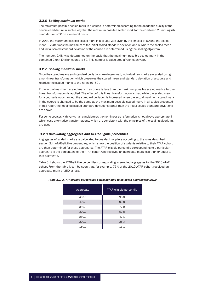#### *3.2.6 Setting maximum marks*

The maximum possible scaled mark in a course is determined according to the academic quality of the course candidature in such a way that the maximum possible scaled mark for the combined 2 unit English candidature is 50 on a one-unit basis.

In 2010 the maximum possible scaled mark in a course was given by the smaller of 50 and the scaled mean + 2.48 times the maximum of the initial scaled standard deviation and 6, where the scaled mean and initial scaled standard deviation of the course are determined using the scaling algorithm.

The number, 2.48, was determined on the basis that the maximum possible scaled mark in the combined 2 unit English course is 50. This number is calculated afresh each year.

#### *3.2.7 Scaling individual marks*

Once the scaled means and standard deviations are determined, individual raw marks are scaled using a non-linear transformation which preserves the scaled mean and standard deviation of a course and restricts the scaled marks to the range (0–50).

If the actual maximum scaled mark in a course is less than the maximum possible scaled mark a further linear transformation is applied. The effect of this linear transformation is that, while the scaled mean for a course is not changed, the standard deviation is increased when the actual maximum scaled mark in the course is changed to be the same as the maximum possible scaled mark. In all tables presented in this report the modified scaled standard deviations rather than the initial scaled standard deviations are shown.

For some courses with very small candidatures the non-linear transformation is not always appropriate, in which case alternative transformations, which are consistent with the principles of the scaling algorithm, are used.

#### *3.2.8 Calculating aggregates and ATAR-eligible percentiles*

Aggregates of scaled marks are calculated to one decimal place according to the rules described in section 2.4. ATAR-eligible percentiles, which show the position of students relative to their ATAR cohort, are then determined for these aggregates. The ATAR-eligible percentile corresponding to a particular aggregate is the percentage of the ATAR cohort who received an aggregate mark less than or equal to that aggregate.

Table 3.1 shows the ATAR-eligible percentiles corresponding to selected aggregates for the 2010 ATAR cohort. From the table it can be seen that, for example, 77% of the 2010 ATAR cohort received an aggregate mark of 350 or less.

| Aggregate | ATAR-eligible percentile |
|-----------|--------------------------|
| 450.0     | 98.8                     |
| 400.0     | 90.8                     |
| 350.0     | 77.0                     |
| 300.0     | 59.8                     |
| 250.0     | 42.1                     |
| 200.0     | 26.3                     |
| 150.0     | 13.1                     |

#### *Table 3.1 ATAR-eligible percentiles corresponding to selected aggregates: 2010*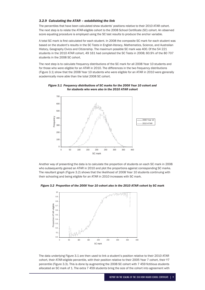#### *3.2.9 Calculating the ATAR – establishing the link*

The percentiles that have been calculated show students' positions relative to their 2010 ATAR cohort. The next step is to relate the ATAR-eligible cohort to the 2008 School Certificate (SC) cohort. An observed score equating procedure is employed using the SC test results to produce the anchor variable.

A total SC mark is first calculated for each student. In 2008 the composite SC mark for each student was based on the student's results in the SC Tests in English-literacy, Mathematics, Science, and Australian History, Geography Civics and Citizenship. The maximum possible SC mark was 400. Of the 54 221 students in the 2010 ATAR cohort, 49 161 had completed the SC Tests in 2008; 60.9% of the 80 707 students in the 2008 SC cohort.

The next step is to calculate frequency distributions of the SC mark for all 2008 Year 10 students and for those who were eligible for an ATAR in 2010. The differences in the two frequency distributions (Figure 3.1) show that the 2008 Year 10 students who were eligible for an ATAR in 2010 were generally academically more able than the total 2008 SC cohort.



*Figure 3.1 Frequency distributions of SC marks for the 2008 Year 10 cohort and for students who were also in the 2010 ATAR cohort* 

Another way of presenting the data is to calculate the proportion of students on each SC mark in 2008 who subsequently gained an ATAR in 2010 and plot the proportions against corresponding SC marks. The resultant graph (Figure 3.2) shows that the likelihood of 2008 Year 10 students continuing with their schooling and being eligible for an ATAR in 2010 increases with SC mark.

*Figure 3.2 Proportion of the 2008 Year 10 cohort also in the 2010 ATAR cohort by SC mark*



The data underlying Figure 3.1 are then used to link a student's position relative to their 2010 ATAR cohort, their ATAR-eligible percentile, with their position relative to their 2005 Year 7 cohort, their Y7 percentile (Figure 3.3). This is done by augmenting the 2008 SC cohort with 7 459 fictitious students allocated an SC mark of 1. The extra 7 459 students bring the size of the cohort into agreement with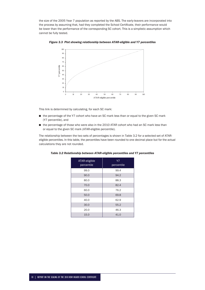the size of the 2005 Year 7 population as reported by the ABS. The early-leavers are incorporated into the process by assuming that, had they completed the School Certificate, their performance would be lower than the performance of the corresponding SC cohort. This is a simplistic assumption which cannot be fully tested.



*Figure 3.3 Plot showing relationship between ATAR-eligible and Y7 percentiles* 

This link is determined by calculating, for each SC mark:

- the percentage of the Y7 cohort who have an SC mark less than or equal to the given SC mark (Y7 percentile), and
- the percentage of those who were also in the 2010 ATAR cohort who had an SC mark less than or equal to the given SC mark (ATAR-eligible percentile).

The relationship between the two sets of percentages is shown in Table 3.2 for a selected set of ATAReligible percentiles. In this table, the percentiles have been rounded to one decimal place but for the actual calculations they are not rounded.

| ATAR-eligible<br>percentile | <b>Y7</b><br>percentile |
|-----------------------------|-------------------------|
| 99.0                        | 99.4                    |
| 90.0                        | 94.2                    |
| 80.0                        | 88.3                    |
| 70.0                        | 82.4                    |
| 60.0                        | 76.2                    |
| 50.0                        | 69.8                    |
| 40.0                        | 62.9                    |
| 30.0                        | 55.2                    |
| 20.0                        | 46.3                    |
| 15.0                        | 41.0                    |

*Table 3.2 Relationship between ATAR-eligible percentiles and Y7 percentiles*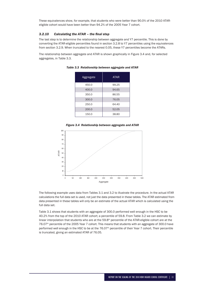These equivalences show, for example, that students who were better than 90.0% of the 2010 ATAReligible cohort would have been better than 94.2% of the 2005 Year 7 cohort.

## 3.2.10 Calculating the ATAR - the final step

The last step is to determine the relationship between aggregate and Y7 percentile. This is done by converting the ATAR-eligible percentiles found in section 3.2.8 to Y7 percentiles using the equivalences from section 3.2.9. When truncated to the nearest 0.05, these Y7 percentiles become the ATARs.

The relationship between aggregate and ATAR is shown graphically in Figure 3.4 and, for selected aggregates, in Table 3.3.

| Aggregate | <b>ATAR</b> |
|-----------|-------------|
| 450.0     | 99.25       |
| 400.0     | 94.65       |
| 350.0     | 86.55       |
| 300.0     | 76.05       |
| 250.0     | 64.40       |
| 200.0     | 52.05       |
| 150.0     | 38.80       |

*Table 3.3 Relationship between aggregate and ATAR*





The following example uses data from Tables 3.1 and 3.2 to illustrate the procedure. In the actual ATAR calculations the full data set is used, not just the data presented in these tables. The ATAR estimated from data presented in these tables will only be an estimate of the actual ATAR which is calculated using the full data set.

Table 3.1 shows that students with an aggregate of 300.0 performed well enough in the HSC to be 40.2% from the top of the 2010 ATAR cohort; a percentile of 59.8. From Table 3.2 we can estimate by linear interpolation that students who are at the 59.8<sup>th</sup> percentile of the ATAR-eligible cohort are at the 76.07<sup>th</sup> percentile of the 2005 Year 7 cohort. This means that students with an aggregate of 300.0 have performed well enough in the HSC to be at the 76.07<sup>th</sup> percentile of their Year 7 cohort. Their percentile is truncated, giving an estimated ATAR of 76.05.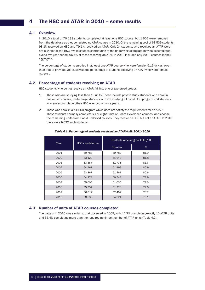# 4.1 Overview

In 2010 a total of 70 138 students completed at least one HSC course, but 1 602 were removed from the database as they completed no ATAR course in 2010. Of the remaining pool of 68 536 students 93.1% received an HSC and 79.1% received an ATAR. Only 24 students who received an ATAR were not eligible for the HSC. While courses contributing to the underlying aggregate may be accumulated over a five-year period, 96.4% of those receiving an ATAR in 2010 included only 2010 courses in their aggregate.

The percentage of students enrolled in at least one ATAR course who were female (51.6%) was lower than that of previous years, as was the percentage of students receiving an ATAR who were female (52.8%).

# 4.2 Percentage of students receiving an ATAR

HSC students who do not receive an ATAR fall into one of two broad groups:

- 1. Those who are studying less than 10 units. These include private study students who enrol in one or two courses, mature-age students who are studying a limited HSC program and students who are accumulating their HSC over two or more years.
- 2. Those who enrol in a full HSC program which does not satisfy the requirements for an ATAR. These students normally complete six or eight units of Board Developed courses, and choose the remaining units from Board Endorsed courses. They receive an HSC but not an ATAR. In 2010 there were 9 632 such students.

| Year | <b>HSC candidature</b> | Students receiving an ATAR/UAI |      |  |
|------|------------------------|--------------------------------|------|--|
|      |                        | <b>Number</b>                  | %    |  |
| 2001 | 60788                  | 49 7 82                        | 81.9 |  |
| 2002 | 63 120                 | 51 648                         | 81.8 |  |
| 2003 | 63 387                 | 51736                          | 81.6 |  |
| 2004 | 64 267                 | 51999                          | 80.9 |  |
| 2005 | 63 867                 | 51461                          | 80.6 |  |
| 2006 | 64 274                 | 50 744                         | 78.9 |  |
| 2007 | 65 005                 | 51036                          | 78.5 |  |
| 2008 | 65 757                 | 51978                          | 79.0 |  |
| 2009 | 66 612                 | 52 402                         | 78.7 |  |
| 2010 | 68 536                 | 54 221                         | 79.1 |  |

#### *Table 4.1 Percentage of students receiving an ATAR/UAI: 2001–2010*

# 4.3 Number of units of ATAR courses completed

The pattern in 2010 was similar to that observed in 2009, with 44.3% completing exactly 10 ATAR units and 35.4% completing more than the required minimum number of ATAR units (Table 4.2).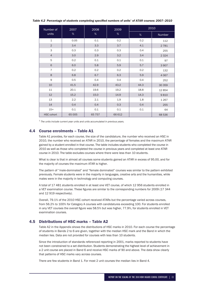| Table 4.2 Percentage of students completing specified numbers of units $^{\rm 1}$ of ATAR courses: 2007–2010 |  |  |
|--------------------------------------------------------------------------------------------------------------|--|--|
|                                                                                                              |  |  |

| Number of         | 2007   | 2008   | 2009   |      | 2010    |
|-------------------|--------|--------|--------|------|---------|
| units             | %      | %      | $\%$   | %    | Number  |
| $\mathbf{1}$      | 0.05   | 0.1    | 0.2    | 0.2  | 112     |
| $\overline{2}$    | 3.4    | 3.3    | 3.7    | 4.1  | 2781    |
| 3                 | 0.3    | 0.3    | 0.3    | 0.4  | 255     |
| $\overline{4}$    | 3.0    | 2.9    | 3.2    | 3.4  | 2 3 2 4 |
| 5                 | 0.2    | 0.1    | 0.1    | 0.1  | 97      |
| 6                 | 6.0    | 5.8    | 5.9    | 5.7  | 3907    |
| $\overline{7}$    | 0.2    | 0.2    | 0.2    | 0.2  | 132     |
| 8                 | 6.8    | 6.7    | 6.3    | 5.9  | 4 0 6 7 |
| 9                 | 0.5    | 0.4    | 0.4    | 0.4  | 252     |
| 10                | 41.5   | 42.9   | 43.2   | 44.3 | 30 359  |
| 11                | 20.1   | 19.6   | 19.2   | 18.8 | 12854   |
| 12                | 15.2   | 15.0   | 14.9   | 14.3 | 9810    |
| 13                | 2.2    | 2.1    | 1.9    | 1.8  | 1 2 6 7 |
| 14                | 0.4    | 0.4    | 0.3    | 0.4  | 255     |
| $15+$             | 0.1    | 0.1    | 0.1    | 0.1  | 64      |
| <b>HSC</b> cohort | 65 005 | 65 757 | 66 612 |      | 68 536  |

<sup>1</sup> *The units include current year units and units accumulated in previous years.*

# 4.4 Course enrolments – Table A1

Table A1 provides, for each course, the size of the candidature, the number who received an HSC in 2010, the number who received an ATAR in 2010, the percentage of females and the maximum ATAR gained by a student enrolled in that course. The table includes students who completed the course in 2010 as well as those who completed the course in previous years and completed at least one ATAR course in 2010. The table excludes courses where there were less than 10 students.

What is clear is that in almost all courses some students gained an ATAR in excess of 95.00, and for the majority of courses the maximum ATAR is higher.

The pattern of "male-dominated" and "female dominated" courses was similar to the pattern exhibited previously. Female students were in the majority in languages, creative arts and the humanities, while males were in the majority in technology and computing courses.

A total of 17 481 students enrolled in at least one VET course, of which 12 956 students enrolled in a VET examination course. These figures are similar to the corresponding numbers for 2009 (17 344 and 12 919 respectively).

Overall, 79.1% of the 2010 HSC cohort received ATARs but the percentage varied across courses, from 56.2% to 100% for Category A courses with candidatures exceeding 100. For students enrolled in any VET courses the overall figure was 58.5% but was higher, 77.9%, for students enrolled in VET examination courses.

# 4.5 Distributions of HSC marks – Table A2

Table A2 in the Appendix shows the distributions of HSC marks in 2010. For each course the percentage of students in Bands 2 to 6 are given, together with the median HSC mark and the Band in which the median lies. Data are not provided for courses with less than 10 students.

Since the introduction of standards referenced reporting in 2001, marks reported to students have not been constrained to a set distribution. Students demonstrating the highest level of achievement in a 2 unit course are placed in Band 6 and receive HSC marks of 90 and above. The data show clearly that patterns of HSC marks vary across courses.

There are few students in Band 1. For most 2 unit courses the median lies in Band 4.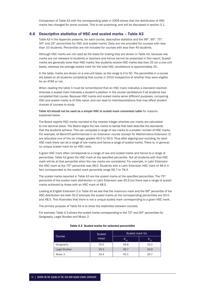Comparison of Table A2 with the corresponding table in 2009 shows that the distribution of HSC marks has changed for some courses. This is not surprising, and will be discussed in section 5.1.

# 4.6 Descriptive statistics of HSC and scaled marks – Table A3

Table A3 in the Appendix presents, for each course, descriptive statistics and the 99<sup>th</sup>, 90<sup>th</sup>, 75<sup>th</sup>, 50<sup>th</sup> and 25<sup>th</sup> percentiles for HSC and scaled marks. Data are not provided for courses with less than 10 students. Percentiles are not included for courses with less than 40 students.

Although HSC marks are not used as the basis for scaling they are shown in Table A3, because raw marks are not released to students or teachers and hence cannot be presented in this report. Scaled marks are generally lower than HSC marks: few students receive HSC marks less than 25 (on a one-unit basis), whereas the average scaled mark for the total HSC candidature is approximately 25.

In the table, marks are shown on a one-unit basis, so the range is 0 to 50. The percentiles in a course are based on all students completing that course in 2010 irrespective of whether they were eligible for an ATAR or not.

When reading the table it must be remembered that an HSC mark indicates a standard reached whereas a scaled mark indicates a student's position in the course candidature if all students had completed that course. Because HSC marks and scaled marks serve different purposes, comparing HSC and scaled marks is of little value, and can lead to misinterpretations that may affect student choices of courses to study.

#### Table A3 should not be used as a simple HSC to scaled mark conversion table for reasons explained below.

The Board reports HSC marks rounded to the nearest integer whereas raw marks are calculated to one decimal place. The Board aligns the raw marks to bands that best describe the standards that the students achieve. This can compress a range of raw marks to a smaller number of HSC marks. For example, all Band E4 performances in an Extension course (except for Mathematics Extension 2) are allocated one of the six integer grades 45.0 to 50.0. Thus after aligning and rounding, for each HSC mark there can be a range of raw marks and hence a range of scaled marks. There is, in general, no unique scaled mark for an HSC mark.

A given HSC mark often corresponds to a range of raw and scaled marks and hence to a range of percentiles. Table A3 gives the HSC mark at the specified percentile. Not all students with that HSC mark will be at that percentile when the raw marks are considered. For example, in Latin Extension the HSC mark at the 75<sup>th</sup> percentile was 48.0. Students with a Latin Extension HSC mark of 48.0 in fact corresponded to the scaled mark percentile range 56.7 to 78.4.

The scaled marks reported in Table A3 are the scaled marks at the specified percentiles. The 75<sup>th</sup> percentile of the scaled mark distribution in Latin Extension was 45.9 but there was a range of scaled marks achieved by those with an HSC mark of 48.0.

Looking at English Extension 2 in Table A3 we see that the maximum mark and the 99<sup>th</sup> percentile of the HSC distribution are both 50.0 whereas the scaled marks at the corresponding percentiles are 50.0 and 48.5. This illustrates that there is not a unique scaled mark corresponding to a given HSC mark.

The primary purpose of Table A3 is to show the relativities between courses.

For example, Table 4.3 shows the scaled marks corresponding to the  $75<sup>th</sup>$  and  $90<sup>th</sup>$  percentiles for Geography, Legal Studies and Music 2.

|                      | Scaled | Scaled mark for |          |
|----------------------|--------|-----------------|----------|
| Course               | mean   | $P_{90}$        | $P_{75}$ |
| Geography            | 25.5   | 38.8            | 33.2     |
| <b>Legal Studies</b> | 25.3   | 39.7            | 33.9     |
| Music 2              | 33.4   | 43.1            | 39.7     |

#### *Table 4.3 Scaled marks for selected percentiles*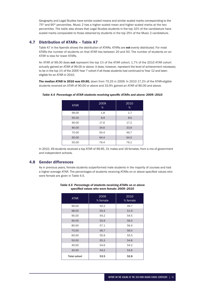Geography and Legal Studies have similar scaled means and similar scaled marks corresponding to the  $75<sup>th</sup>$  and  $90<sup>th</sup>$  percentiles. Music 2 has a higher scaled mean and higher scaled marks at the two percentiles. The table also shows that Legal Studies students in the top 10% of the candidature have scaled marks comparable to those obtained by students in the top 25% of the Music 2 candidature.

# 4.7 Distribution of ATARs – Table A7

Table A7 in the Apendix shows the distribution of ATARs. ATARs are not evenly distributed. For most ATARs the number of students on that ATAR lies between 20 and 50. The number of students on an ATAR is less for lower ATARs.

An ATAR of 99.00 does not represent the top 1% of the ATAR cohort; 1.7% of the 2010 ATAR cohort actually gained an ATAR of 99.00 or above. It does, however, represent the level of achievement necessary to be in the top 1% of the 2005 Year 7 cohort if all those students had continued to Year 12 and been eligible for an ATAR in 2010.

The median ATAR in 2010 was 69.80, down from 70.25 in 2009. In 2010 17.2% of the ATAR-eligible students received an ATAR of 90.00 or above and 33.9% gained an ATAR of 80.00 and above.

| <b>ATAR</b> | 2009<br>% | 2010<br>% |
|-------------|-----------|-----------|
| 99.00       | 1.8       | 1.7       |
| 95.00       | 8.9       | 8.6       |
| 90.00       | 17.6      | 17.2      |
| 80.00       | 34.6      | 33.9      |
| 70.00       | 50.4      | 49.7      |
| 60.00       | 64.4      | 64.0      |
| 50.00       | 76.4      | 76.1      |

#### Table 4.4 Percentage of ATAR students receiving specific ATARs and above: 2009-2010

In 2010, 49 students received a top ATAR of 99.95, 31 males and 18 females, from a mix of government and independent schools.

# 4.8 Gender differences

As in previous years, female students outperformed male students in the majority of courses and had a higher average ATAR. The percentages of students receiving ATARs on or above specified values who were female are given in Table 4.5.

| <b>ATAR</b>         | 2009<br>% female | 2010<br>% female |
|---------------------|------------------|------------------|
| 99.00               | 50.2             | 49.7             |
| 98.00               | 50.4             | 51.9             |
| 95.00               | 54.2             | 54.5             |
| 90.00               | 55.9             | 56.0             |
| 80.00               | 57.1             | 56.4             |
| 70.00               | 56.7             | 56.0             |
| 60.00               | 55.9             | 55.5             |
| 50.00               | 55.3             | 54.8             |
| 40.00               | 54.6             | 54.2             |
| 30.00               | 54.2             | 53.6             |
| <b>Total cohort</b> | 53.5             | 52.8             |

#### *Table 4.5 Percentage of students receiving ATARs on or above*  specified values who were female: 2009-2010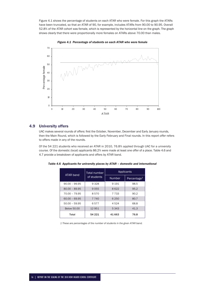Figure 4.1 shows the percentage of students on each ATAR who were female. For this graph the ATARs have been truncated, so that an ATAR of 90, for example, includes ATARs from 90.00 to 90.95. Overall 52.8% of the ATAR cohort was female, which is represented by the horizontal line on the graph. The graph shows clearly that there were proportionally more females on ATARs above 70.00 than males.



*Figure 4.1 Percentage of students on each ATAR who were female*

# 4.9 University offers

UAC makes several rounds of offers: first the October, November, December and Early January rounds, then the Main Round, which is followed by the Early February and Final rounds. In this report *offer* refers to offers made in any of the rounds.

Of the 54 221 students who received an ATAR in 2010, 76.8% applied through UAC for a university course. Of the domestic (local) applicants 86.2% were made at least one offer of a place. Table 4.6 and 4.7 provide a breakdown of applicants and offers by ATAR band.

| ATAR band          | Total number |               | Applicants     |
|--------------------|--------------|---------------|----------------|
|                    | of students  | <b>Number</b> | Percentage $1$ |
| $90.00 - 99.95$    | 9328         | 9 1 9 1       | 98.5           |
| $80.00 - 89.95$    | 9055         | 8622          | 95.2           |
| 70.00 - 79.95      | 8570         | 7 7 3 3       | 90.2           |
| $60.00 - 69.95$    | 7 7 4 0      | 6 2 5 0       | 80.7           |
| $50.00 - 59.95$    | 6577         | 4524          | 68.8           |
| <b>Below 50.00</b> | 12951        | 5 3 4 3       | 41.3           |
| Total              | 54 221       | 41 663        | 76.8           |

*Table 4.6 Applicants for university places by ATAR – domestic and international*

 *1 These are percentages of the number of students in the given ATAR band.*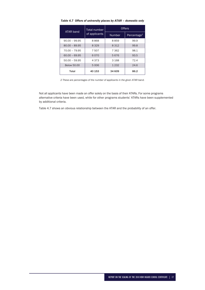| ATAR band          | Total number  | <b>Offers</b> |                         |
|--------------------|---------------|---------------|-------------------------|
|                    | of applicants | <b>Number</b> | Percentage <sup>2</sup> |
| $90.00 - 99.95$    | 8868          | 8859          | 99.9                    |
| $80.00 - 89.95$    | 8329          | 8312          | 99.8                    |
| 70.00 - 79.95      | 7507          | 7 3 6 2       | 98.1                    |
| $60.00 - 69.95$    | 6070          | 5676          | 93.5                    |
| $50.00 - 59.95$    | 4373          | 3 1 6 8       | 72.4                    |
| <b>Below 50.00</b> | 5006          | 1 2 3 2       | 24.6                    |
| Total              | 40 153        | 34 609        | 86.2                    |

*Table 4.7 Offers of university places by ATAR – domestic only*

*2 These are percentages of the number of applicants in the given ATAR band.*

Not all applicants have been made an offer solely on the basis of their ATARs. For some programs alternative criteria have been used, while for other programs students' ATARs have been supplemented by additional criteria.

Table 4.7 shows an obvious relationship between the ATAR and the probability of an offer.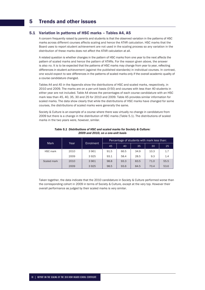# 5 Trends and other issues

# 5.1 Variation in patterns of HSC marks – Tables A4, A5

A concern frequently raised by parents and students is that the observed variation in the patterns of HSC marks across different courses affects scaling and hence the ATAR calculation. HSC marks that the Board uses to report student achievement are not used in the scaling process so any variation in the distribution of these marks does not affect the ATAR calculation at all.

A related question is whether changes in the pattern of HSC marks from one year to the next affects the pattern of scaled marks and hence the pattern of ATARs. For the reason given above, the answer is also no. It is to be expected that the patterns of HSC marks may change from year to year, reflecting differences in student achievement (against the published standards) in individual courses. In contrast, one would expect to see differences in the patterns of scaled marks only if the overall academic quality of a course candidature changed.

Tables A4 and A5 in the Appendix show the distributions of HSC and scaled marks, respectively, in 2010 and 2009. The marks are on a per-unit basis (0-50) and courses with less than 40 students in either year are not included. Table A4 shows the percentages of each course candidature with an HSC mark less than 45, 40, 35, 30 and 25 for 2010 and 2009. Table A5 provides similar information for scaled marks. The data show clearly that while the distributions of HSC marks have changed for some courses, the distributions of scaled marks were generally the same.

Society & Culture is an example of a course where there was virtually no change in candidature from 2009 but there is a change in the distribution of HSC marks (Table 5.1). The distributions of scaled marks in the two years were, however, similar.

| <b>Mark</b> |      |                  | Percentage of students with mark less than: |      |      |      |      |
|-------------|------|------------------|---------------------------------------------|------|------|------|------|
|             | Year | <b>Enrolment</b> | 45                                          | 40   | 35   | 30   | 25   |
| HSC mark    | 2010 | 3961             | 91.5                                        | 66.5 | 34.9 | 10.3 | 1.7  |
|             | 2009 | 3925             | 93.1                                        | 58.4 | 28.5 | 9.3  | 1.4  |
| Scaled mark | 2010 | 3961             | 98.8                                        | 93.3 | 83.5 | 71.0 | 55.5 |
|             | 2009 | 3925             | 98.5                                        | 93.6 | 84.5 | 70.4 | 53.6 |

#### *Table 5.1 Distributions of HSC and scaled marks for Society & Culture: 2009 and 2010, on a one-unit basis*

Taken together, the data indicate that the 2010 candidature in Society & Culture performed worse than the corresponding cohort in 2009 in terms of Society & Culture, except at the very top. However their overall performance as judged by their scaled marks is very similar.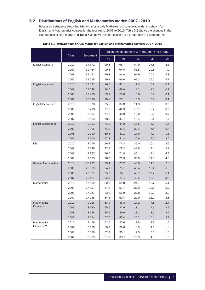# 5.2 Distributions of English and Mathematics marks: 2007–2010

Because all students study English, and most study Mathematics, comparative data is shown for English and Mathematics courses for the four years, 2007 to 2010. Table 5.2 shows the changes in the distributions of HSC marks and Table 5.3 shows the changes in the distributions of scaled marks.

|                            |      |           | Percentage of students with HSC mark less than: |      |      |         |     |
|----------------------------|------|-----------|-------------------------------------------------|------|------|---------|-----|
|                            | Year | Enrolment | 45                                              | 40   | 35   | 30      | 25  |
| <b>English Standard</b>    | 2010 | 34 371    | 99.8                                            | 95.7 | 64.9 | 27.8    | 8.3 |
|                            | 2009 | 32 454    | 99.8                                            | 94.6 | 63.8 | 22.5    | 7.2 |
|                            | 2008 | 32 191    | 99.8                                            | 94.0 | 61.9 | 20.6    | 5.8 |
|                            | 2007 | 31015     | 99.9                                            | 96.6 | 61.2 | 22.0    | 5.7 |
| English Advanced           | 2010 | 27 132    | 86.0                                            | 42.1 | 7.3  | 0.9     | 0.1 |
|                            | 2009 | 27 248    | 88.7                                            | 48.0 | 11.2 | 1.0     | 0.1 |
|                            | 2008 | 27 438    | 89.2                                            | 50.6 | 10.8 | 0.9     | 0.1 |
|                            | 2007 | 28 0 86   | 90.8                                            | 53.1 | 10.5 | 0.9     | 0.1 |
| English Extension 1        | 2010 | 5578      | 75.5                                            | 37.8 | 14.3 | 3.3     | 0.6 |
|                            | 2009 | 5718      | 77.5                                            | 42.9 | 15.7 | 3.7     | 0.9 |
|                            | 2008 | 5694      | 74.2                                            | 40.9 | 16.0 | 3.5     | 0.7 |
|                            | 2007 | 6 1 5 3   | 78.0                                            | 45.7 | 19.4 | 5.4     | 1.7 |
| English Extension 2        | 2010 | 2 2 0 1   | 71.9                                            | 44.2 | 18.5 | 6.0     | 1.7 |
|                            | 2009 | 2 1 6 5   | 71.8                                            | 43.1 | 20.1 | 7.4     | 2.4 |
|                            | 2008 | 2 2 0 9   | 69.5                                            | 41.1 | 17.9 | 4.7     | 1.3 |
|                            | 2007 | 2 500     | 67.8                                            | 41.2 | 20.6 | 7.0     | 2.2 |
| <b>ESL</b>                 | 2010 | 3079      | 96.3                                            | 74.3 | 35.0 | 10.4    | 2.6 |
|                            | 2009 | 3 2 4 8   | 97.3                                            | 78.2 | 43.8 | 14.4    | 2.9 |
|                            | 2008 | 2837      | 96.7                                            | 71.8 | 40.1 | 14.1    | 4.2 |
|                            | 2007 | 2603      | 98.0                                            | 72.3 | 36.0 | 11.8    | 4.6 |
| <b>General Mathematics</b> | 2010 | 30 992    | 93.4                                            | 73.7 | 43.0 | 14.0    | 2.8 |
|                            | 2009 | 29 909    | 94.1                                            | 75.1 | 45.4 | 18.4    | 6.6 |
|                            | 2008 | 29 977    | 95.2                                            | 74.1 | 43.7 | 17.2    | 6.1 |
|                            | 2007 | 29 437    | 95.9                                            | 77.4 | 40.5 | 15.8    | 3.5 |
| Mathematics                | 2010 | 17 152    | 80.9                                            | 51.8 | 24.7 | 10.7    | 5.1 |
|                            | 2009 | 17 197    | 84.2                                            | 57.4 | 28.9 | 10.5    | 5.2 |
|                            | 2008 | 17 247    | 83.2                                            | 55.0 | 27.8 | 12.1    | 3.2 |
|                            | 2007 | 17 758    | 84.5                                            | 60.4 | 29.9 | 11.7    | 3.6 |
| Mathematics                | 2010 | 9116      | 63.0                                            | 36.8 | 17.2 | $7.6\,$ | 2.7 |
| Extension 1                | 2009 | 8630      | 65.5                                            | 37.9 | 18.1 | 7.6     | 2.9 |
|                            | 2008 | 8548      | 66.6                                            | 39.9 | 18.2 | 8.5     | 3.9 |
|                            | 2007 | 8614      | 67.7                                            | 45.4 | 25.2 | 10.4    | 3.9 |
| Mathematics                | 2010 | 3 4 6 9   | 62.5                                            | 27.6 | 9.8  | 3.3     | 1.0 |
| Extension 2                | 2009 | 3 170     | 60.0                                            | 29.6 | 10.5 | 4.5     | 1.8 |
|                            | 2008 | 3 0 8 9   | 62.9                                            | 30.1 | 9.5  | 3.6     | 1.6 |
|                            | 2007 | 3 0 0 9   | 67.0                                            | 38.7 | 16.9 | 4.9     | 1.3 |

*Table 5.2 Distributions of HSC marks for English and Mathematics courses: 2007–2010*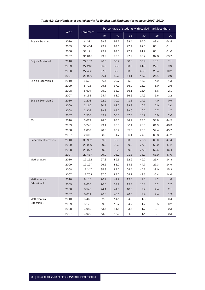|                            |      |           | Percentage of students with scaled mark less than: |      |      |      |      |         |
|----------------------------|------|-----------|----------------------------------------------------|------|------|------|------|---------|
|                            | Year | Enrolment | 45                                                 | 40   | 35   | 30   | 25   | 20      |
| English Standard           | 2010 | 34 371    | 99.9                                               | 99.7 | 98.4 | 94.0 | 83.4 | 64.4    |
|                            | 2009 | 32 4 54   | 99.9                                               | 99.6 | 97.7 | 92.3 | 80.1 | 61.1    |
|                            | 2008 | 32 191    | 99.9                                               | 99.5 | 97.7 | 91.9 | 80.1 | 61.0    |
|                            | 2007 | 31015     | 99.9                                               | 99.6 | 97.9 | 93.2 | 82.8 | 63.7    |
| English Advanced           | 2010 | 27 132    | 96.5                                               | 80.2 | 58.8 | 35.9 | 18.1 | 7.1     |
|                            | 2009 | 27 248    | 96.6                                               | 82.9 | 63.8 | 41.0 | 22.7 | 9.9     |
|                            | 2008 | 27 438    | 97.0                                               | 83.5 | 63.5 | 42.3 | 23.4 | 10.2    |
|                            | 2007 | 28 0 86   | 96.1                                               | 82.6 | 64.1 | 44.2 | 25.1 | 9.9     |
| English Extension 1        | 2010 | 5578      | 96.7                                               | 69.7 | 35.2 | 14.2 | 4.9  | 1.3     |
|                            | 2009 | 5718      | 95.6                                               | 67.7 | 36.0 | 15.0 | 6.0  | 2.6     |
|                            | 2008 | 5694      | 95.2                                               | 68.0 | 36.1 | 15.4 | 5.6  | 2.1     |
|                            | 2007 | 6 1 5 3   | 94.4                                               | 68.2 | 36.6 | 14.9 | 5.6  | $2.2\,$ |
| English Extension 2        | 2010 | 2 2 0 1   | 92.9                                               | 70.2 | 41.6 | 14.9 | 4.0  | 0.9     |
|                            | 2009 | 2 1 6 5   | 90.3                                               | 68.0 | 38.3 | 16.6 | 6.0  | 2.0     |
|                            | 2008 | 2 2 0 9   | 89.3                                               | 67.0 | 39.0 | 16.5 | 5.7  | 1.7     |
|                            | 2007 | 2500      | 89.9                                               | 66.0 | 37.3 | 16.9 | 6.0  | 2.0     |
| <b>ESL</b>                 | 2010 | 3079      | 98.5                                               | 93.2 | 84.9 | 73.5 | 58.8 | 44.5    |
|                            | 2009 | 3 2 4 8   | 99.4                                               | 95.0 | 86.4 | 76.0 | 61.9 | 48.3    |
|                            | 2008 | 2837      | 98.6                                               | 93.2 | 85.0 | 73.3 | 59.4 | 45.7    |
|                            | 2007 | 2603      | 98.9                                               | 94.7 | 86.1 | 74.3 | 60.8 | 47.2    |
| <b>General Mathematics</b> | 2010 | 30 992    | 99.9                                               | 98.3 | 90.0 | 77.6 | 63.0 | 47.4    |
|                            | 2009 | 29 909    | 99.9                                               | 98.0 | 90.3 | 77.8 | 63.0 | 47.2    |
|                            | 2008 | 29 977    | 99.9                                               | 98.1 | 90.3 | 77.9 | 62.5 | 46.4    |
|                            | 2007 | 29 437    | 99.9                                               | 98.7 | 91.3 | 78.7 | 63.9 | 47.0    |
| Mathematics                | 2010 | 17 152    | 97.3                                               | 82.6 | 62.9 | 42.2 | 25.4 | 14.3    |
|                            | 2009 | 17 197    | 96.5                                               | 83.2 | 64.6 | 44.7 | 27.3 | 14.9    |
|                            | 2008 | 17 247    | 95.9                                               | 82.0 | 64.4 | 45.7 | 28.0 | 15.3    |
|                            | 2007 | 17758     | 97.6                                               | 84.2 | 64.1 | 43.6 | 26.4 | 14.6    |
| Mathematics                | 2010 | 9116      | 76.9                                               | 41.9 | 19.3 | 9.3  | 4.2  | $1.8\,$ |
| Extension 1                | 2009 | 8630      | 70.6                                               | 37.7 | 19.3 | 10.1 | 5.2  | 2.7     |
|                            | 2008 | 8548      | 74.1                                               | 41.0 | 18.8 | 9.2  | 4.4  | 2.1     |
|                            | 2007 | 8614      | 76.6                                               | 43.1 | 20.5 | 9.4  | 4.4  | $1.9\,$ |
| Mathematics                | 2010 | 3469      | 52.6                                               | 14.1 | 4.6  | 1.8  | 0.7  | 0.4     |
| Extension 2                | 2009 | 3 1 7 0   | 39.3                                               | 10.7 | 4.2  | 1.7  | 0.5  | 0.2     |
|                            | 2008 | 3089      | 43.4                                               | 11.5 | 3.6  | 1.7  | 0.7  | 0.3     |
|                            | 2007 | 3 0 0 9   | 53.8                                               | 16.2 | 4.2  | 1.4  | 0.7  | 0.3     |

# *Table 5.3 Distributions of scaled marks for English and Mathematics courses: 2007–2010*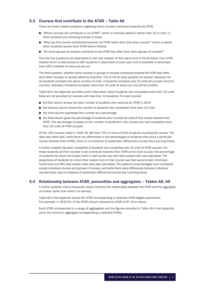# 5.3 Courses that contribute to the ATAR – Table A6

There are three related questions regarding which courses contribute towards the ATAR.

- "Which courses will contribute to my ATAR?" which is normally asked in either Year 10 or Year 11 when students are choosing courses to study.
- "Why has this course contributed towards my ATAR rather than this other course?" which is asked when students receive their ATAR Advice Notices.
- "Do some groups of courses contribute to the ATAR less often than other groups of courses?"

The first two questions are addressed in the next chapter of this report and in the *All About Your ATAR* booklet which is distributed to HSC students in December of each year and is available to download from UAC's website at www.uac.edu.au

The third question, whether some courses or groups of courses contribute towards the ATAR less often than other courses, is usually asked by teachers. This is not an easy question to answer, because not all students complete the same number of units. If students complete only 10 units all courses *must* be counted, whereas if students complete more than 10 units at least one unit *will* be omitted.

Table A6 in the Appendix provides some information about students who completed *more than 10 units*. Data are not provided for courses with less than 10 students. For each course:

- $\blacksquare$  the first column shows the total number of students who received an ATAR in 2010
- the second column shows the number of students who completed more than 10 units
- the third column expresses this number as a percentage
- the final column gives the percentage of students who counted *all* units of that course towards their ATAR. The percentage is based on the number of students in the course who had completed more than 10 units of ATAR courses.

Of the 105 courses listed in Table A6, 69 have 70% or more of their students counting the course. The data also show that, while there are differences in the percentages of students who count a particular course towards their ATARs, there is no evidence of systematic differences across Key Learning Areas.

A further analysis has been completed of students who completed only 10 units of ATAR courses. For these students all their courses must contribute towards their ATAR so for each course, the percentage of students for whom the scaled mark in that course was their best scaled mark was calculated. The proportions of students for whom their scaled mark in that course was their second best, third best, fourth best and fifth best scaled mark were also calculated. The patterns of percentages were compared across individual courses and groups of courses, and while there were differences between individual courses there was no evidence of systematic differences across Key Learning Areas.

#### 5.4 Relationship between ATAR, percentiles and aggregates – Tables A8, A9

A further question that is frequently raised concerns the relationship between the ATAR and the aggregate of scaled marks from which it is derived.

Table A8 in the Appendix shows the ATAR corresponding to selected ATAR-eligible percentiles. For example, in 2010 5% of the ATAR cohourt received an ATAR of 97.10 or above.

Each ATAR corresponds to a range of aggregates and the figures provided in Table A9 in the Appendix show the minimum aggregate corresponding to selected ATARs.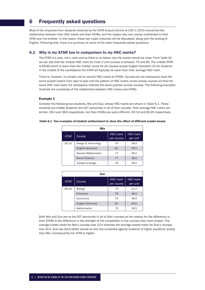# 6 Frequently asked questions

Most of the enquiries from students received by the ATAR Enquiry Centre at UAC in 2010 concerned the relationship between their HSC marks and their ATARs, and the reason why one course contributed to their ATAR and not another. In this report, these two major enquiries will be discussed, along with the scaling of English. Following that, there is a summary of some of the other frequently asked questions.

# 6.1 Why is my ATAR low in comparison to my HSC marks?

The ATAR is a rank, not a mark and so there is no reason why the scores should be close. From Table A2 we can see that the median HSC mark for most 2 unit courses is between 70 and 80. The middle ATAR is 69.80 which is lower than the median score for all courses except English Standard. So for students in the middle of the candidature the ATAR will typically be lower than their average HSC mark.

There is, however, no simple rule to convert HSC marks to ATARs. Courses do not necessarily have the same scaled means from year to year and the pattern of HSC marks varies across courses so that the same HSC mark does not necessarily indicate the same position across courses. The following examples illustrate the complexity of the relationship between HSC marks and ATARs.

#### Example 1

Consider the following two students, Mia and Sue, whose HSC marks are shown in Table 6.1. These students are middle students (the 50<sup>th</sup> percentile) in all of their courses. Their average HSC marks are similar, 38.4 and 38.6 respectively, but their ATARs are quite different, 60.10 and 80.05 respectively.

| Mia         |                            |                               |                             |  |  |
|-------------|----------------------------|-------------------------------|-----------------------------|--|--|
| <b>ATAR</b> | Course                     | <b>HSC mark</b><br>per course | <b>HSC</b> mark<br>per unit |  |  |
| 60.10       | Design & Technology        | 76                            | 38.0                        |  |  |
|             | English Advanced           | 81                            | 40.5                        |  |  |
|             | <b>General Mathematics</b> | 72                            | 36.0                        |  |  |
|             | <b>Senior Science</b>      | 77                            | 38.5                        |  |  |
|             | Textiles & Design          | 78                            | 39.0                        |  |  |

#### *Table 6.1 Two examples of student achievement to show the effect of different scaled means*

| <b>Sue</b>  |                    |                               |                             |  |  |
|-------------|--------------------|-------------------------------|-----------------------------|--|--|
| <b>ATAR</b> | Course             | <b>HSC</b> mark<br>per course | <b>HSC</b> mark<br>per unit |  |  |
| 80.05       | <b>Biology</b>     | 74                            | 37.0                        |  |  |
|             | Chemistry          | 76                            | 38.0                        |  |  |
|             | Economics          | 76                            | 38.0                        |  |  |
|             | English Advanced   | 81                            | 40.5                        |  |  |
|             | <b>Mathematics</b> | 79                            | 39.5                        |  |  |

Both Mia and Sue are at the 50<sup>th</sup> percentile in all of their courses so the reason for the difference in their ATARs is the difference in the strength of the competition in the courses they have chosen. The average scaled mean for Mia's courses was 23.4 whereas the average scaled mean for Sue's courses was 30.6. Sue has done better overall as she has competed against students of higher academic quality than Mia. Consequently her ATAR is higher.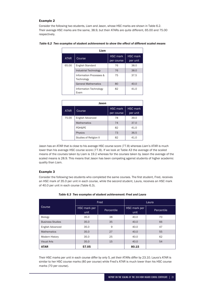## Example 2

Consider the following two students, Liam and Jason, whose HSC marks are shown in Table 6.2. Their average HSC marks are the same, 38.9, but their ATARs are quite different, 65.00 and 75.00 respectively.

| Liam        |                                       |                               |                             |  |  |  |
|-------------|---------------------------------------|-------------------------------|-----------------------------|--|--|--|
| <b>ATAR</b> | Course                                | <b>HSC</b> mark<br>per course | <b>HSC</b> mark<br>per unit |  |  |  |
| 65.00       | <b>English Standard</b>               | 76                            | 38.0                        |  |  |  |
|             | <b>Industrial Technology</b>          | 76                            | 38.0                        |  |  |  |
|             | Information Processes &<br>Technology | 75                            | 37.5                        |  |  |  |
|             | <b>General Mathematics</b>            | 80                            | 40.0                        |  |  |  |
|             | Information Technology<br>Exam        | 82                            | 41.0                        |  |  |  |

|  |  |  |  | Table 6.2 Two examples of student achievement to show the effect of different scaled means |
|--|--|--|--|--------------------------------------------------------------------------------------------|
|--|--|--|--|--------------------------------------------------------------------------------------------|

| Jason       |                        |                               |                             |  |  |  |  |
|-------------|------------------------|-------------------------------|-----------------------------|--|--|--|--|
| <b>ATAR</b> | Course                 | <b>HSC</b> mark<br>per course | <b>HSC</b> mark<br>per unit |  |  |  |  |
| 75.00       | English Advanced       | 78                            | 39.0                        |  |  |  |  |
|             | <b>Mathematics</b>     | 74                            | 37.0                        |  |  |  |  |
|             | PDH&PE                 | 82                            | 41.0                        |  |  |  |  |
|             | <b>Physics</b>         | 73                            | 36.5                        |  |  |  |  |
|             | Studies of Religion II | 82                            | 41.0                        |  |  |  |  |

Jason has an ATAR that is close to his average HSC course score (77.8) whereas Liam's ATAR is much lower than his average HSC course score (77.8). If we look at Table A3 the average of the scaled means of the courses taken by Liam is 19.2 whereas for the courses taken by Jason the average of the scaled means is 28.9. This means that Jason has been competing against students of higher academic quality than Liam.

#### Example 3

Consider the following two students who completed the same courses. The first student, Fred, receives an HSC mark of 35.0 per unit in each course, while the second student, Laura, receives an HSC mark of 40.0 per unit in each course (Table 6.3).

|                         |                             | Fred       | Laura                |            |  |
|-------------------------|-----------------------------|------------|----------------------|------------|--|
| Course                  | <b>HSC</b> mark per<br>unit | Percentile | HSC mark per<br>unit | Percentile |  |
| Biology                 | 35.0                        | 38         | 40.0                 | 70         |  |
| <b>Business Studies</b> | 35.0                        | 35         | 40.0                 | 66         |  |
| English Advanced        | 35.0                        | 9          | 40.0                 | 47         |  |
| <b>Mathematics</b>      | 35.0                        | 27         | 40.0                 | 55         |  |
| <b>Modern History</b>   | 35.0                        | 25         | 40.0                 | 62         |  |
| <b>Visual Arts</b>      | 35.0                        | 15         | 40.0                 | 54         |  |
| <b>ATAR</b>             | 57.05                       |            | 80.15                |            |  |

Their HSC marks per unit in each course differ by only 5, yet their ATARs differ by 23.10. Laura's ATAR is similar to her HSC course marks (80 per course) while Fred's ATAR is much lower than his HSC course marks (70 per course).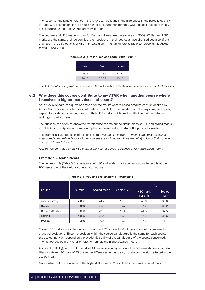The reason for the large difference in the ATARs can be found in the differences in the percentiles shown in Table 6.3. The percentiles are much higher for Laura than for Fred. Given these large differences, it is not surprising that their ATARs are very different.

The courses and HSC marks shown for Fred and Laura are the same as in 2009. While their HSC marks are the same, their percentiles (their positions in their courses) have changed because of the changes in the distributions of HSC marks, so their ATARs are different. Table 6.4 presents the ATARs for 2009 and 2010.

| Year | Fred  | Laura |
|------|-------|-------|
| 2009 | 57.80 | 81.20 |
| 2010 | 57.05 | 80.15 |

*Table 6.4 ATARs for Fred and Laura: 2009–2010*

*The ATAR is all about position, whereas HSC marks indicate levels of achievement in individual courses.*

## 6.2 Why does this course contribute to my ATAR when another course where I received a higher mark does not count?

As in previous years, this question arose after the results were released because each student's ATAR Advice Notice shows which units contribute to their ATAR. The question is not always easy to answer, especially as students are only aware of their HSC marks, which provide little information as to their rankings in their courses.

The question can often be answered by reference to data on the distributions of HSC and scaled marks in Table A3 in the Appendix. Some examples are presented to illustrate the principles involved.

The examples illustrate the general principle that *a student's position in their course and the scaled means and standard deviations of their courses are all important in determining which of their courses contribute towards their ATAR.*

Also remember that a *given HSC mark usually corresponds to a range of raw and scaled marks.*

#### Example 1 – scaled means

The first example (Table 6.5) shows a set of HSC and scaled marks corresponding to results at the 90<sup>th</sup> percentile of the various course distributions.

|                         |               |             |           | $P_{90}$                    |                |  |
|-------------------------|---------------|-------------|-----------|-----------------------------|----------------|--|
| Course                  | <b>Number</b> | Scaled mean | Scaled SD | <b>HSC</b> mark<br>per unit | Scaled<br>mark |  |
| <b>Ancient History</b>  | 12086         | 24.7        | 10.6      | 45.0                        | 38.6           |  |
| <b>Biology</b>          | 15849         | 26.9        | 9.7       | 44.0                        | 39.2           |  |
| <b>Business Studies</b> | 15830         | 23.6        | 10.4      | 44.5                        | 37.5           |  |
| Music 1                 | 4995          | 22.5        | 10.1      | 45.5                        | 36.6           |  |
| Physics                 | 9 3 5 9       | 30.5        | 9.2       | 44.5                        | 41.4           |  |

*Table 6.5 HSC and scaled marks – example 1*

These HSC marks are similar and each is at the 90<sup>th</sup> percentile of a large course with comparable standard deviations. Since the position within the course candidature is the same for each course, the scaled mark will depend on the academic quality of the candidature of the course concerned. The highest scaled mark is for Physics, which has the highest scaled mean.

A student in Biology with an HSC mark of 44 can receive a higher scaled mark than a student in Ancient History with an HSC mark of 45 due to the differences in the strength of the competition reflected in the scaled mean.

Notice also that the course with the highest HSC mark, Music 1, has the lowest scaled mark.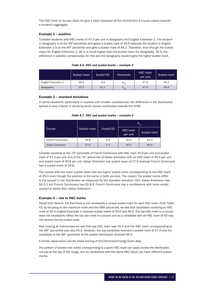The HSC mark on its own does not give a clear indication of the contribution a course makes towards a student's aggregate.

# Example 2 – position

Consider students with HSC marks of 47.0 per unit in Geography and English Extension 2. The student in Geography is at the 99<sup>th</sup> percentile and gains a scaled mark of 45.6 whereas the student in English Extension 2 is at the  $90<sup>th</sup>$  percentile and gets a scaled mark of 44.2. Therefore, even though the scaled mean for English Extension 2, 36.3, is much higher than the scaled mean for Geography, 25.5, the difference in position compensates for this and the Geography student gets the higher scaled mark.

|                     | Scaled mean | <b>Scaled SD</b> | Percentile | <b>HSC</b> mark<br>per unit | Scaled mark |
|---------------------|-------------|------------------|------------|-----------------------------|-------------|
| English Extension 2 | 36.3        | 6.2              | $P_{90}$   | 47.0                        | 44.2        |
| Geography           | 25.5        | 10.3             | $P_{99}$   | 47.0                        | 45.6        |

#### *Table 6.6 HSC and scaled marks – example 2*

#### Example 3 – standard deviations

In some situations, particularly in courses with smaller candidatures, the difference in the distribution spread is also a factor in deciding which course contributes towards the ATAR.

|                          |             |           | $P_{75}$                    |             |  |  |
|--------------------------|-------------|-----------|-----------------------------|-------------|--|--|
| Course                   | Scaled mean | Scaled SD | <b>HSC</b> mark<br>per unit | Scaled mark |  |  |
| <b>French Continuers</b> | 34.8        | 8.5       | 45.0                        | 41.3        |  |  |
| Italian Extension        | 37.6        | 5.1       | 45.0                        | 40.9        |  |  |

#### *Table 6.7 HSC and scaled marks – example 3*

Consider students at the 75<sup>th</sup> percentile of French Continuers with HSC mark 45.0 per unit and scaled mark of 41.3 per unit and at the 75<sup>th</sup> percentile of Italian Extension with an HSC mark of 45.0 per unit and scaled mark of 40.9 per unit. Italian Extension has scaled mean of 37.6 whereas French Continuers has a scaled mean of 34.8.

The course with the lower scaled mean has the higher scaled mark corresponding to the HSC mark of 45.0 even though the position is the same in both courses. The reason the scaled marks differ is the spread in the distribution as measured by the standard deviation (SD). Italian Extension has SD 5.1 but French Continuers has SD 8.5. French Continuers has a candidature with more varied academic ability than Italian Extension.

#### Example 4 – raw vs HSC marks

Recall from Section 4.6 that there is not necessarily a unique scaled mark for each HSC mark. From Table A3, by focusing on the maximum mark and the 99th percentile, we see that candidates receiving an HSC mark of 50 in English Extension 2 received scaled marks of 50.0 and 48.5. The top HSC mark in a course does not necessarily reflect the top raw mark in a course and so a candidate with an HSC mark of 50 may not receive the top scaled mark.

Also looking at Vietnamese we see that top HSC mark was 45.5 and the HSC mark corresponding to the 99<sup>th</sup> percentile was also 45.5. However, the top candidate received a scaled mark of 47.0 and the candidate at the 99<sup>th</sup> percentile of the scaled distribution received 46.4.

A similar observation can be made looking at the Electrotechnology Exam data.

The pattern of several raw marks corresponding to a given HSC mark can apply across the distribution, not just at the top of the range, and so candidates with the same HSC result can have different scaled marks.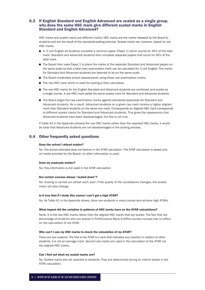# 6.3 If English Standard and English Advanced are scaled as a single group, why does the same HSC mark give different scaled marks in English Standard and English Advanced?

HSC marks and scaled marks are different marks. HSC marks are the marks released by the Board to students and are the result of the standards-setting exercise. Scaled marks are, however, based on raw HSC marks.

- In 2 unit English all students complete a common paper (Paper 1) which counts for 40% of the total mark. Standard and Advanced students then complete separate papers that count for 60% of the total mark.
- The Board then uses Paper 1 to place the marks of the separate Standard and Advanced papers on the same scale so that a total (raw) examination mark can be calculated for 2 unit English. The marks for Standard and Advanced students are deemed to be on the same scale.
- The Board moderates school assessments using these raw examination marks.
- The raw HSC mark which is used for scaling is then calculated.
- The raw HSC marks for the English Standard and Advanced students are combined, and scaled as a single course. A raw HSC mark yields the same scaled mark for Standard and Advanced students.
- The Board aligns the raw examination marks against standards separately for Standard and Advanced students. As a result, Advanced students on a given raw mark receive a higher aligned mark than Standard students on the same raw mark. Consequently an aligned HSC mark corresponds to different scaled marks for Standard and Advanced students. This gives the appearance that Advanced students have been disadvantaged, but this is not true.

If Table A3 in the Appendix showed the raw HSC marks rather than the reported HSC marks, it would be clear that Advanced students are not disadvantaged in the scaling process.

# 6.4 Other frequently asked questions

#### Does the school I attend matter?

No. The school attended does not feature in the ATAR calculation. The ATAR calculation is based only on marks provided by the Board; no other information is used.

#### Does my postcode matter?

No, this information is not used in the ATAR calculation.

#### Are certain courses always "scaled down"?

No. Scaling is carried out afresh each year: if the quality of the candidature changes, the scaled mean will also change.

#### Is it true that if I study this course I can't get a high ATAR?

No. As Table A1 in the Appendix shows, there are students in every course who achieve high ATARs.

#### What impact did the variation in patterns of HSC marks have on the ATAR calculations?

None. It is the raw HSC marks rather than the aligned HSC marks that are scaled. The fact that the percentage of students who are placed in Performance Band 6 differs across courses has no effect on the calculation of the ATAR.

#### Why can't I use my HSC marks to check the calculation of my ATAR?

There are two reasons. The first is the ATAR is a rank that indicates your position in relation to other students, it is not an average mark. Second raw marks are used in the calculation of the ATAR not the aligned HSC marks.

#### Can I find out what my scaled marks are?

No. Scaled marks are not reported to students. They are determined during an interim phase in the ATAR calculation.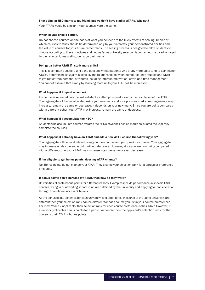#### I have similar HSC marks to my friend, but we don't have similar ATARs. Why not?

Your ATARs would be similar if your courses were the same.

#### Which course should I study?

Do not choose courses on the basis of what you believe are the likely effects of scaling. Choice of which courses to study should be determined only by your interests, your demonstrated abilities and the value of courses for your future career plans. The scaling process is designed to allow students to choose according to these principles and not, as far as university selection is concerned, be disadvantaged by their choice. It treats all students on their merits.

#### Do I get a better ATAR if I study more units?

This is a common question. While the data show that students who study more units tend to gain higher ATARs, determining causality is difficult. The relationship between number of units studied and ATAR might result from personal attributes including interest, motivation, effort and time management. You cannot assume that simply by studying more units your ATAR will be increased

#### What happens if I repeat a course?

If a course is repeated only the last satisfactory attempt is used towards the calculation of the ATAR. Your aggregate will be re-calculated using your new mark and your previous marks. Your aggregate may increase, remain the same or decrease; it depends on your new mark. Since you are being compared with a different cohort your ATAR may increase, remain the same or decrease.

#### What happens if I accumulate the HSC?

Students who accumulate courses towards their HSC have their scaled marks calculated the year they complete the courses.

#### What happens if I already have an ATAR and add a new ATAR course the following year?

Your aggregate will be recalculated using your new course and your previous courses. Your aggregate may increase or stay the same but it will not decrease. However, since you are now being compared with a different cohort your ATAR may increase, stay the same or even decrease.

#### If I'm eligible to get bonus points, does my ATAR change?

No. Bonus points do not change your ATAR. They change your selection rank for a particular preference or course.

#### If bonus points don't increase my ATAR, then how do they work?

Universities allocate bonus points for different reasons. Examples include performance in specific HSC courses, living in or attending school in an area defined by the university and applying for consideration through Educational Access Schemes.

As the bonus points schemes for each university, and often for each course at the same university, are different then your selection rank can be different for each course you list in your course preferences. For most Year 12 applicants, their selection rank for each course preference is their ATAR. However, if a university allocates bonus points for a particular course then the applicant's selection rank for that course is their ATAR + bonus points.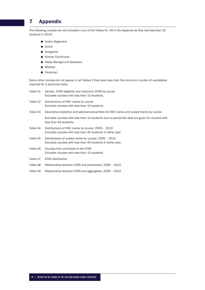# 7 Appendix

The following courses are not included in any of the Tables A1–A6 in the Appendix as they had less than 10 students in 2010:

- Arabic Beginners
- Dutch
- **Hungarian**
- Korean Continuers
- Malay Background Speakers
- **Maltese**
- **Ukrainian.**

Some other courses do not appear in all Tables if they have less than the minimum number of candidates required for a particular table.

| Table A1 | Gender, ATAR eligibility and maximum ATAR by course<br>Excludes courses with less than 10 students.                     |
|----------|-------------------------------------------------------------------------------------------------------------------------|
| Table A2 | Distributions of HSC marks by course<br>Excludes courses with less than 10 students.                                    |
| Table A3 | Descriptive statistics and selected percentiles for HSC marks and scaled marks by course                                |
|          | Excludes courses with less than 10 students and no percentile data are given for courses with<br>less than 40 students. |
| Table A4 | Distributions of HSC marks by course: 2009 - 2010<br>Excludes courses with less than 40 students in either year.        |
| Table A5 | Distributions of scaled marks by course: 2009 - 2010<br>Excludes courses with less than 40 students in either year.     |
|          |                                                                                                                         |

- Table A6 Courses that contribute to the ATAR Excludes courses with less than 10 students.
- Table A7 ATAR distribution
- Table A8 Relationship between ATAR and percentiles: 2009 2010
- Table A9 Relationship between ATAR and aggregates: 2009 2010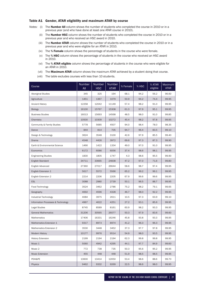# Table A1 Gender, ATAR eligibility and maximum ATAR by course

- *Notes:* (i) The Number All column shows the number of students who completed the course in 2010 or in a previous year (and who have done at least one ATAR course in 2010).
	- (ii) The **Number HSC** column shows the number of students who completed the course in 2010 or in a previous year and who received an HSC award in 2010.
	- (iii) The **Number ATAR** column shows the number of students who completed the course in 2010 or in a previous year and who were eligible for an ATAR in 2010.
	- (iv) The % Female column shows the percentage of students in the course who were female.
	- (v) The % HSC column shows the percentage of students in the course who received an HSC award in 2010.
	- (vi) The % ATAR eligible column shows the percentage of students in the course who were eligible for an ATAR in 2010.
	- (vii) The Maximum ATAR column shows the maximum ATAR achieved by a student doing that course.
	- (viii) The table excludes courses with less than 10 students.

| Course                             | Number<br>All | Number<br><b>HSC</b> | Number<br>ATAR | % Female | % HSC | % ATAR<br>eligible | Maximum<br><b>ATAR</b> |
|------------------------------------|---------------|----------------------|----------------|----------|-------|--------------------|------------------------|
| <b>Aboriginal Studies</b>          | 345           | 325                  | 194            | 68.1     | 94.2  | 56.2               | 96.60                  |
| Agriculture                        | 1451          | 1367                 | 1079           | 50.9     | 94.2  | 74.4               | 99.95                  |
| <b>Ancient History</b>             | 12258         | 12042                | 11149          | 57.4     | 98.2  | 91.0               | 99.95                  |
| <b>Biology</b>                     | 16100         | 15767                | 15308          | 61.3     | 97.9  | 95.1               | 99.95                  |
| <b>Business Studies</b>            | 16013         | 15693                | 14568          | 48.5     | 98.0  | 91.0               | 99.85                  |
| Chemistry                          | 10500         | 10309                | 10272          | 45.4     | 98.2  | 97.8               | 99.95                  |
| Community & Family Studies         | 5778          | 5685                 | 4507           | 94.0     | 98.4  | 78.0               | 98.35                  |
| Dance                              | 844           | 814                  | 705            | 94.7     | 96.4  | 83.5               | 99.10                  |
| Design & Technology                | 3624          | 3548                 | 3100           | 42.6     | 97.9  | 85.5               | 99.40                  |
| Drama                              | 4548          | 4426                 | 3972           | 69.6     | 97.3  | 87.3               | 99.90                  |
| Earth & Environmental Science      | 1466          | 1422                 | 1334           | 49.0     | 97.0  | 91.0               | 99.95                  |
| Economics                          | 6172          | 6086                 | 6056           | 37.4     | 98.6  | 98.1               | 99.95                  |
| <b>Engineering Studies</b>         | 1830          | 1805                 | 1747           | 4.3      | 98.6  | 95.5               | 99.90                  |
| <b>English Standard</b>            | 34711         | 33665                | 24838          | 47.2     | 97.0  | 71.6               | 99.80                  |
| English Advanced                   | 27360         | 27017                | 26644          | 58.6     | 98.7  | 97.4               | 99.95                  |
| English Extension 1                | 5617          | 5572                 | 5566           | 65.2     | 99.2  | 99.1               | 99.95                  |
| English Extension 2                | 2214          | 2206                 | 2205           | 67.9     | 99.6  | 99.6               | 99.95                  |
| <b>ESL</b>                         | 3088          | 2980                 | 2739           | 50.1     | 96.5  | 88.7               | 99.95                  |
| Food Technology                    | 3524          | 3462                 | 2786           | 75.2     | 98.2  | 79.1               | 99.65                  |
| Geography                          | 4692          | 4596                 | 4328           | 46.7     | 98.0  | 92.2               | 99.95                  |
| Industrial Technology              | 4084          | 3975                 | 2611           | 10.5     | 97.3  | 63.9               | 99.10                  |
| Information Processes & Technology | 4967          | 4622                 | 4251           | 27.2     | 93.1  | 85.6               | 99.95                  |
| <b>Legal Studies</b>               | 8745          | 8589                 | 8161           | 60.9     | 98.2  | 93.3               | 99.95                  |
| <b>General Mathematics</b>         | 31206         | 30565                | 26077          | 50.3     | 97.9  | 83.6               | 99.60                  |
| <b>Mathematics</b>                 | 17406         | 16331                | 16246          | 45.8     | 93.8  | 93.3               | 99.95                  |
| Mathematics Extension 1            | 9317          | 8973                 | 8974           | 41.2     | 96.3  | 96.3               | 99.95                  |
| Mathematics Extension 2            | 3530          | 3448                 | 3452           | 37.3     | 97.7  | 97.8               | 99.95                  |
| <b>Modern History</b>              | 10177         | 9976                 | 9514           | 54.9     | 98.0  | 93.5               | 99.95                  |
| <b>History Extension</b>           | 2199          | 2194                 | 2194           | 62.3     | 99.8  | 99.8               | 99.95                  |
| Music 1                            | 5060          | 4942                 | 4295           | 44.1     | 97.7  | 84.9               | 99.60                  |
| Music 2                            | 772           | 738                  | 735            | 50.3     | 95.6  | 95.2               | 99.95                  |
| <b>Music Extension</b>             | 455           | 448                  | 448            | 51.9     | 98.5  | 98.5               | 99.95                  |
| PDH&PE                             | 13600         | 13414                | 12050          | 53.4     | 98.6  | 88.6               | 99.70                  |
| Physics                            | 9462          | 9332                 | 9269           | 22.5     | 98.6  | 98.0               | 99.95                  |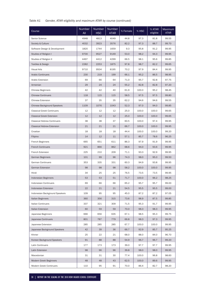# *Table A1 Gender, ATAR eligibility and maximum ATAR by course (continued)*

| Course                             | Number<br>All | <b>Number</b><br><b>HSC</b> | Number<br><b>ATAR</b> | % Female | % HSC | % ATAR<br>eligible | Maximum<br>ATAR |
|------------------------------------|---------------|-----------------------------|-----------------------|----------|-------|--------------------|-----------------|
| Senior Science                     | 4948          | 4813                        | 4049                  | 44.8     | 97.3  | 81.8               | 99.55           |
| Society & Culture                  | 4032          | 3923                        | 3576                  | 82.2     | 97.3  | 88.7               | 99.70           |
| Software Design & Development      | 1820          | 1744                        | 1659                  | 9.3      | 95.8  | 91.2               | 99.95           |
| Studies of Religion I              | 9700          | 9527                        | 9149                  | 53.0     | 98.2  | 94.3               | 99.95           |
| Studies of Religion II             | 4497          | 4412                        | 4299                  | 66.5     | 98.1  | 95.6               | 99.85           |
| <b>Textiles &amp; Design</b>       | 2282          | 2253                        | 1875                  | 97.8     | 98.7  | 82.2               | 99.65           |
| <b>Visual Arts</b>                 | 9710          | 9504                        | 8195                  | 70.2     | 97.9  | 84.4               | 99.95           |
| <b>Arabic Continuers</b>           | 230           | 219                         | 199                   | 66.1     | 95.2  | 86.5               | 98.95           |
| Arabic Extension                   | 69            | 66                          | 64                    | 71.0     | 95.7  | 92.8               | 97.75           |
| Armenian                           | 29            | 24                          | 24                    | 55.2     | 82.8  | 82.8               | 97.20           |
| <b>Chinese Beginners</b>           | 42            | 42                          | 40                    | 61.9     | 100.0 | 95.2               | 98.45           |
| <b>Chinese Continuers</b>          | 118           | 115                         | 115                   | 58.5     | 97.5  | 97.5               | 99.80           |
| <b>Chinese Extension</b>           | 37            | 35                          | 35                    | 62.2     | 94.6  | 94.6               | 99.55           |
| <b>Chinese Background Speakers</b> | 1109          | 1076                        | 1043                  | 52.3     | 97.0  | 94.0               | 99.85           |
| <b>Classical Greek Continuers</b>  | 12            | 12                          | 12                    | 25.0     | 100.0 | 100.0              | 99.65           |
| <b>Classical Greek Extension</b>   | 12            | 12                          | 12                    | 25.0     | 100.0 | 100.0              | 99.65           |
| <b>Classical Hebrew Continuers</b> | 38            | 38                          | 37                    | 60.5     | 100.0 | 97.4               | 99.95           |
| <b>Classical Hebrew Extension</b>  | 21            | 21                          | 21                    | 66.7     | 100.0 | 100.0              | 99.95           |
| Croatian                           | 18            | 18                          | 18                    | 44.4     | 100.0 | 100.0              | 99.20           |
| Filipino                           | 14            | 12                          | 11                    | 57.1     | 85.7  | 78.6               | 96.25           |
| <b>French Beginners</b>            | 665           | 651                         | 611                   | 86.3     | 97.9  | 91.9               | 99.95           |
| <b>French Continuers</b>           | 921           | 866                         | 862                   | 68.6     | 94.0  | 93.6               | 99.95           |
| French Extension                   | 225           | 210                         | 209                   | 71.1     | 93.3  | 92.9               | 99.95           |
| German Beginners                   | 101           | 99                          | 96                    | 74.3     | 98.0  | 95.0               | 99.50           |
| <b>German Continuers</b>           | 353           | 335                         | 331                   | 60.3     | 94.9  | 93.8               | 99.95           |
| <b>German Extension</b>            | 98            | 98                          | 98                    | 58.2     | 100.0 | 100.0              | 99.95           |
| Hindi                              | 34            | 25                          | 25                    | 76.5     | 73.5  | 73.5               | 99.95           |
| Indonesian Beginners               | 53            | 53                          | 51                    | 71.7     | 100.0 | 96.2               | 98.25           |
| Indonesian Continuers              | 69            | 66                          | 66                    | 65.2     | 95.7  | 95.7               | 99.00           |
| Indonesian Extension               | 22            | 21                          | 21                    | 54.5     | 95.5  | 95.5               | 99.00           |
| Indonesian Background Speakers     | 109           | 95                          | 95                    | 45.0     | 87.2  | 87.2               | 97.05           |
| Italian Beginners                  | 360           | 356                         | 315                   | 73.6     | 98.9  | 87.5               | 99.85           |
| <b>Italian Continuers</b>          | 337           | 321                         | 309                   | 71.5     | 95.3  | 91.7               | 99.95           |
| Italian Extension                  | 60            | 59                          | 59                    | 70.0     | 98.3  | 98.3               | 99.95           |
| Japanese Beginners                 | 666           | 656                         | 635                   | 67.1     | 98.5  | 95.3               | 99.75           |
| Japanese Continuers                | 801           | 787                         | 779                   | 66.8     | 98.3  | 97.3               | 99.95           |
| Japanese Extension                 | 285           | 285                         | 285                   | 67.7     | 100.0 | 100.0              | 99.95           |
| Japanese Background Speakers       | 42            | 39                          | 36                    | 66.7     | 92.9  | 85.7               | 95.25           |
| Khmer                              | 25            | 22                          | 21                    | 68.0     | 88.0  | 84.0               | 96.70           |
| Korean Background Speakers         | 91            | 88                          | 88                    | 54.9     | 96.7  | 96.7               | 99.20           |
| Latin Continuers                   | 177           | 173                         | 173                   | 39.0     | 97.7  | 97.7               | 99.95           |
| Latin Extension                    | 98            | 96                          | 96                    | 39.8     | 98.0  | 98.0               | 99.95           |
| Macedonian                         | 31            | 31                          | 30                    | 77.4     | 100.0 | 96.8               | 98.60           |
| Modern Greek Beginners             | 48            | 48                          | 43                    | 62.5     | 100.0 | 89.6               | 99.95           |
| Modern Greek Continuers            | 110           | 95                          | 91                    | 70.0     | 86.4  | 82.7               | 98.20           |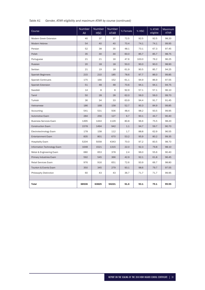# *Table A1 Gender, ATAR eligibility and maximum ATAR by course (continued)*

| Course                        | <b>Number</b><br>All | Number<br><b>HSC</b> | <b>Number</b><br><b>ATAR</b> | % Female | % HSC | % ATAR<br>eligible | Maximum<br><b>ATAR</b> |
|-------------------------------|----------------------|----------------------|------------------------------|----------|-------|--------------------|------------------------|
| <b>Modern Greek Extension</b> | 40                   | 37                   | 37                           | 72.5     | 92.5  | 92.5               | 98.20                  |
| Modern Hebrew                 | 54                   | 40                   | 40                           | 70.4     | 74.1  | 74.1               | 99.95                  |
| Persian                       | 52                   | 38                   | 35                           | 48.1     | 73.1  | 67.3               | 97.45                  |
| Polish                        | 35                   | 30                   | 30                           | 60.0     | 85.7  | 85.7               | 98.75                  |
| Portuguese                    | 21                   | 21                   | 16                           | 47.6     | 100.0 | 76.2               | 96.25                  |
| Russian                       | 20                   | 18                   | 18                           | 50.0     | 90.0  | 90.0               | 98.90                  |
| Serbian                       | 21                   | 19                   | 18                           | 61.9     | 90.5  | 85.7               | 94.25                  |
| <b>Spanish Beginners</b>      | 215                  | 210                  | 185                          | 78.6     | 97.7  | 86.0               | 99.85                  |
| <b>Spanish Continuers</b>     | 175                  | 166                  | 152                          | 61.1     | 94.9  | 86.9               | 97.55                  |
| <b>Spanish Extension</b>      | 51                   | 48                   | 48                           | 70.6     | 94.1  | 94.1               | 94.75                  |
| Swedish                       | 14                   | 8                    | 8                            | 92.9     | 57.1  | 57.1               | 96.10                  |
| Tamil                         | 50                   | 28                   | 28                           | 62.0     | 56.0  | 56.0               | 99.70                  |
| Turkish                       | 36                   | 34                   | 33                           | 63.9     | 94.4  | 91.7               | 91.45                  |
| Vietnamese                    | 186                  | 168                  | 158                          | 52.7     | 90.3  | 84.9               | 99.85                  |
| Accounting                    | 541                  | 531                  | 506                          | 48.4     | 98.2  | 93.5               | 99.95                  |
| Automotive Exam               | 284                  | 256                  | 127                          | 6.7      | 90.1  | 44.7               | 90.40                  |
| <b>Business Services Exam</b> | 1495                 | 1444                 | 1129                         | 80.8     | 96.6  | 75.5               | 98.20                  |
| <b>Construction Exam</b>      | 1578                 | 1494                 | 942                          | 1.1      | 94.7  | 59.7               | 90.70                  |
| Electrotechnology Exam        | 178                  | 158                  | 112                          | 1.7      | 88.8  | 62.9               | 96.55                  |
| <b>Entertainment Exam</b>     | 835                  | 801                  | 670                          | 53.2     | 95.9  | 80.2               | 99.35                  |
| <b>Hospitality Exam</b>       | 5204                 | 5058                 | 4343                         | 70.0     | 97.2  | 83.5               | 98.70                  |
| Information Technology Exam   | 1648                 | 1521                 | 1315                         | 22.0     | 92.3  | 79.8               | 98.10                  |
| Metal & Engineering Exam      | 680                  | 653                  | 378                          | 2.4      | 96.0  | 55.6               | 90.40                  |
| Primary Industries Exam       | 592                  | 545                  | 366                          | 42.9     | 92.1  | 61.8               | 96.45                  |
| <b>Retail Services Exam</b>   | 976                  | 916                  | 651                          | 72.6     | 93.9  | 66.7               | 98.80                  |
| Tourism & Events Exam         | 350                  | 345                  | 279                          | 93.1     | 98.6  | 79.7               | 97.55                  |
| Philosophy Distinction        | 60                   | 43                   | 43                           | 36.7     | 71.7  | 71.7               | 99.95                  |
|                               |                      |                      |                              |          |       |                    |                        |
| <b>Total</b>                  | 68536                | 63825                | 54221                        | 51.6     | 93.1  | 79.1               | 99.95                  |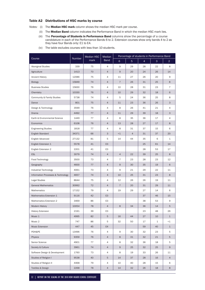## Table A2 Distributions of HSC marks by course

*Notes:* (i) The **Median HSC mark** column shows the median HSC mark per course.

- (ii) The Median Band column indicates the Performance Band in which the median HSC mark lies.
- (iii) The Percentage of Students in Performance Band columns show the percentage of a course candidature in each of the Performance Bands 6 to 2. Extension courses show only bands 4 to 2 as they have four Bands only: E1 to E4.

|                                    | Number | <b>Median HSC</b> | Median         | Percentage of students in Performance Band |                |                |              |                |
|------------------------------------|--------|-------------------|----------------|--------------------------------------------|----------------|----------------|--------------|----------------|
| Course                             |        | mark              | <b>Band</b>    | 6                                          | $\overline{5}$ | $\overline{4}$ | 3            | $\overline{2}$ |
| <b>Aboriginal Studies</b>          | 339    | 75                | $\overline{4}$ | 9                                          | 29             | 28             | 22           | 8              |
| Agriculture                        | 1413   | 70                | 4              | 9                                          | 20             | 24             | 26           | 14             |
| Ancient History                    | 12086  | 75                | 4              | 11                                         | 27             | 26             | 20           | 9              |
| <b>Biology</b>                     | 15849  | 74                | 4              | $\overline{7}$                             | 26             | 31             | 25           | 8              |
| <b>Business Studies</b>            | 15830  | 76                | 4              | 10                                         | 28             | 31             | 23           | $\overline{7}$ |
| Chemistry                          | 10330  | 76                | 4              | 10                                         | 29             | 32             | 18           | 6              |
| Community & Family Studies         | 5738   | 74                | 4              | 5                                          | 24             | 36             | 25           | 8              |
| Dance                              | 801    | 75                | 4              | 11                                         | 23             | 36             | 26           | 3              |
| Design & Technology                | 3599   | 76                | 4              | 8                                          | 26             | 41             | 21           | 4              |
| Drama                              | 4492   | 77                | 4              | 11                                         | 29             | 39             | 18           | 3              |
| Earth & Environmental Science      | 1449   | 77                | 4              | 8                                          | 35             | 36             | 17           | 4              |
| Economics                          | 6108   | 76                | 4              | 13                                         | 28             | 27             | 17           | 8              |
| <b>Engineering Studies</b>         | 1818   | 77                | 4              | 8                                          | 31             | 37             | 15           | 6              |
| <b>English Standard</b>            | 34371  | 66                | 3              | $\leq$ 1                                   | $\overline{4}$ | 31             | 37           | 20             |
| English Advanced                   | 27132  | 81                | 5              | 14                                         | 44             | 35             | 6            | $\mathbf{1}$   |
| English Extension 1                | 5578   | 41                | E <sub>3</sub> |                                            |                | 25             | 61           | 14             |
| English Extension 2                | 2201   | 41                | E3             |                                            |                | 28             | 53           | 17             |
| <b>ESL</b>                         | 3079   | 74                | 4              | 4                                          | 22             | 39             | 25           | 8              |
| Food Technology                    | 3500   | 73                | 4              | 7                                          | 23             | 28             | 23           | 12             |
| Geography                          | 4600   | 77                | 4              | 9                                          | 30             | 35             | 19           | 6              |
| Industrial Technology              | 4061   | 73                | 4              | 9                                          | 21             | 29             | 22           | 11             |
| Information Processes & Technology | 4657   | 74                | $\overline{4}$ | 10                                         | 25             | 31             | 23           | 8              |
| <b>Legal Studies</b>               | 8644   | 75                | 4              | 12                                         | 26             | 26             | 19           | 11             |
| <b>General Mathematics</b>         | 30992  | 72                | 4              | $\overline{7}$                             | 20             | 31             | 29           | 11             |
| <b>Mathematics</b>                 | 17152  | 79                | 4              | 19                                         | 29             | 27             | 14           | 6              |
| Mathematics Extension 1            | 9116   | 42                | E <sub>3</sub> |                                            |                | 37             | 46           | 15             |
| Mathematics Extension 2            | 3469   | 86                | E3             |                                            |                | 38             | 53           | 9              |
| <b>Modern History</b>              | 10054  | 78                | $\overline{4}$ | 8                                          | 34             | 36             | 14           | 5              |
| <b>History Extension</b>           | 2191   | 39                | E3             |                                            |                | 23             | 48           | 26             |
| Music 1                            | 4995   | 82                | 5              | 16                                         | 44             | 27             | 10           | $\mathbf{1}$   |
| Music 2                            | 747    | 86                | 5              | 32                                         | 50             | 17             | $\mathbf{1}$ | $\leq$ 1       |
| Music Extension                    | 447    | 45                | E4             |                                            |                | 59             | 40           | $\mathbf{1}$   |
| PDH&PE                             | 13496  | 76                | 4              | 9                                          | 30             | 32             | 23           | 5              |
| Physics                            | 9359   | 76                | $\overline{4}$ | 8                                          | 31             | 32             | 21           | $\sqrt{5}$     |
| Senior Science                     | 4901   | 77                | 4              | 8                                          | 32             | 36             | 18           | 5              |
| Society & Culture                  | 3961   | 74                | $\overline{4}$ | 9                                          | 25             | 32             | 25           | 9              |
| Software Design & Development      | 1760   | 73                | 4              | 8                                          | 19             | 33             | 26           | 11             |
| Studies of Religion I              | 9538   | 40                | 5              | 14                                         | 37             | 28             | 16           | $\overline{4}$ |
| Studies of Religion II             | 4468   | 79                | 4              | 10                                         | 40             | 28             | 15           | 6              |
| <b>Textiles &amp; Design</b>       | 2268   | 78                | 4              | 14                                         | 32             | 26             | 18           | $\bf 8$        |

(iv) The table excludes courses with less than 10 students.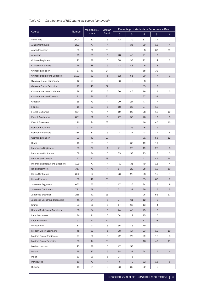# *Table A2 Distributions of HSC marks by course (continued)*

| Course                             | Number | Median HSC | Median         |                |                | Percentage of students in Performance Band |                |                |  |  |  |  |
|------------------------------------|--------|------------|----------------|----------------|----------------|--------------------------------------------|----------------|----------------|--|--|--|--|
|                                    |        | mark       | <b>Band</b>    | 6              | 5 <sup>5</sup> | $\overline{4}$                             | 3              | $\overline{2}$ |  |  |  |  |
| <b>Visual Arts</b>                 | 9600   | 80         | 5              | 12             | 39             | 37                                         | 11             | $\mathbf{1}$   |  |  |  |  |
| <b>Arabic Continuers</b>           | 223    | 77         | 4              | $\overline{4}$ | 35             | 39                                         | 18             | $\overline{4}$ |  |  |  |  |
| Arabic Extension                   | 65     | 36         | E3             |                |                | 8                                          | 63             | 29             |  |  |  |  |
| Armenian                           | 29     | 85         | 5              | 28             | 48             | 21                                         | 3              |                |  |  |  |  |
| <b>Chinese Beginners</b>           | 42     | 88         | 5              | 38             | 33             | 12                                         | 14             | 2              |  |  |  |  |
| <b>Chinese Continuers</b>          | 118    | 88         | 5              | 43             | 43             | 6                                          | 8              |                |  |  |  |  |
| <b>Chinese Extension</b>           | 37     | 46         | E4             |                |                | 68                                         | 32             |                |  |  |  |  |
| <b>Chinese Background Speakers</b> | 1102   | 82         | 5              | 12             | 51             | 29                                         | $\overline{7}$ | $\mathbf{1}$   |  |  |  |  |
| <b>Classical Greek Continuers</b>  | 12     | 93         | 6              | 83             | 8              | 8                                          |                |                |  |  |  |  |
| <b>Classical Greek Extension</b>   | 12     | 48         | E4             |                |                | 83                                         | 17             |                |  |  |  |  |
| <b>Classical Hebrew Continuers</b> | 38     | 83         | 5              | 26             | 45             | 16                                         | 11             | 3              |  |  |  |  |
| <b>Classical Hebrew Extension</b>  | 21     | 46         | E4             |                |                | 67                                         | 33             |                |  |  |  |  |
| Croatian                           | 15     | 79         | 4              | 20             | 27             | 47                                         | $\overline{7}$ |                |  |  |  |  |
| Filipino                           | 11     | 83         | 5              | 18             | 36             | 27                                         | 18             |                |  |  |  |  |
| French Beginners                   | 664    | 78         | 4              | 19             | 26             | 28                                         | 12             | 10             |  |  |  |  |
| <b>French Continuers</b>           | 881    | 82         | 5              | 27             | 33             | 26                                         | 10             | 3              |  |  |  |  |
| French Extension                   | 220    | 44         | E3             |                |                | 46                                         | 45             | 10             |  |  |  |  |
| German Beginners                   | 97     | 77         | 4              | 21             | 25             | 25                                         | 19             | $\overline{7}$ |  |  |  |  |
| <b>German Continuers</b>           | 338    | 81         | 5              | 24             | 31             | 23                                         | 17             | 5              |  |  |  |  |
| German Extension                   | 93     | 40         | E <sub>3</sub> |                |                | 31                                         | 55             | 12             |  |  |  |  |
| Hindi                              | 16     | 83         | 5              |                | 63             | 19                                         | 19             |                |  |  |  |  |
| Indonesian Beginners               | 53     | 77         | 4              | 21             | 26             | 19                                         | 26             | 8              |  |  |  |  |
| <b>Indonesian Continuers</b>       | 69     | 84         | 5              | 33             | 33             | 23                                         | 7              | 3              |  |  |  |  |
| Indonesian Extension               | 22     | 42         | E <sub>3</sub> |                |                | 41                                         | 41             | 14             |  |  |  |  |
| Indonesian Background Speakers     | 109    | 77         | 4              | $\mathbf{1}$   | 31             | 49                                         | 15             | $\overline{4}$ |  |  |  |  |
| Italian Beginners                  | 357    | 75         | 4              | 17             | 20             | 28                                         | 19             | 10             |  |  |  |  |
| <b>Italian Continuers</b>          | 320    | 80         | 5              | 23             | 28             | 28                                         | 15             | 4              |  |  |  |  |
| Italian Extension                  | 60     | 42         | E <sub>3</sub> |                |                | 33                                         | 60             | $\overline{7}$ |  |  |  |  |
| Japanese Beginners                 | 663    | 77         | 4              | 17             | 26             | 24                                         | 17             | 9              |  |  |  |  |
| Japanese Continuers                | 781    | 79         | 4              | 21             | 27             | 29                                         | 17             | 5              |  |  |  |  |
| Japanese Extension                 | 285    | 41         | E3             |                |                | 26                                         | 56             | 17             |  |  |  |  |
| Japanese Background Speakers       | 41     | 84         | 5              | 24             | 61             | 12                                         | $\overline{2}$ |                |  |  |  |  |
| Khmer                              | 23     | 86         | 5              | 17             | 65             | 13                                         | 4              |                |  |  |  |  |
| Korean Background Speakers         | 88     | 84         | 5              | 24             | 48             | 23                                         | 6              |                |  |  |  |  |
| Latin Continuers                   | 176    | 91         | 6              | 54             | 27             | 15                                         | 5              |                |  |  |  |  |
| Latin Extension                    | 97     | 47         | E4             |                |                | 77                                         | 23             |                |  |  |  |  |
| Macedonian                         | 31     | 91         | 6              | 55             | 16             | 19                                         | 10             |                |  |  |  |  |
| Modern Greek Beginners             | 48     | 80         | 5              | 38             | 17             | 23                                         | 10             | 10             |  |  |  |  |
| Modern Greek Continuers            | 97     | 80         | 5              | 22             | 29             | 29                                         | 18             | 3              |  |  |  |  |
| Modern Greek Extension             | 35     | 44         | E3             |                |                | 46                                         | 43             | 11             |  |  |  |  |
| Modern Hebrew                      | 45     | 88         | 5              | 47             | 53             |                                            |                |                |  |  |  |  |
| Persian                            | 45     | 87         | 5              | 38             | 27             | 24                                         | $\overline{7}$ | $\overline{4}$ |  |  |  |  |
| Polish                             | 33     | 96         | 6              | 94             | 6              |                                            |                |                |  |  |  |  |
| Portuguese                         | 19     | 79         | 4              | 5              | 42             | 32                                         | 16             | $\mathbf 5$    |  |  |  |  |
| Russian                            | 18     | 84         | 5              | 33             | 39             | 22                                         | 6              |                |  |  |  |  |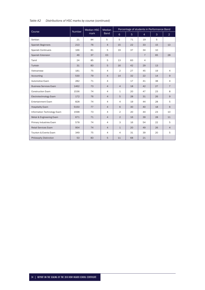# *Table A2 Distributions of HSC marks by course (continued)*

|                               | <b>Number</b> | <b>Median HSC</b> | <b>Median</b>  |                |                |                | Percentage of students in Performance Band |                |
|-------------------------------|---------------|-------------------|----------------|----------------|----------------|----------------|--------------------------------------------|----------------|
| Course                        |               | mark              | Band           | 6              | 5 <sup>5</sup> | $\overline{4}$ | $\mathbf{3}$                               | $\overline{2}$ |
| Serbian                       | 21            | 84                | 5              | 5              | 71             | 19             | 5                                          |                |
| Spanish Beginners             | 213           | 76                | $\overline{4}$ | 15             | 22             | 33             | 15                                         | 13             |
| <b>Spanish Continuers</b>     | 166           | 81                | 5              | 19             | 37             | 34             | 10                                         |                |
| Spanish Extension             | 46            | 37                | E <sub>3</sub> |                |                | $\overline{7}$ | 65                                         | 28             |
| Tamil                         | 24            | 85                | 5              | 13             | 83             | $\overline{4}$ |                                            |                |
| Turkish                       | 31            | 83                | 5              | 16             | 42             | 29             | 13                                         |                |
| Vietnamese                    | 181           | 75                | 4              | $\overline{2}$ | 27             | 45             | 19                                         | 4              |
| Accounting                    | 530           | 79                | $\overline{4}$ | 14             | 32             | 22             | 14                                         | 9              |
| Automotive Exam               | 282           | 71                | 4              |                | 17             | 41             | 38                                         | 4              |
| <b>Business Services Exam</b> | 1462          | 73                | $\overline{4}$ | $\overline{4}$ | 18             | 42             | 27                                         | $\overline{7}$ |
| <b>Construction Exam</b>      | 1536          | 74                | $\overline{4}$ | $\mathbf{1}$   | 20             | 47             | 23                                         | 8              |
| Electrotechnology Exam        | 172           | 76                | $\overline{4}$ | 5              | 28             | 31             | 26                                         | 9              |
| <b>Entertainment Exam</b>     | 828           | 74                | 4              | 4              | 19             | 44             | 28                                         | 5              |
| <b>Hospitality Exam</b>       | 5150          | 77                | $\overline{4}$ | 6              | 30             | 40             | 18                                         | 6              |
| Information Technology Exam   | 1598          | 73                | $\overline{4}$ | $\overline{2}$ | 20             | 44             | 23                                         | 10             |
| Metal & Engineering Exam      | 671           | 71                | $\overline{4}$ | 2              | 16             | 39             | 28                                         | 11             |
| Primary Industries Exam       | 578           | 74                | 4              | 3              | 16             | 54             | 22                                         | 5              |
| <b>Retail Services Exam</b>   | 954           | 74                | $\overline{4}$ | $\mathbf{1}$   | 20             | 49             | 26                                         | $\overline{4}$ |
| Tourism & Events Exam         | 349           | 75                | $\overline{4}$ | 4              | 31             | 39             | 20                                         | 5              |
| Philosophy Distinction        | 53            | 83                | 5              | 11             | 68             | 21             |                                            |                |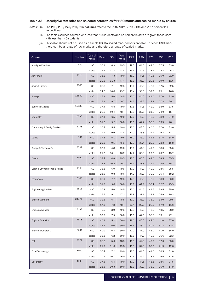## Table A3 Descriptive statistics and selected percentiles for HSC marks and scaled marks by course

- *Notes:* (i) The P99, P90, P75, P50, P25 columns refer to the 99th, 90th, 75th, 50th and 25th percentiles respectively.
	- (ii) The table excludes courses with less than 10 students and no percentile data are given for courses with less than 40 students.
	- (iii) This table should not be used as a simple HSC to scaled mark conversion table. For each HSC mark there can be a range of raw marks and therefore a range of scaled marks.

| Course                        | Number | Type of<br>mark | Mean | <b>SD</b> | Max.<br>mark | P99  | P90  | P75  | <b>P50</b> | P <sub>25</sub> |
|-------------------------------|--------|-----------------|------|-----------|--------------|------|------|------|------------|-----------------|
| <b>Aboriginal Studies</b>     | 339    | <b>HSC</b>      | 37.1 | 6.9       | 49.5         | 49.5 | 44.5 | 42.0 | 37.5       | 33.0            |
|                               |        | scaled          | 15.4 | 11.8      | 43.8         | 43.4 | 32.6 | 23.2 | 12.4       | 5.2             |
| Agriculture                   | 1413   | <b>HSC</b>      | 35.2 | 7.3       | 49.0         | 48.0 | 44.5 | 40.5 | 35.0       | 31.0            |
|                               |        | scaled          | 20.6 | 11.3      | 47.4         | 45.1 | 36.9 | 29.1 | 19.0       | 11.6            |
| <b>Ancient History</b>        | 12086  | <b>HSC</b>      | 36.8 | 7.1       | 49.5         | 48.0 | 45.0 | 42.0 | 37.5       | 32.5            |
|                               |        | scaled          | 24.7 | 10.6      | 49.7         | 45.4 | 38.6 | 32.9 | 25.1       | 16.8            |
| <b>Biology</b>                | 15849  | <b>HSC</b>      | 36.9 | 5.6       | 48.5         | 47.0 | 44.0 | 41.0 | 37.0       | 33.0            |
|                               |        | scaled          | 26.9 | 9.7       | 49.7         | 44.7 | 39.2 | 34.3 | 27.8       | 20.1            |
| <b>Business Studies</b>       | 15830  | <b>HSC</b>      | 37.4 | 5.8       | 49.0         | 47.5 | 44.5 | 42.0 | 38.0       | 33.5            |
|                               |        | scaled          | 23.6 | 10.4      | 48.4         | 43.5 | 37.5 | 31.8 | 24.0       | 15.4            |
| Chemistry                     | 10330  | <b>HSC</b>      | 37.4 | 6.5       | 49.0         | 47.0 | 45.0 | 42.0 | 38.0       | 34.0            |
|                               |        | scaled          | 31.7 | 9.2       | 50.0         | 45.9 | 42.2 | 38.8 | 33.5       | 26.1            |
| Community & Family Studies    | 5738   | <b>HSC</b>      | 36.4 | 5.5       | 49.0         | 47.0 | 43.0 | 40.5 | 37.0       | 33.0            |
|                               |        | scaled          | 19.7 | 9.9       | 43.8         | 41.0 | 33.3 | 27.2 | 19.3       | 11.7            |
| Dance                         | 801    | <b>HSC</b>      | 37.8 | 5.1       | 49.5         | 48.0 | 45.0 | 41.5 | 37.5       | 34.0            |
|                               |        | scaled          | 23.0 | 9.5       | 45.5         | 42.7 | 37.4 | 29.8 | 22.3       | 15.8            |
| Design & Technology           | 3599   | <b>HSC</b>      | 37.9 | 4.8       | 49.0         | 48.0 | 44.0 | 41.0 | 38.0       | 35.0            |
|                               |        | scaled          | 21.7 | 10.1      | 46.2         | 44.2 | 36.0 | 29.3 | 20.7       | 13.7            |
| Drama                         | 4492   | <b>HSC</b>      | 38.4 | 4.8       | 49.5         | 47.5 | 45.0 | 42.0 | 38.5       | 35.5            |
|                               |        | scaled          | 24.3 | 10.2      | 49.3         | 45.9 | 38.3 | 31.7 | 24.5       | 16.7            |
| Earth & Environmental Science | 1449   | <b>HSC</b>      | 38.3 | 5.0       | 49.5         | 47.0 | 44.0 | 42.0 | 38.5       | 35.5            |
|                               |        | scaled          | 25.0 | 9.8       | 48.6         | 44.2 | 37.3 | 32.2 | 25.4       | 18.2            |
| Economics                     | 6108   | <b>HSC</b>      | 36.9 | 7.7       | 49.5         | 47.5 | 45.5 | 42.5 | 38.0       | 33.0            |
|                               |        | scaled          | 31.0 | 9.6       | 50.0         | 45.9 | 41.9 | 38.4 | 32.7       | 25.3            |
| <b>Engineering Studies</b>    | 1818   | <b>HSC</b>      | 37.8 | 5.6       | 48.5         | 47.0 | 44.5 | 41.5 | 38.5       | 35.0            |
|                               |        | scaled          | 25.5 | 9.1       | 47.3         | 43.8 | 37.1 | 32.2 | 25.9       | 19.3            |
| <b>English Standard</b>       | 34371  | <b>HSC</b>      | 32.1 | 5.7       | 48.5         | 42.0 | 38.0 | 36.0 | 33.0       | 29.5            |
|                               |        | scaled          | 17.3 | 7.8       | 48.7         | 36.4 | 27.6 | 22.5 | 17.0       | 11.6            |
| English Advanced              | 27132  | <b>HSC</b>      | 40.5 | 3.9       | 49.5         | 47.5 | 45.5 | 43.5 | 40.5       | 38.0            |
|                               |        | scaled          | 32.5 | 7.9       | 50.0         | 46.9 | 42.5 | 38.8 | 33.1       | 27.1            |
| English Extension 1           | 5578   | <b>HSC</b>      | 40.3 | 5.2       | 50.0         | 48.0 | 46.0 | 44.0 | 41.0       | 37.0            |
|                               |        | scaled          | 36.4 | 6.0       | 50.0         | 46.4 | 43.2 | 40.7 | 37.3       | 32.8            |
| English Extension 2           | 2201   | <b>HSC</b>      | 40.0 | 6.3       | 50.0         | 50.0 | 47.0 | 45.0 | 41.0       | 36.0            |
|                               |        | scaled          | 36.3 | 6.2       | 50.0         | 48.5 | 44.2 | 40.8 | 36.6       | 32.3            |
| <b>ESL</b>                    | 3079   | <b>HSC</b>      | 36.2 | 5.6       | 48.5         | 46.5 | 42.5 | 40.0 | 37.0       | 33.0            |
|                               |        | scaled          | 21.9 | 11.6      | 49.8         | 46.1 | 37.5 | 30.7 | 21.9       | 12.6            |
| Food Technology               | 3500   | <b>HSC</b>      | 35.4 | 7.2       | 49.0         | 47.0 | 44.0 | 41.0 | 36.5       | 31.0            |
|                               |        | scaled          | 20.2 | 10.7      | 46.0         | 42.6 | 35.2 | 28.6 | 19.5       | 11.5            |
| Geography                     | 4600   | <b>HSC</b>      | 37.8 | 5.4       | 49.0         | 47.0 | 44.5 | 41.5 | 38.5       | 34.5            |
|                               |        | scaled          | 25.5 | 10.3      | 50.0         | 45.6 | 38.8 | 33.2 | 26.0       | 17.9            |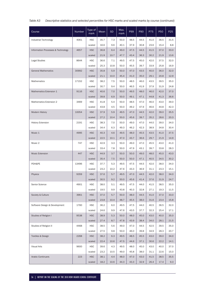| Table A3 | Descriptive statistics and selected percentiles for HSC marks and scaled marks by course (continued) |  |  |  |  |
|----------|------------------------------------------------------------------------------------------------------|--|--|--|--|
|----------|------------------------------------------------------------------------------------------------------|--|--|--|--|

| Course                             | <b>Number</b> | Type of<br>mark                | Mean                 | <b>SD</b>           | Max.<br>mark         | P99                  | <b>P90</b>           | P75                  | <b>P50</b>           | P <sub>25</sub>     |
|------------------------------------|---------------|--------------------------------|----------------------|---------------------|----------------------|----------------------|----------------------|----------------------|----------------------|---------------------|
| Industrial Technology              | 4061          | <b>HSC</b>                     | 35.7                 | 7.3                 | 50.0                 | 48.5                 | 44.5                 | 41.0                 | 36.5                 | 31.5                |
|                                    |               | scaled                         | 16.6                 | 9.6                 | 40.1                 | 37.9                 | 30.8                 | 23.6                 | 15.4                 | 8.8                 |
| Information Processes & Technology | 4657          | <b>HSC</b>                     | 36.8                 | 6.4                 | 49.0                 | 47.5                 | 44.5                 | 41.5                 | 37.0                 | 33.0                |
|                                    |               | scaled                         | 21.9                 | 10.7                | 47.7                 | 43.4                 | 36.3                 | 30.2                 | 21.9                 | 13.6                |
| <b>Legal Studies</b>               | 8644          | <b>HSC</b>                     | 36.6                 | 7.1                 | 49.5                 | 47.5                 | 45.0                 | 42.0                 | 37.5                 | 32.0                |
|                                    |               | scaled                         | 25.3                 | 10.8                | 50.0                 | 45.5                 | 39.7                 | 33.9                 | 25.8                 | 16.9                |
| <b>General Mathematics</b>         | 30992         | <b>HSC</b>                     | 35.8                 | 5.9                 | 50.0                 | 47.0                 | 43.5                 | 40.0                 | 36.0                 | 32.0                |
|                                    |               | scaled                         | 21.1                 | 10.0                | 45.4                 | 41.0                 | 35.0                 | 29.1                 | 20.8                 | 12.9                |
| Mathematics                        | 17152         | <b>HSC</b>                     | 38.2                 | 7.5                 | 50.0                 | 48.5                 | 46.0                 | 43.5                 | 39.5                 | 35.0                |
|                                    |               | scaled                         | 30.7                 | 9.4                 | 50.0                 | 46.5                 | 41.9                 | 37.9                 | 31.9                 | 24.8                |
| Mathematics Extension 1            | 9116          | <b>HSC</b>                     | 40.6                 | 7.0                 | 50.0                 | 49.5                 | 48.0                 | 46.0                 | 42.0                 | 37.0                |
|                                    |               | scaled                         | 39.8                 | 6.9                 | 50.0                 | 49.1                 | 47.1                 | 44.8                 | 41.3                 | 36.6                |
| Mathematics Extension 2            | 3469          | <b>HSC</b>                     | 41.8                 | 5.4                 | 50.0                 | 48.5                 | 47.0                 | 46.0                 | 43.0                 | 39.0                |
|                                    |               | scaled                         | 43.8                 | 4.5                 | 50.0                 | 49.2                 | 47.9                 | 46.6                 | 44.8                 | 42.3                |
| <b>Modern History</b>              | 10054         | <b>HSC</b>                     | 37.9                 | 5.9                 | 49.5                 | 47.0                 | 44.5                 | 42.0                 | 39.0                 | 35.5                |
|                                    |               | scaled                         | 27.2                 | 10.4                | 50.0                 | 45.6                 | 39.7                 | 35.2                 | 28.6                 | 20.3                |
| <b>History Extension</b>           | 2191          | <b>HSC</b>                     | 38.3                 | 7.0                 | 50.0                 | 49.0                 | 47.0                 | 44.0                 | 39.0                 | 34.0                |
|                                    |               | scaled                         | 34.4                 | 6.3                 | 49.3                 | 46.2                 | 42.3                 | 38.9                 | 34.8                 | 30.4                |
| Music 1                            | 4995          | <b>HSC</b>                     | 40.3                 | 4.6                 | 49.5                 | 48.0                 | 45.5                 | 43.5                 | 41.0                 | 37.5                |
|                                    |               | scaled                         | 22.5                 | 10.1                | 47.0                 | 43.7                 | 36.6                 | 29.7                 | 21.9                 | 14.9                |
| Music 2                            | 747           | <b>HSC</b>                     | 42.9                 | 3.3                 | 50.0                 | 49.0                 | 47.0                 | 45.5                 | 43.0                 | 41.0                |
|                                    |               | scaled                         | 33.4                 | 7.8                 | 50.0                 | 47.9                 | 43.1                 | 39.7                 | 33.8                 | 28.3                |
| <b>Music Extension</b>             | 447           | <b>HSC</b>                     | 44.9                 | 3.7                 | 50.0                 | 50.0                 | 49.0                 | 48.0                 | 45.0                 | 43.0                |
|                                    |               | scaled                         | 35.4                 | 7.5                 | 50.0                 | 50.0                 | 47.1                 | 40.5                 | 34.5                 | 30.2                |
| PDH&PE                             | 13496         | <b>HSC</b>                     | 37.7                 | 5.3                 | 49.5                 | 47.5                 | 44.5                 | 42.0                 | 38.0                 | 34.0                |
|                                    |               | scaled                         | 23.2                 | 10.2                | 47.6                 | 43.3                 | 36.9                 | 31.1                 | 23.3                 | 15.1                |
| Physics                            | 9359          | <b>HSC</b>                     | 37.6                 | 5.7                 | 49.5                 | 47.0                 | 44.5                 | 42.0                 | 38.0                 | 34.0                |
|                                    |               | scaled                         | 30.5                 | 9.2                 | 50.0                 | 45.6                 | 41.4                 | 37.6                 | 31.9                 | 24.7                |
| Senior Science                     | 4901          | <b>HSC</b>                     | 38.0                 | 5.1                 | 49.5                 | 47.5                 | 44.0                 | 41.5                 | 38.5                 | 35.0                |
|                                    |               | scaled                         | 19.5                 | 9.9                 | 43.8                 | 40.3                 | 32.8                 | 27.1                 | 19.3                 | 11.5                |
| Society & Culture                  | 3961          | <b>HSC</b>                     | 37.0                 | 5.7                 | 50.0                 | 48.0                 | 44.5                 | 41.0                 | 37.0                 | 33.0                |
|                                    |               | scaled                         | 23.8                 | 10.4                | 48.7                 | 45.5                 | 38.0                 | 31.6                 | 23.4                 | 15.8                |
| Software Design & Development      | 1760          | <b>HSC</b>                     | 36.2                 | 6.0                 | 49.5                 | 47.5                 | 44.0                 | 40.5                 | 36.5                 | 32.0                |
|                                    |               | scaled                         | 24.6                 | 9.9                 | 47.6                 | 43.5                 | 37.7                 | 32.3                 | 25.4                 | 17.1                |
| Studies of Religion I              | 9538          | <b>HSC</b>                     | 38.9                 | 5.3                 | 50.0                 | 48.0                 | 45.0                 | 43.0                 | 40.0                 | 35.0                |
|                                    |               | scaled                         | 27.4                 | 8.7                 | 47.8                 | 43.9                 | 38.4                 | 34.0                 | 28.1                 | 21.5                |
| Studies of Religion II             | 4468          | <b>HSC</b>                     | 38.5                 | 5.6                 | 49.0                 | 47.0                 | 44.5                 | 42.5                 | 39.5                 | 35.0                |
|                                    |               | scaled                         | 27.5                 | 9.8                 | 50.0                 | 46.0                 | 39.8                 | 34.9                 | 28.3                 | 20.7                |
| <b>Textiles &amp; Design</b>       | 2268          | <b>HSC</b>                     | 38.2                 | 6.3                 | 49.5                 | 48.5                 | 45.5                 | 43.0                 | 39.0                 | 34.0                |
|                                    |               | scaled                         | 22.4                 | 10.6                | 47.5                 | 44.6                 | 37.1                 | 30.6                 | 22.2                 | 14.1                |
| Visual Arts                        | 9600          | <b>HSC</b>                     | 39.6                 | 4.3                 | 49.5                 | 48.0                 | 45.0                 | 43.0                 | 40.0                 | 37.0                |
|                                    |               |                                |                      |                     |                      |                      |                      |                      |                      |                     |
|                                    |               |                                |                      |                     |                      |                      |                      |                      |                      |                     |
| <b>Arabic Continuers</b>           | 223           | scaled<br><b>HSC</b><br>scaled | 23.2<br>38.1<br>18.2 | 10.5<br>4.4<br>10.6 | 49.0<br>48.0<br>44.3 | 45.8<br>47.0<br>43.3 | 38.0<br>43.0<br>32.9 | 31.1<br>41.5<br>26.4 | 22.6<br>38.5<br>17.4 | 15.0<br>35.5<br>9.3 |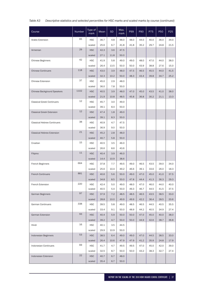| Table A3 |  |  | Descriptive statistics and selected percentiles for HSC marks and scaled marks by course (continued) |
|----------|--|--|------------------------------------------------------------------------------------------------------|
|----------|--|--|------------------------------------------------------------------------------------------------------|

| Course                             | Number | Type of<br>mark      | Mean         | <b>SD</b>  | Max.<br>mark | P99          | <b>P90</b>   | P75          | <b>P50</b>   | P <sub>25</sub> |
|------------------------------------|--------|----------------------|--------------|------------|--------------|--------------|--------------|--------------|--------------|-----------------|
| Arabic Extension                   | 65     | <b>HSC</b>           | 36.7         | 4.8        | 48.0         | 48.0         | 44.0         | 40.0         | 36.0         | 34.0            |
|                                    |        | scaled               | 25.6         | 6.7        | 41.8         | 41.8         | 35.2         | 29.7         | 24.8         | 21.5            |
| Armenian                           | 29     | <b>HSC</b>           | 42.3         | 3.6        | 47.5         |              |              |              |              |                 |
|                                    |        | scaled               | 27.1         | 11.8       | 50.0         |              |              |              |              |                 |
| <b>Chinese Beginners</b>           | 42     | <b>HSC</b>           | 41.9         | 5.8        | 49.0         | 49.0         | 48.0         | 47.0         | 44.0         | 38.0            |
|                                    |        | scaled               | 26.4         | 13.5       | 50.0         | 50.0         | 43.9         | 38.8         | 27.6         | 15.0            |
| <b>Chinese Continuers</b>          | 118    | <b>HSC</b>           | 43.0         | 3.9        | 48.0         | 47.5         | 46.5         | 45.5         | 44.0         | 41.5            |
|                                    |        | scaled               | 32.3         | 10.2       | 50.0         | 48.3         | 43.4         | 39.8         | 34.7         | 25.2            |
| <b>Chinese Extension</b>           | 37     | <b>HSC</b>           | 45.0         | 2.9        | 48.0         |              |              |              |              |                 |
|                                    |        | scaled               | 36.0         | 7.8        | 50.0         |              |              |              |              |                 |
| <b>Chinese Background Speakers</b> | 1102   | <b>HSC</b>           | 40.5         | 3.9        | 48.0         | 47.0         | 45.0         | 43.5         | 41.0         | 38.0            |
|                                    |        | scaled               | 21.9         | 10.8       | 48.5         | 45.8         | 36.8         | 30.2         | 21.1         | 13.3            |
| <b>Classical Greek Continuers</b>  | 12     | <b>HSC</b>           | 45.7         | 3.0        | 49.0         |              |              |              |              |                 |
|                                    |        | scaled               | 39.1         | 8.4        | 50.0         |              |              |              |              |                 |
| <b>Classical Greek Extension</b>   | 12     | <b>HSC</b>           | 47.4         | 1.8        | 49.0         |              |              |              |              |                 |
|                                    |        | scaled               | 39.1         | 8.3        | 50.0         |              |              |              |              |                 |
| <b>Classical Hebrew Continuers</b> | 38     | <b>HSC</b>           | 40.9         | 4.7        | 47.5         |              |              |              |              |                 |
|                                    |        | scaled               | 36.9         | 9.0        | 50.0         |              |              |              |              |                 |
| Classical Hebrew Extension         | 21     | <b>HSC</b>           | 45.2         | 2.8        | 48.0         |              |              |              |              |                 |
|                                    |        | scaled               | 40.7         | 5.8        | 50.0         |              |              |              |              |                 |
| Croatian                           | 15     | <b>HSC</b>           | 40.5         | 3.5        | 46.0         |              |              |              |              |                 |
|                                    |        | scaled               | 26.6         | 8.6        | 43.6         |              |              |              |              |                 |
| Filipino                           | 11     | <b>HSC</b>           | 40.4         | 3.9        | 46.0         |              |              |              |              |                 |
|                                    |        | scaled               | 14.4         | 10.9       | 38.6         |              |              |              |              |                 |
| French Beginners                   | 664    | <b>HSC</b>           | 37.8         | 7.7        | 49.5         | 49.0         | 46.5         | 43.5         | 39.0         | 34.0            |
|                                    |        | scaled               | 25.6         | 10.4       | 49.2         | 46.6         | 39.1         | 33.6         | 26.0         | 18.3            |
| <b>French Continuers</b>           | 881    | <b>HSC</b>           | 40.6         | 5.6        | 50.0         | 49.0         | 47.0         | 45.0         | 41.0         | 37.5            |
|                                    |        | scaled               | 34.8         | 8.5        | 50.0         | 47.8         | 44.4         | 41.3         | 36.3         | 29.3            |
| French Extension                   | 220    | <b>HSC</b>           | 42.4         | 5.0        | 49.0         | 48.0         | 47.0         | 46.0         | 44.0         | 40.0            |
|                                    | 97     | scaled               | 40.5         | 5.4        | 50.0         | 49.3         | 46.7         | 44.5         | 41.5         | 37.5            |
| German Beginners                   |        | <b>HSC</b>           | 37.9         | 7.2        | 48.5         | 48.5<br>49.9 | 46.5         | 43.5         | 38.5         | 33.0<br>20.6    |
| German Continuers                  | 338    | scaled<br><b>HSC</b> | 28.8<br>39.5 | 10.0       | 49.9<br>49.0 | 48.5         | 42.2<br>46.5 | 36.4<br>44.5 | 28.5<br>40.5 |                 |
|                                    |        | scaled               | 33.4         | 5.8<br>9.1 | 50.0         | 48.9         | 44.2         | 40.5         | 34.9         | 35.5<br>27.4    |
| German Extension                   | 93     | <b>HSC</b>           | 40.4         | 5.9        | 50.0         | 50.0         | 47.0         | 45.0         | 40.0         | 38.0            |
|                                    |        | scaled               | 39.2         | 4.7        | 50.0         | 50.0         | 44.9         | 42.6         | 38.7         | 36.8            |
| Hindi                              | 16     | <b>HSC</b>           | 40.1         | 3.5        | 44.5         |              |              |              |              |                 |
|                                    |        | scaled               | 29.9         | 10.9       | 50.0         |              |              |              |              |                 |
| Indonesian Beginners               | 53     | <b>HSC</b>           | 38.5         | 6.4        | 49.0         | 49.0         | 47.0         | 44.5         | 38.5         | 33.0            |
|                                    |        | scaled               | 26.4         | 10.6       | 47.9         | 47.9         | 41.2         | 35.9         | 24.8         | 17.9            |
| <b>Indonesian Continuers</b>       | 69     | <b>HSC</b>           | 41.7         | 4.7        | 49.5         | 49.5         | 47.0         | 45.0         | 42.0         | 39.0            |
|                                    |        | scaled               | 32.5         | 8.7        | 50.0         | 50.0         | 43.2         | 38.3         | 32.7         | 27.4            |
| Indonesian Extension               | 22     | <b>HSC</b>           | 40.7         | 6.7        | 48.0         |              |              |              |              |                 |
|                                    |        | scaled               | 35.4         | 6.7        | 50.0         |              |              |              |              |                 |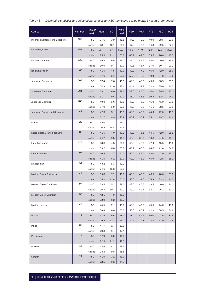| Table A3 | Descriptive statistics and selected percentiles for HSC marks and scaled marks by course (continued) |  |  |  |  |
|----------|------------------------------------------------------------------------------------------------------|--|--|--|--|
|----------|------------------------------------------------------------------------------------------------------|--|--|--|--|

| Course                         | <b>Number</b> | Type of<br>mark | Mean | <b>SD</b> | Max.<br>mark | P99  | P90  | P75  | <b>P50</b> | P <sub>25</sub> |
|--------------------------------|---------------|-----------------|------|-----------|--------------|------|------|------|------------|-----------------|
| Indonesian Background Speakers | 109           | <b>HSC</b>      | 37.6 | 3.9       | 45.5         | 44.0 | 42.0 | 40.0 | 38.5       | 36.0            |
|                                |               | scaled          | 28.1 | 10.1      | 50.0         | 47.8 | 40.9 | 34.3 | 29.5       | 22.7            |
| Italian Beginners              | 357           | <b>HSC</b>      | 36.7 | 7.9       | 50.0         | 49.5 | 47.0 | 42.0 | 37.5       | 32.0            |
|                                |               | scaled          | 25.9 | 11.1      | 50.0         | 48.2 | 42.0 | 33.5 | 26.0       | 17.2            |
| <b>Italian Continuers</b>      | 320           | <b>HSC</b>      | 39.2 | 6.5       | 49.0         | 49.0 | 46.5 | 44.0 | 40.0       | 35.5            |
|                                |               | scaled          | 30.0 | 9.7       | 50.0         | 49.1 | 41.7 | 37.0 | 30.7       | 23.2            |
| Italian Extension              | 60            | <b>HSC</b>      | 41.5 | 4.5       | 49.0         | 49.0 | 47.0 | 45.0 | 42.0       | 38.0            |
|                                |               | scaled          | 37.6 | 5.1       | 50.0         | 50.0 | 45.3 | 40.9 | 37.0       | 33.6            |
| Japanese Beginners             | 663           | <b>HSC</b>      | 37.4 | 7.6       | 49.5         | 49.0 | 46.5 | 43.0 | 38.5       | 33.5            |
|                                |               | scaled          | 24.3 | 11.0      | 47.4         | 44.1 | 38.8 | 32.9 | 25.0       | 16.5            |
| Japanese Continuers            | 781           | <b>HSC</b>      | 39.1 | 6.0       | 48.5         | 48.0 | 46.0 | 44.0 | 39.5       | 35.0            |
|                                |               | scaled          | 31.7 | 9.6       | 50.0         | 48.2 | 43.6 | 39.5 | 32.4       | 24.9            |
| Japanese Extension             | 285           | <b>HSC</b>      | 40.0 | 5.6       | 49.0         | 48.0 | 46.0 | 45.0 | 41.0       | 37.0            |
|                                |               | scaled          | 37.9 | 5.0       | 50.0         | 46.8 | 43.6 | 41.6 | 38.5       | 35.5            |
| Japanese Background Speakers   | 41            | <b>HSC</b>      | 42.3 | 3.1       | 48.5         | 48.5 | 46.0 | 44.0 | 42.0       | 40.5            |
|                                |               | scaled          | 21.7 | 9.9       | 45.9         | 45.9 | 36.1 | 25.1 | 19.7       | 14.4            |
| Khmer                          | 23            | <b>HSC</b>      | 42.0 | 3.1       | 46.0         |      |      |      |            |                 |
|                                |               | scaled          | 20.2 | 14.4      | 49.4         |      |      |      |            |                 |
| Korean Background Speakers     | 88            | <b>HSC</b>      | 41.5 | 4.0       | 49.0         | 49.0 | 46.5 | 44.5 | 42.0       | 38.5            |
|                                |               | scaled          | 24.2 | 9.5       | 46.8         | 46.8 | 36.9 | 30.8 | 24.5       | 16.4            |
| Latin Continuers               | 176           | <b>HSC</b>      | 43.8 | 4.3       | 50.0         | 49.0 | 48.0 | 47.0 | 45.5       | 41.0            |
|                                |               | scaled          | 39.2 | 6.8       | 50.0         | 48.7 | 46.5 | 44.6 | 41.4       | 34.8            |
| Latin Extension                | 97            | <b>HSC</b>      | 46.5 | 2.7       | 50.0         | 50.0 | 49.0 | 48.0 | 47.0       | 45.0            |
|                                |               | scaled          | 41.5 | 6.1       | 50.0         | 50.0 | 48.2 | 45.9 | 42.8       | 38.1            |
| Macedonian                     | 31            | <b>HSC</b>      | 43.2 | 5.3       | 49.0         |      |      |      |            |                 |
|                                |               | scaled          | 24.6 | 15.3      | 50.0         |      |      |      |            |                 |
| Modern Greek Beginners         | 48            | <b>HSC</b>      | 39.8 | 7.2       | 49.0         | 49.0 | 47.0 | 46.5 | 40.0       | 35.0            |
|                                |               | scaled          | 25.2 | 11.8      | 50.0         | 50.0 | 39.6 | 35.8 | 23.3       | 16.7            |
| Modern Greek Continuers        | 97            | <b>HSC</b>      | 39.5 | 5.1       | 48.0         | 48.0 | 46.5 | 43.5 | 40.0       | 36.0            |
|                                |               | scaled          | 26.8 | 10.7      | 49.2         | 49.2 | 42.5 | 34.7 | 26.1       | 19.0            |
| Modern Greek Extension         | 35            | <b>HSC</b>      | 42.1 | 4.9       | 48.0         |      |      |      |            |                 |
|                                |               | scaled          | 33.9 | 6.2       | 48.7         |      |      |      |            |                 |
| Modern Hebrew                  | 45            | <b>HSC</b>      | 44.5 | 2.1       | 49.0         | 49.0 | 47.5 | 45.5 | 44.0       | 43.0            |
|                                |               | scaled          | 38.8 | 6.0       | 50.0         | 50.0 | 46.2 | 42.9 | 38.5       | 34.6            |
| Persian                        | 45            | <b>HSC</b>      | 41.5 | 5.5       | 48.0         | 48.0 | 47.5 | 46.0 | 43.5       | 37.5            |
|                                |               | scaled          | 19.2 | 12.2      | 44.1         | 44.1 | 39.8 | 24.4 | 17.0       | 9.8             |
| Polish                         | 33            | <b>HSC</b>      | 47.7 | 1.7       | 50.0         |      |      |      |            |                 |
|                                |               | scaled          | 29.3 | 9.4       | 47.1         |      |      |      |            |                 |
| Portuguese                     | 19            | <b>HSC</b>      | 37.9 | 5.0       | 46.0         |      |      |      |            |                 |
|                                |               | scaled          | 22.3 | 11.2      | 49.3         |      |      |      |            |                 |
| Russian                        | 18            | <b>HSC</b>      | 42.6 | 4.1       | 49.5         |      |      |      |            |                 |
|                                |               | scaled          | 28.8 | 9.8       | 48.8         |      |      |      |            |                 |
| Serbian                        | 21            | <b>HSC</b>      | 41.0 | 3.1       | 46.0         |      |      |      |            |                 |
|                                |               | scaled          | 23.5 | 9.3       | 44.7         |      |      |      |            |                 |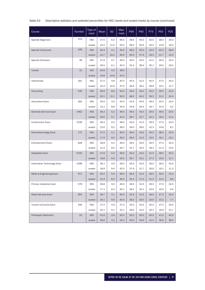| Table A3 |  |  | Descriptive statistics and selected percentiles for HSC marks and scaled marks by course (continued) |
|----------|--|--|------------------------------------------------------------------------------------------------------|
|----------|--|--|------------------------------------------------------------------------------------------------------|

| Course                        | <b>Number</b> | Type of<br>mark | Mean | <b>SD</b> | Max.<br>mark | P99  | <b>P90</b> | P75  | <b>P50</b> | P <sub>25</sub> |
|-------------------------------|---------------|-----------------|------|-----------|--------------|------|------------|------|------------|-----------------|
| Spanish Beginners             | 213           | <b>HSC</b>      | 37.5 | 6.4       | 49.5         | 48.5 | 46.0       | 42.5 | 38.0       | 34.0            |
|                               |               | scaled          | 24.2 | 11.6      | 50.0         | 48.3 | 40.6       | 33.5 | 23.6       | 16.0            |
| <b>Spanish Continuers</b>     | 166           | <b>HSC</b>      | 40.4 | 4.1       | 49.0         | 48.5 | 45.5       | 43.0 | 40.5       | 38.0            |
|                               |               | scaled          | 22.7 | 10.2      | 46.6         | 46.3 | 37.9       | 29.5 | 21.7       | 15.5            |
| Spanish Extension             | 46            | <b>HSC</b>      | 37.6 | 4.7       | 49.0         | 49.0 | 44.0       | 41.0 | 36.0       | 34.0            |
|                               |               | scaled          | 30.5 | 6.1       | 45.3         | 45.3 | 38.0       | 35.1 | 29.5       | 26.5            |
| Turkish                       | 31            | <b>HSC</b>      | 40.8 | 4.3       | 48.5         |      |            |      |            |                 |
|                               |               | scaled          | 19.8 | 10.8      | 43.3         |      |            |      |            |                 |
| Vietnamese                    | 181           | <b>HSC</b>      | 37.0 | 4.8       | 45.5         | 45.5 | 42.5       | 40.5 | 37.5       | 34.5            |
|                               |               | scaled          | 20.4 | 10.9      | 47.0         | 46.4 | 36.2       | 28.8 | 19.1       | 11.7            |
| Accounting                    | 530           | <b>HSC</b>      | 36.9 | 8.8       | 50.0         | 49.0 | 46.0       | 43.5 | 39.5       | 32.5            |
|                               |               | scaled          | 29.1 | 12.1      | 50.0         | 48.2 | 44.2       | 39.3 | 31.2       | 20.4            |
| Automotive Exam               | 282           | <b>HSC</b>      | 35.6 | 3.9       | 43.5         | 43.5 | 40.5       | 38.5 | 35.5       | 33.0            |
|                               |               | scaled          | 13.1 | 8.8       | 34.6         | 34.6 | 26.4       | 18.7 | 10.4       | 6.2             |
| <b>Business Services Exam</b> | 1462          | <b>HSC</b>      | 36.2 | 5.2       | 49.0         | 46.5 | 43.0       | 39.0 | 36.5       | 33.5            |
|                               |               | scaled          | 18.5 | 9.7       | 42.4         | 38.7 | 32.7       | 25.3 | 18.0       | 11.0            |
| <b>Construction Exam</b>      | 1536          | <b>HSC</b>      | 36.4 | 4.3       | 48.0         | 45.0 | 41.5       | 39.5 | 37.0       | 34.0            |
|                               |               | scaled          | 15.6 | 9.2       | 38.3         | 36.0 | 28.0       | 22.3 | 14.8       | 8.1             |
| Electrotechnology Exam        | 172           | <b>HSC</b>      | 37.0 | 5.1       | 46.0         | 46.0 | 43.5       | 40.5 | 38.0       | 33.0            |
|                               |               | scaled          | 17.9 | 9.0       | 39.2         | 38.4 | 31.5       | 23.5 | 18.1       | 10.1            |
| <b>Entertainment Exam</b>     | 828           | <b>HSC</b>      | 36.8 | 4.4       | 49.0         | 46.5 | 43.0       | 39.5 | 37.0       | 34.0            |
|                               |               | scaled          | 21.2 | 9.5       | 44.7         | 41.7 | 35.0       | 28.3 | 21.3       | 14.0            |
| <b>Hospitality Exam</b>       | 5150          | <b>HSC</b>      | 37.8 | 5.0       | 48.5         | 46.5 | 44.0       | 41.5 | 38.5       | 35.0            |
|                               |               | scaled          | 19.8 | 9.6       | 43.5         | 39.7 | 33.1       | 27.3 | 19.9       | 12.7            |
| Information Technology Exam   | 1598          | <b>HSC</b>      | 36.1 | 4.9       | 49.0         | 45.5 | 42.0       | 39.5 | 36.5       | 33.0            |
|                               |               | scaled          | 18.9 | 9.4       | 42.0         | 37.9 | 31.7       | 26.6 | 19.1       | 11.3            |
| Metal & Engineering Exam      | 671           | <b>HSC</b>      | 35.0 | 5.6       | 48.0         | 46.5 | 41.5       | 39.0 | 35.5       | 32.0            |
|                               |               | scaled          | 15.3 | 8.5       | 36.4         | 35.3 | 27.0       | 21.5 | 14.2       | 8.9             |
| Primary Industries Exam       | 578           | <b>HSC</b>      | 36.8 | 3.9       | 49.0         | 46.5 | 41.5       | 39.0 | 37.0       | 34.5            |
|                               |               | scaled          | 17.1 | 9.3       | 40.1         | 38.2 | 30.1       | 23.9 | 16.5       | 9.5             |
| Retail Services Exam          | 954           | <b>HSC</b>      | 36.7 | 4.1       | 46.5         | 45.0 | 41.5       | 39.0 | 37.0       | 34.0            |
|                               |               | scaled          | 16.1 | 9.9       | 40.4         | 38.3 | 30.5       | 23.0 | 15.2       | 7.7             |
| Tourism & Events Exam         | 349           | HSC             | 37.5 | 4.9       | 47.0         | 45.5 | 43.5       | 40.5 | 37.5       | 34.5            |
|                               |               | scaled          | 20.1 | 9.1       | 42.1         | 38.6 | 33.2       | 26.2 | 18.9       | 12.7            |
| Philosophy Distinction        | 53            | <b>HSC</b>      | 41.6 | 2.8       | 50.0         | 50.0 | 45.0       | 43.0 | 41.5       | 40.0            |
|                               |               | scaled          | 39.9 | 3.3       | 50.0         | 50.0 | 43.9       | 41.4 | 39.6       | 38.0            |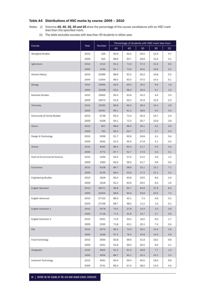# Table A4 Distributions of HSC marks by course: 2009 – 2010

*Notes:* (i) Columns **45, 40, 35, 30 and 25** show the percentage of the course candidature with an HSC mark less than the specified mark.

|  | (ii) The table excludes courses with less than 40 students in either year. |  |
|--|----------------------------------------------------------------------------|--|
|--|----------------------------------------------------------------------------|--|

|                               |      | Number | Percentage of students with HSC mark less than: |      |      |      |         |  |  |
|-------------------------------|------|--------|-------------------------------------------------|------|------|------|---------|--|--|
| Course                        | Year |        | 45                                              | 40   | 35   | 30   | 25      |  |  |
| Aboriginal Studies            | 2010 | 339    | 90.9                                            | 62.2 | 34.5 | 12.4 | 4.7     |  |  |
|                               | 2009 | 325    | 88.9                                            | 63.7 | 29.8 | 12.3 | 3.1     |  |  |
| Agriculture                   | 2010 | 1413   | 91.2                                            | 71.5 | 47.3 | 21.0 | 6.6     |  |  |
|                               | 2009 | 1249   | 91.7                                            | 72.6 | 45.0 | 16.8 | 5.5     |  |  |
| Ancient History               | 2010 | 12086  | 88.9                                            | 61.5 | 35.2 | 14.8 | 5.5     |  |  |
|                               | 2009 | 11954  | 88.3                                            | 63.0 | 37.5 | 14.3 | 5.1     |  |  |
| Biology                       | 2010 | 15849  | 92.6                                            | 66.5 | 35.0 | 9.9  | 1.6     |  |  |
|                               | 2009 | 15308  | 93.2                                            | 68.2 | 35.9 | 9.7  | 1.5     |  |  |
| <b>Business Studies</b>       | 2010 | 15830  | 90.4                                            | 62.8 | 32.2 | 9.4  | 2.0     |  |  |
|                               | 2009 | 15672  | 91.9                                            | 62.2 | 31.9 | 10.5 | 2.3     |  |  |
| Chemistry                     | 2010 | 10330  | 89.8                                            | 60.4 | 28.4 | 10.4 | 3.9     |  |  |
|                               | 2009 | 10041  | 89.1                                            | 61.2 | 28.6 | 9.4  | 3.3     |  |  |
| Community & Family Studies    | 2010 | 5738   | 95.3                                            | 71.4 | 35.3 | 10.7 | 2.4     |  |  |
|                               | 2009 | 5208   | 94.1                                            | 71.0 | 35.7 | 10.9 | 2.8     |  |  |
| Dance                         | 2010 | 801    | 88.8                                            | 66.0 | 30.1 | 4.2  | 0.9     |  |  |
|                               | 2009 | 763    | 90.3                                            | 64.7 | 27.7 | 3.7  | 0.3     |  |  |
| Design & Technology           | 2010 | 3599   | 91.7                                            | 65.8 | 24.8 | 4.1  | 0.4     |  |  |
|                               | 2009 | 3632   | 91.5                                            | 65.5 | 27.8 | 5.1  | 0.5     |  |  |
| Drama                         | 2010 | 4492   | 89.4                                            | 60.2 | 21.7 | 3.5  | 0.4     |  |  |
|                               | 2009 | 4772   | 87.7                                            | 52.7 | 17.9 | 3.3  | 0.1     |  |  |
| Earth & Environmental Science | 2010 | 1449   | 92.5                                            | 57.6 | 21.5 | 4.9  | 1.2     |  |  |
|                               | 2009 | 1393   | 92.0                                            | 59.3 | 21.7 | 4.6  | 0.6     |  |  |
| Economics                     | 2010 | 6108   | 86.7                                            | 58.6 | 32.1 | 15.1 | 7.1     |  |  |
|                               | 2009 | 6136   | 86.0                                            | 52.8 | 27.2 | 12.1 | 5.2     |  |  |
| <b>Engineering Studies</b>    | 2010 | 1818   | 92.0                                            | 60.9 | 23.5 | 8.5  | 2.4     |  |  |
|                               | 2009 | 1618   | 91.1                                            | 60.9 | 25.5 | 6.2  | $1.6\,$ |  |  |
| <b>English Standard</b>       | 2010 | 34371  | 99.8                                            | 95.7 | 64.9 | 27.8 | 8.3     |  |  |
|                               | 2009 | 32454  | 99.8                                            | 94.6 | 63.8 | 22.5 | 7.2     |  |  |
| English Advanced              | 2010 | 27132  | 86.0                                            | 42.1 | 7.3  | 0.9  | 0.1     |  |  |
|                               | 2009 | 27248  | 88.7                                            | 48.0 | 11.2 | 1.0  | 0.1     |  |  |
| English Extension 1           | 2010 | 5578   | 75.5                                            | 37.8 | 14.3 | 3.3  | 0.6     |  |  |
|                               | 2009 | 5718   | 77.5                                            | 42.9 | 15.7 | 3.7  | 0.9     |  |  |
| English Extension 2           | 2010 | 2201   | 71.9                                            | 44.2 | 18.5 | 6.0  | 1.7     |  |  |
|                               | 2009 | 2165   | 71.8                                            | 43.1 | 20.1 | 7.4  | 2.4     |  |  |
| <b>ESL</b>                    | 2010 | 3079   | 96.3                                            | 74.3 | 35.0 | 10.4 | 2.6     |  |  |
|                               | 2009 | 3248   | 97.3                                            | 78.2 | 43.8 | 14.4 | 2.9     |  |  |
| Food Technology               | 2010 | 3500   | 92.8                                            | 69.9 | 41.9 | 19.2 | 6.9     |  |  |
|                               | 2009 | 3421   | 91.8                                            | 69.4 | 30.5 | 8.4  | 2.1     |  |  |
| Geography                     | 2010 | 4600   | 91.2                                            | 61.5 | 26.8 | 7.7  | 1.3     |  |  |
|                               | 2009 | 4556   | 88.7                                            | 60.1 | 32.3 | 10.1 | 2.5     |  |  |
| Industrial Technology         | 2010 | 4061   | 90.5                                            | 69.4 | 40.5 | 18.3 | 6.8     |  |  |
|                               | 2009 | 3701   | 89.3                                            | 67.4 | 38.2 | 14.3 | 4.4     |  |  |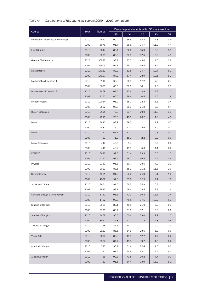# *Table A4 Distributions of HSC marks by course: 2009 – 2010 (continued)*

|                                    | Year | Number | Percentage of students with HSC mark less than: |      |      |      |     |  |  |
|------------------------------------|------|--------|-------------------------------------------------|------|------|------|-----|--|--|
| Course                             |      |        | 45                                              | 40   | 35   | 30   | 25  |  |  |
| Information Processes & Technology | 2010 | 4657   | 90.2                                            | 65.5 | 34.3 | 11.8 | 3.9 |  |  |
|                                    | 2009 | 5078   | 91.7                                            | 68.1 | 34.7 | 11.2 | 4.4 |  |  |
| <b>Legal Studies</b>               | 2010 | 8644   | 88.4                                            | 62.0 | 35.9 | 16.6 | 5.5 |  |  |
|                                    | 2009 | 8203   | 88.0                                            | 57.3 | 32.5 | 13.3 | 4.9 |  |  |
| <b>General Mathematics</b>         | 2010 | 30992  | 93.4                                            | 73.7 | 43.0 | 14.0 | 2.8 |  |  |
|                                    | 2009 | 29909  | 94.1                                            | 75.1 | 45.4 | 18.4 | 6.6 |  |  |
| <b>Mathematics</b>                 | 2010 | 17152  | 80.9                                            | 51.8 | 24.7 | 10.7 | 5.1 |  |  |
|                                    | 2009 | 17197  | 84.2                                            | 57.4 | 28.9 | 10.5 | 5.2 |  |  |
| Mathematics Extension 1            | 2010 | 9116   | 63.0                                            | 36.8 | 17.2 | 7.6  | 2.7 |  |  |
|                                    | 2009 | 8630   | 65.5                                            | 37.9 | 18.1 | 7.6  | 2.9 |  |  |
| <b>Mathematics Extension 2</b>     | 2010 | 3469   | 62.5                                            | 27.6 | 9.8  | 3.3  | 1.0 |  |  |
|                                    | 2009 | 3170   | 60.0                                            | 29.6 | 10.5 | 4.5  | 1.8 |  |  |
| Modern History                     | 2010 | 10054  | 91.9                                            | 58.1 | 22.3 | 8.6  | 3.4 |  |  |
|                                    | 2009 | 9662   | 90.8                                            | 58.9 | 21.8 | 6.3  | 1.4 |  |  |
| <b>History Extension</b>           | 2010 | 2191   | 76.8                                            | 53.4 | 29.0 | 11.3 | 3.3 |  |  |
|                                    | 2009 | 2210   | 76.6                                            | 48.9 | 26.2 | 11.8 | 4.8 |  |  |
| Music 1                            | 2010 | 4995   | 83.9                                            | 39.5 | 12.1 | 1.9  | 0.5 |  |  |
|                                    | 2009 | 4882   | 85.0                                            | 42.0 | 12.5 | 1.9  | 0.2 |  |  |
| Music 2                            | 2010 | 747    | 67.7                                            | 17.7 | 1.1  | 0.3  | 0.0 |  |  |
|                                    | 2009 | 733    | 71.9                                            | 18.3 | 2.2  | 0.3  | 0.0 |  |  |
| Music Extension                    | 2010 | 447    | 40.9                                            | 9.4  | 1.1  | 0.2  | 0.0 |  |  |
|                                    | 2009 | 440    | 48.2                                            | 19.5 | 5.0  | 1.1  | 0.2 |  |  |
| PDH&PE                             | 2010 | 13496  | 91.0                                            | 61.4 | 29.3 | 6.5  | 1.2 |  |  |
|                                    | 2009 | 12762  | 91.5                                            | 68.2 | 39.5 | 12.5 | 3.4 |  |  |
| Physics                            | 2010 | 9359   | 91.6                                            | 60.7 | 28.6 | 7.2  | 2.1 |  |  |
|                                    | 2009 | 9023   | 88.5                                            | 58.2 | 31.2 | 11.6 | 2.6 |  |  |
| Senior Science                     | 2010 | 4901   | 91.9                                            | 60.0 | 24.3 | 6.1  | 1.0 |  |  |
|                                    | 2009 | 4802   | 92.3                                            | 63.6 | 32.3 | 7.1  | 1.6 |  |  |
| Society & Culture                  | 2010 | 3961   | 91.5                                            | 66.5 | 34.9 | 10.3 | 1.7 |  |  |
|                                    | 2009 | 3925   | 93.1                                            | 58.4 | 28.5 | 9.3  | 1.4 |  |  |
| Software Design & Development      | 2010 | 1760   | 91.5                                            | 72.3 | 39.3 | 13.6 | 2.4 |  |  |
|                                    | 2009 | 1722   | 93.3                                            | 71.1 | 37.5 | 10.2 | 1.3 |  |  |
| Studies of Religion I              | 2010 | 9538   | 86.1                                            | 48.8 | 21.0 | 5.2  | 0.9 |  |  |
|                                    | 2009 | 9799   | 88.7                                            | 51.3 | 17.1 | 3.6  | 0.6 |  |  |
| Studies of Religion II             | 2010 | 4468   | 90.5                                            | 50.6 | 23.0 | 7.9  | 1.7 |  |  |
|                                    | 2009 | 3950   | 85.8                                            | 47.1 | 17.2 | 4.8  | 0.8 |  |  |
| Textiles & Design                  | 2010 | 2268   | 85.6                                            | 53.7 | 27.7 | 9.9  | 2.3 |  |  |
|                                    | 2009 | 2159   | 86.5                                            | 54.5 | 23.6 | 5.9  | 0.6 |  |  |
| <b>Visual Arts</b>                 | 2010 | 9600   | 88.3                                            | 49.3 | 12.7 | 1.7  | 0.2 |  |  |
|                                    | 2009 | 9567   | 87.7                                            | 45.9 | 9.7  | 1.3  | 0.2 |  |  |
| <b>Arabic Continuers</b>           | 2010 | 223    | 96.4                                            | 61.4 | 22.4 | 4.5  | 0.0 |  |  |
|                                    | 2009 | 211    | 97.2                                            | 64.5 | 32.7 | 9.5  | 4.3 |  |  |
| Arabic Extension                   | 2010 | 65     | 92.3                                            | 73.8 | 29.2 | 7.7  | 0.0 |  |  |
|                                    | 2009 | 59     | 91.5                                            | 64.4 | 33.9 | 16.9 | 5.1 |  |  |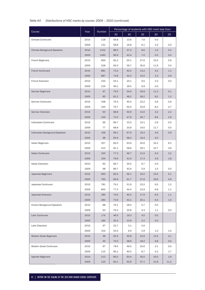# *Table A4 Distributions of HSC marks by course: 2009 – 2010 (continued)*

| Course                             | Year | Number | Percentage of students with HSC mark less than: |      |      |      |      |  |  |
|------------------------------------|------|--------|-------------------------------------------------|------|------|------|------|--|--|
|                                    |      |        | 45                                              | 40   | 35   | 30   | 25   |  |  |
| <b>Chinese Continuers</b>          | 2010 | 118    | 56.8                                            | 13.6 | 7.6  | 0.0  |      |  |  |
|                                    | 2009 | 131    | 58.8                                            | 16.8 | 6.1  | 2.3  | 0.0  |  |  |
| <b>Chinese Background Speakers</b> | 2010 | 1102   | 88.5                                            | 37.2 | 8.0  | 1.0  | 0.2  |  |  |
|                                    | 2009 | 1393   | 90.9                                            | 42.4 | 7.0  | 0.5  | 0.0  |  |  |
| French Beginners                   | 2010 | 664    | 81.2                                            | 55.1 | 27.6 | 15.5 | 5.6  |  |  |
|                                    | 2009 | 528    | 83.3                                            | 59.7 | 35.6 | 11.9 | 3.4  |  |  |
| <b>French Continuers</b>           | 2010 | 881    | 73.2                                            | 40.2 | 14.2 | 4.2  | 1.1  |  |  |
|                                    | 2009 | 887    | 73.8                                            | 44.2 | 15.0 | 3.3  | 0.9  |  |  |
| French Extension                   | 2010 | 220    | 54.1                                            | 24.1 | 9.5  | 2.3  | 0.0  |  |  |
|                                    | 2009 | 216    | 49.1                                            | 18.5 | 6.9  | 0.0  |      |  |  |
| German Beginners                   | 2010 | 97     | 79.4                                            | 54.6 | 29.9 | 11.3 | 4.1  |  |  |
|                                    | 2009 | 85     | 81.2                                            | 48.2 | 28.2 | 8.2  | 1.2  |  |  |
| German Continuers                  | 2010 | 338    | 76.3                                            | 45.0 | 22.2 | 5.6  | 0.9  |  |  |
|                                    | 2009 | 330    | 76.7                                            | 50.0 | 25.8 | 8.2  | 2.7  |  |  |
| German Extension                   | 2010 | 93     | 68.8                                            | 40.9 | 14.0 | 3.2  | 2.2  |  |  |
|                                    | 2009 | 105    | 73.3                                            | 47.6 | 26.7 | 8.6  | 2.9  |  |  |
| Indonesian Continuers              | 2010 | 69     | 66.7                                            | 33.3 | 10.1 | 2.9  | 0.0  |  |  |
|                                    | 2009 | 77     | 68.8                                            | 33.8 | 19.5 | 11.7 | 0.0  |  |  |
| Indonesian Background Speakers     | 2010 | 109    | 99.1                                            | 67.9 | 19.3 | 4.6  | 0.9  |  |  |
|                                    | 2009 | 98     | 95.9                                            | 68.4 | 19.4 | 0.0  |      |  |  |
| Italian Beginners                  | 2010 | 357    | 83.5                                            | 63.9 | 35.6 | 16.2 | 6.2  |  |  |
|                                    | 2009 | 413    | 81.1                                            | 58.8 | 29.1 | 10.7 | 3.9  |  |  |
| <b>Italian Continuers</b>          | 2010 | 320    | 77.2                                            | 49.7 | 21.6 | 6.3  | 2.2  |  |  |
|                                    | 2009 | 334    | 79.9                                            | 41.9 | 17.4 | 3.9  | 1.8  |  |  |
| Italian Extension                  | 2010 | 60     | 66.7                                            | 35.0 | 6.7  | 0.0  |      |  |  |
|                                    | 2009 | 68     | 89.7                                            | 42.6 | 5.9  | 1.5  | 0.0  |  |  |
| Japanese Beginners                 | 2010 | 663    | 82.5                                            | 56.1 | 32.0 | 14.5 | 5.1  |  |  |
|                                    | 2009 | 760    | 84.9                                            | 61.7 | 37.6 | 16.8 | 4.9  |  |  |
| Japanese Continuers                | 2010 | 781    | 79.1                                            | 51.9 | 23.2 | 6.5  | 1.2  |  |  |
|                                    | 2009 | 800    | 77.5                                            | 44.4 | 22.9 | 6.8  | 1.1  |  |  |
| Japanese Extension                 | 2010 | 285    | 74.0                                            | 40.4 | 17.9 | 6.0  | 1.1  |  |  |
|                                    | 2009 | 283    | 73.9                                            | 43.1 | 20.1 | 6.4  | 1.4  |  |  |
| Korean Background Speakers         | 2010 | 88     | 76.1                                            | 28.4 | 5.7  | 0.0  |      |  |  |
|                                    | 2009 | 93     | 76.3                                            | 25.8 | 4.3  | 1.1  | 0.0  |  |  |
| Latin Continuers                   | 2010 | 176    | 46.0                                            | 19.3 | 4.5  | 0.0  |      |  |  |
|                                    | 2009 | 184    | 35.3                                            | 10.9 | 2.2  | 0.0  |      |  |  |
| Latin Extension                    | 2010 | 97     | 22.7                                            | 3.1  | 0.0  |      |      |  |  |
|                                    | 2009 | 102    | 25.5                                            | 6.9  | 2.9  | 1.0  | 1.0  |  |  |
| Modern Greek Beginners             | 2010 | 48     | 62.5                                            | 45.8 | 22.9 | 12.5 | 2.1  |  |  |
|                                    | 2009 | 44     | 70.5                                            | 38.6 | 18.2 | 6.8  | 4.5  |  |  |
| Modern Greek Continuers            | 2010 | 97     | 78.4                                            | 49.5 | 20.6 | 3.1  | 0.0  |  |  |
|                                    | 2009 | 115    | 85.2                                            | 40.0 | 8.7  | 5.2  | 1.7  |  |  |
| <b>Spanish Beginners</b>           | 2010 | 213    | 85.0                                            | 63.4 | 30.0 | 15.0 | 1.9  |  |  |
|                                    | 2009 | 124    | 83.1                                            | 62.9 | 37.1 | 21.8 | 11.3 |  |  |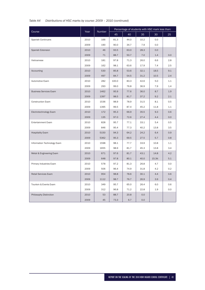# *Table A4 Distributions of HSC marks by course: 2009 – 2010 (continued)*

|                               |      |        |       |      |      | Percentage of students with HSC mark less than: |     |
|-------------------------------|------|--------|-------|------|------|-------------------------------------------------|-----|
| Course                        | Year | Number | 45    | 40   | 35   | 30                                              | 25  |
| <b>Spanish Continuers</b>     | 2010 | 166    | 81.3  | 44.0 | 10.2 | 0.0                                             |     |
|                               | 2009 | 190    | 90.0  | 34.7 | 7.9  | 0.0                                             |     |
| Spanish Extension             | 2010 | 46     | 93.5  | 63.0 | 28.3 | 0.0                                             |     |
|                               | 2009 | 71     | 88.7  | 50.7 | 7.0  | 1.4                                             | 0.0 |
| Vietnamese                    | 2010 | 181    | 97.8  | 71.3 | 26.0 | 6.6                                             | 2.8 |
|                               | 2009 | 162    | 98.1  | 63.6 | 17.9 | 7.4                                             | 2.5 |
| Accounting                    | 2010 | 530    | 85.8  | 53.6 | 32.1 | 18.5                                            | 9.1 |
|                               | 2009 | 497    | 84.7  | 54.5 | 31.2 | 10.5                                            | 2.4 |
| Automotive Exam               | 2010 | 282    | 100.0 | 83.3 | 42.6 | 5.0                                             | 1.1 |
|                               | 2009 | 293    | 99.0  | 76.8 | 36.9 | 7.9                                             | 1.4 |
| <b>Business Services Exam</b> | 2010 | 1462   | 95.9  | 77.6 | 36.0 | 8.7                                             | 1.9 |
|                               | 2009 | 1397   | 98.5  | 81.7 | 37.2 | 9.2                                             | 2.1 |
| <b>Construction Exam</b>      | 2010 | 1536   | 98.9  | 78.9 | 31.5 | 8.1                                             | 0.5 |
|                               | 2009 | 1395   | 99.5  | 87.4 | 45.2 | 11.8                                            | 1.1 |
| Electrotechnology Exam        | 2010 | 172    | 95.3  | 66.9 | 35.5 | 9.3                                             | 0.6 |
|                               | 2009 | 135    | 97.0  | 72.6 | 27.4 | 4.4                                             | 0.0 |
| <b>Entertainment Exam</b>     | 2010 | 828    | 95.7  | 77.1 | 33.1 | 5.4                                             | 0.5 |
|                               | 2009 | 846    | 95.4  | 77.3 | 40.2 | 13.8                                            | 3.5 |
| <b>Hospitality Exam</b>       | 2010 | 5150   | 94.3  | 64.2 | 24.2 | 6.4                                             | 0.9 |
|                               | 2009 | 5362   | 95.3  | 69.5 | 27.5 | 5.7                                             | 0.8 |
| Information Technology Exam   | 2010 | 1598   | 98.1  | 77.7 | 33.9 | 10.8                                            | 1.1 |
|                               | 2009 | 1655   | 98.9  | 81.7 | 45.3 | 13.8                                            | 3.4 |
| Metal & Engineering Exam      | 2010 | 671    | 97.6  | 81.7 | 43.1 | 14.8                                            | 4.2 |
|                               | 2009 | 648    | 97.8  | 80.1 | 40.0 | 15.3tt                                          | 5.1 |
| Primary Industries Exam       | 2010 | 578    | 97.2  | 81.3 | 26.8 | 4.7                                             | 0.0 |
|                               | 2009 | 506    | 96.4  | 74.9 | 31.8 | 4.2                                             | 0.2 |
| Retail Services Exam          | 2010 | 954    | 98.8  | 78.6 | 30.1 | 4.4                                             | 0.6 |
|                               | 2009 | 1112   | 98.7  | 76.7 | 26.9 | 3.9                                             | 0.4 |
| Tourism & Events Exam         | 2010 | 349    | 95.7  | 65.0 | 26.4 | 6.0                                             | 0.6 |
|                               | 2009 | 312    | 96.8  | 71.2 | 22.8 | 1.9                                             | 0.0 |
| Philosophy Distinction        | 2010 | 53     | 88.7  | 20.8 | 0.0  |                                                 |     |
|                               | 2009 | 45     | 73.3  | 6.7  | 0.0  |                                                 |     |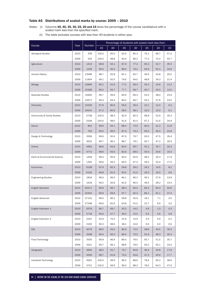# Table A5 Distributions of scaled marks by course: 2009 – 2010

*Notes:* (i) Columns 45, 40, 35, 30, 25, 20 and 15 show the percentage of the course candidature with a scaled mark less than the specified mark.

|  | (ii) The table excludes courses with less than 40 students in either year. |  |
|--|----------------------------------------------------------------------------|--|
|--|----------------------------------------------------------------------------|--|

|                               | Year | Number | Percentage of students with scaled mark less than: |      |      |      |      |      |      |  |
|-------------------------------|------|--------|----------------------------------------------------|------|------|------|------|------|------|--|
| Course                        |      |        | 45                                                 | 40   | 35   | 30   | 25   | 20   | 15   |  |
| <b>Aboriginal Studies</b>     | 2010 | 339    | 100.0                                              | 95.0 | 92.6 | 85.3 | 76.1 | 68.7 | 57.2 |  |
|                               | 2009 | 325    | 100.0                                              | 98.8 | 92.9 | 86.2 | 77.2 | 70.2 | 55.7 |  |
| Agriculture                   | 2010 | 1413   | 98.8                                               | 94.1 | 87.0 | 77.4 | 65.3 | 52.7 | 35.5 |  |
|                               | 2009 | 1249   | 99.4                                               | 95.4 | 89.0 | 79.2 | 64.9 | 50.3 | 33.6 |  |
| <b>Ancient History</b>        | 2010 | 12086  | 98.7                                               | 92.8 | 81.1 | 65.7 | 49.4 | 33.8 | 20.5 |  |
|                               | 2009 | 11954  | 99.1                                               | 92.5 | 79.6 | 64.0 | 48.8 | 34.3 | 21.4 |  |
| <b>Biology</b>                | 2010 | 15849  | 99.1                                               | 91.9 | 77.2 | 58.4 | 40.3 | 24.8 | 13.2 |  |
|                               | 2009 | 15308  | 99.2                                               | 92.7 | 77.7 | 58.7 | 40.7 | 25.5 | 13.5 |  |
| <b>Business Studies</b>       | 2010 | 15830  | 99.7                                               | 94.9 | 83.9 | 69.3 | 53.3 | 38.0 | 23.9 |  |
|                               | 2009 | 15672  | 99.3                                               | 94.4 | 84.0 | 69.7 | 54.2 | 37.6 | 23.0 |  |
| Chemistry                     | 2010 | 10330  | 97.9                                               | 80.6 | 56.6 | 36.4 | 22.1 | 12.4 | 6.3  |  |
|                               | 2009 | 10041  | 97.2                                               | 80.9 | 58.5 | 38.1 | 23.0 | 13.0 | 6.1  |  |
| Community & Family Studies    | 2010 | 5738   | 100.0                                              | 98.3 | 92.4 | 82.3 | 68.8 | 52.6 | 35.3 |  |
|                               | 2009 | 5208   | 100.0                                              | 98.0 | 91.6 | 81.4 | 67.2 | 51.6 | 34.9 |  |
| Dance                         | 2010 | 801    | 99.9                                               | 94.1 | 86.0 | 75.5 | 60.5 | 41.3 | 21.8 |  |
|                               | 2009 | 763    | 99.5                                               | 96.5 | 87.0 | 76.3 | 60.4 | 40.4 | 22.8 |  |
| Design & Technology           | 2010 | 3599   | 99.6                                               | 95.4 | 87.9 | 76.7 | 63.5 | 47.5 | 29.4 |  |
|                               | 2009 | 3632   | 99.7                                               | 96.1 | 88.7 | 78.1 | 63.7 | 47.2 | 29.4 |  |
| Drama                         | 2010 | 4492   | 98.6                                               | 92.9 | 83.5 | 69.7 | 52.1 | 34.7 | 20.2 |  |
|                               | 2009 | 4772   | 98.6                                               | 93.0 | 82.6 | 68.0 | 50.4 | 33.6 | 19.3 |  |
| Earth & Environmental Science | 2010 | 1449   | 99.4                                               | 95.6 | 83.4 | 65.9 | 48.2 | 30.3 | 17.9 |  |
|                               | 2009 | 1393   | 99.6                                               | 94.3 | 84.0 | 67.4 | 49.2 | 32.4 | 17.5 |  |
| Economics                     | 2010 | 6108   | 97.9                                               | 82.3 | 59.8 | 39.2 | 24.2 | 14.5 | 8.1  |  |
|                               | 2009 | 6136   | 96.8                                               | 81.6 | 60.5 | 41.0 | 26.3 | 16.0 | 9.6  |  |
| <b>Engineering Studies</b>    | 2010 | 1818   | 99.4                                               | 96.0 | 84.1 | 66.2 | 46.1 | 27.6 | 13.9 |  |
|                               | 2009 | 1618   | 99.2                                               | 92.6 | 81.6 | 66.5 | 46.0 | 28.2 | 13.4 |  |
| <b>English Standard</b>       | 2010 | 34371  | 99.9                                               | 99.7 | 98.4 | 94.0 | 83.4 | 64.4 | 40.6 |  |
|                               | 2009 | 32454  | 99.9                                               | 99.6 | 97.7 | 92.3 | 80.1 | 61.1 | 37.4 |  |
| English Advanced              | 2010 | 27132  | 96.5                                               | 80.2 | 58.8 | 35.9 | 18.1 | 7.1  | 2.0  |  |
|                               | 2009 | 27248  | 96.6                                               | 82.9 | 63.8 | 41.0 | 22.7 | 9.9  | 3.0  |  |
| English Extension 1           | 2010 | 5578   | 96.7                                               | 69.7 | 35.2 | 14.2 | 4.9  | 1.3  | 0.3  |  |
|                               | 2009 | 5718   | 95.6                                               | 67.7 | 36.0 | 15.0 | 6.0  | 2.6  | 0.8  |  |
| English Extension 2           | 2010 | 2201   | 92.9                                               | 70.2 | 41.6 | 14.9 | 4.0  | 0.9  | 0.2  |  |
|                               | 2009 | 2165   | 90.3                                               | 68.0 | 38.3 | 16.6 | 6.0  | 2.0  | 0.6  |  |
| <b>ESL</b>                    | 2010 | 3079   | 98.5                                               | 93.2 | 84.9 | 73.5 | 58.8 | 44.5 | 30.3 |  |
|                               | 2009 | 3248   | 99.4                                               | 95.0 | 86.4 | 76.0 | 61.9 | 48.3 | 35.3 |  |
| Food Technology               | 2010 | 3500   | 99.9                                               | 96.9 | 89.5 | 78.5 | 65.7 | 51.5 | 35.7 |  |
|                               | 2009 | 3421   | 99.7                                               | 96.1 | 88.8 | 78.5 | 65.0 | 50.1 | 33.4 |  |
| Geography                     | 2010 | 4600   | 98.5                                               | 91.7 | 79.7 | 64.8 | 46.4 | 30.8 | 17.8 |  |
|                               | 2009 | 4556   | 98.7                                               | 91.8 | 79.3 | 63.8 | 47.3 | 30.9 | 17.7 |  |
| Industrial Technology         | 2010 | 4061   | 100.0                                              | 99.9 | 96.5 | 88.6 | 78.4 | 65.2 | 48.6 |  |
|                               | 2009 | 3701   | 100.0                                              | 99.9 | 96.0 | 88.3 | 78.0 | 64.3 | 47.6 |  |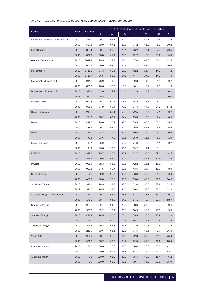# *Table A5 Distributions of scaled marks by course: 2009 – 2010 (continued)*

|                                    |      | <b>Number</b> | Percentage of students with scaled mark less than: |      |      |      |      |      |      |  |
|------------------------------------|------|---------------|----------------------------------------------------|------|------|------|------|------|------|--|
| Course                             | Year |               | 45                                                 | 40   | 35   | 30   | 25   | 20   | 15   |  |
| Information Processes & Technology | 2010 | 4657          | 99.7                                               | 96.1 | 87.2 | 74.3 | 59.1 | 44.4 | 28.5 |  |
|                                    | 2009 | 5078          | 99.9                                               | 97.1 | 89.2 | 77.2 | 61.2 | 45.3 | 30.2 |  |
| <b>Legal Studies</b>               | 2010 | 8644          | 98.7                                               | 90.5 | 78.1 | 63.2 | 47.1 | 32.5 | 20.5 |  |
|                                    | 2009 | 8203          | 98.8                                               | 91.4 | 78.8 | 62.7 | 46.0 | 31.6 | 19.5 |  |
| <b>General Mathematics</b>         | 2010 | 30992         | 99.9                                               | 98.3 | 90.0 | 77.6 | 63.0 | 47.4 | 31.5 |  |
|                                    | 2009 | 29909         | 99.9                                               | 98.0 | 90.3 | 77.8 | 63.0 | 47.2 | 30.9 |  |
| <b>Mathematics</b>                 | 2010 | 17152         | 97.3                                               | 82.6 | 62.9 | 42.2 | 25.4 | 14.3 | 7.2  |  |
|                                    | 2009 | 17197         | 96.5                                               | 83.2 | 64.6 | 44.7 | 27.3 | 14.9 | 7.4  |  |
| Mathematics Extension 1            | 2010 | 9116          | 76.9                                               | 41.9 | 19.3 | 9.3  | 4.2  | 1.8  | 0.7  |  |
|                                    | 2009 | 8630          | 70.6                                               | 37.7 | 19.3 | 10.1 | 5.2  | 2.7  | 1.3  |  |
| Mathematics Extension 2            | 2010 | 3469          | 52.6                                               | 14.1 | 4.6  | 1.8  | 0.7  | 0.4  | 0.2  |  |
|                                    | 2009 | 3170          | 39.3                                               | 10.7 | 4.2  | 1.7  | 0.5  | 0.2  | 0.0  |  |
| Modern History                     | 2010 | 10054         | 98.7                                               | 90.7 | 74.4 | 55.2 | 37.5 | 24.3 | 14.6 |  |
|                                    | 2009 | 9662          | 97.8                                               | 89.4 | 73.5 | 54.6 | 37.8 | 24.2 | 14.2 |  |
| <b>History Extension</b>           | 2010 | 2191          | 97.4                                               | 80.1 | 50.8 | 22.5 | 7.4  | 2.1  | 0.7  |  |
|                                    | 2009 | 2210          | 98.2                                               | 83.1 | 54.4 | 25.8 | 9.0  | 2.4  | 0.5  |  |
| Music 1                            | 2010 | 4995          | 99.6                                               | 95.2 | 87.0 | 75.5 | 60.6 | 43.0 | 25.5 |  |
|                                    | 2009 | 4882          | 99.3                                               | 94.9 | 87.7 | 76.6 | 61.7 | 43.5 | 25.9 |  |
| Music 2                            | 2010 | 747           | 94.2                                               | 77.2 | 54.9 | 30.5 | 15.9 | 5.1  | 0.9  |  |
|                                    | 2009 | 733           | 93.6                                               | 77.2 | 59.8 | 35.9 | 15.6 | 5.6  | 1.9  |  |
| Music Extension                    | 2010 | 447           | 85.0                                               | 73.8 | 55.0 | 24.8 | 6.9  | 1.1  | 0.2  |  |
|                                    | 2009 | 440           | 86.8                                               | 72.7 | 51.8 | 30.2 | 11.1 | 3.4  | 1.1  |  |
| PDH&PE                             | 2010 | 13496         | 99.7                                               | 95.7 | 85.9 | 71.7 | 55.4 | 39.2 | 24.5 |  |
|                                    | 2009 | 12762         | 99.6                                               | 94.9 | 84.9 | 71.3 | 55.8 | 39.6 | 23.9 |  |
| Physics                            | 2010 | 9359          | 98.3                                               | 85.3 | 63.5 | 42.2 | 26.1 | 15.1 | 7.5  |  |
|                                    | 2009 | 9023          | 97.5                                               | 82.7 | 62.8 | 43.6 | 28.4 | 16.3 | 8.0  |  |
| Senior Science                     | 2010 | 4901          | 100.0                                              | 98.7 | 93.4 | 83.8 | 68.6 | 51.9 | 36.0 |  |
|                                    | 2009 | 4802          | 100.0                                              | 98.6 | 93.6 | 83.4 | 68.9 | 52.3 | 34.5 |  |
| Society & Culture                  | 2010 | 3961          | 98.8                                               | 93.3 | 83.5 | 71.0 | 55.5 | 38.8 | 22.5 |  |
|                                    | 2009 | 3925          | 98.5                                               | 93.6 | 84.5 | 70.4 | 53.6 | 37.0 | 22.9 |  |
| Software Design & Development      | 2010 | 1760          | 99.4                                               | 94.5 | 83.8 | 67.8 | 48.7 | 34.1 | 19.1 |  |
|                                    | 2009 | 1722          | 99.4                                               | 94.8 | 84.0 | 67.1 | 48.7 | 32.7 | 18.7 |  |
| Studies of Religion I              | 2010 | 9538          | 99.7                                               | 94.3 | 78.8 | 58.8 | 37.3 | 20.9 | 9.6  |  |
|                                    | 2009 | 9799          | 99.2                                               | 93.1 | 79.1 | 60.3 | 38.7 | 20.9 | 9.0  |  |
| Studies of Religion II             | 2010 | 4468          | 98.5                                               | 90.6 | 75.4 | 55.8 | 37.4 | 22.9 | 12.9 |  |
|                                    | 2009 | 3950          | 98.1                                               | 90.0 | 74.3 | 56.1 | 37.3 | 22.5 | 11.5 |  |
| Textiles & Design                  | 2010 | 2268          | 99.2                                               | 94.8 | 85.6 | 73.9 | 59.3 | 42.8 | 27.5 |  |
|                                    | 2009 | 2159          | 99.6                                               | 95.1 | 87.0 | 74.5 | 58.5 | 42.7 | 26.0 |  |
| <b>Visual Arts</b>                 | 2010 | 9600          | 98.4                                               | 93.3 | 84.5 | 72.3 | 57.2 | 41.8 | 25.0 |  |
|                                    | 2009 | 9567          | 98.7                                               | 93.2 | 84.2 | 72.5 | 59.0 | 42.0 | 25.5 |  |
| <b>Arabic Continuers</b>           | 2010 | 223           | 100.0                                              | 97.3 | 93.3 | 84.8 | 70.0 | 58.7 | 42.2 |  |
|                                    | 2009 | 211           | 100.0                                              | 97.6 | 93.8 | 84.4 | 74.4 | 61.1 | 42.7 |  |
| Arabic Extension                   | 2010 | 65            | 100.0                                              | 96.9 | 89.2 | 75.4 | 52.3 | 15.4 | 6.2  |  |
|                                    | 2009 | 59            | 100.0                                              | 98.3 | 91.5 | 79.7 | 54.2 | 30.5 | 16.9 |  |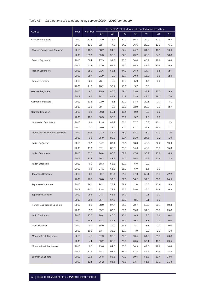# *Table A5 Distributions of scaled marks by course: 2009 – 2010 (continued)*

|                                    |      | Number | Percentage of students with scaled mark less than: |      |      |      |      |      |      |
|------------------------------------|------|--------|----------------------------------------------------|------|------|------|------|------|------|
| Course                             | Year |        | 45                                                 | 40   | 35   | 30   | 25   | 20   | 15   |
| <b>Chinese Continuers</b>          | 2010 | 118    | 94.9                                               | 75.4 | 51.7 | 36.4 | 22.9 | 11.9 | 9.3  |
|                                    | 2009 | 131    | 92.4                                               | 77.9 | 54.2 | 36.6 | 22.9 | 13.0 | 6.1  |
| <b>Chinese Background Speakers</b> | 2010 | 1102   | 98.2                                               | 94.6 | 87.4 | 74.7 | 61.5 | 46.1 | 30.6 |
|                                    | 2009 | 1393   | 99.3                                               | 95.6 | 87.9 | 79.2 | 68.5 | 54.9 | 38.8 |
| French Beginners                   | 2010 | 664    | 97.9                                               | 92.3 | 80.3 | 64.6 | 45.9 | 28.8 | 18.4 |
|                                    | 2009 | 528    | 97.9                                               | 91.5 | 79.7 | 65.2 | 47.2 | 30.5 | 15.2 |
| <b>French Continuers</b>           | 2010 | 881    | 91.6                                               | 68.1 | 44.9 | 26.3 | 14.4 | 5.8  | 2.7  |
|                                    | 2009 | 887    | 91.9                                               | 72.9 | 50.7 | 30.3 | 16.0 | 6.5  | 2.4  |
| French Extension                   | 2010 | 220    | 76.4                                               | 40.0 | 15.5 | 5.0  | 1.4  | 0.0  |      |
|                                    | 2009 | 216    | 78.2                                               | 36.1 | 13.0 | 3.7  | 0.0  |      |      |
| German Beginners                   | 2010 | 97     | 95.9                                               | 85.6 | 69.1 | 53.6 | 37.1 | 23.7 | 9.3  |
|                                    | 2009 | 85     | 94.1                                               | 81.2 | 71.8 | 52.9 | 43.5 | 28.2 | 17.6 |
| German Continuers                  | 2010 | 338    | 92.0                                               | 73.1 | 51.2 | 34.3 | 20.1 | 7.7  | 4.1  |
|                                    | 2009 | 330    | 89.4                                               | 70.6 | 50.6 | 33.9 | 20.0 | 7.9  | 2.7  |
| German Extension                   | 2010 | 93     | 90.3                                               | 59.1 | 16.1 | 2.2  | 2.2  | 0.0  |      |
|                                    | 2009 | 105    | 90.5                                               | 55.2 | 25.7 | 5.7  | 1.9  | 0.0  |      |
| <b>Indonesian Continuers</b>       | 2010 | 69     | 92.8                                               | 81.2 | 53.6 | 37.7 | 20.3 | 10.1 | 2.9  |
|                                    | 2009 | 77     | 90.9                                               | 74.0 | 61.0 | 37.7 | 24.7 | 14.3 | 11.7 |
| Indonesian Background Speakers     | 2010 | 109    | 97.2                                               | 84.4 | 78.0 | 54.1 | 33.9 | 22.0 | 11.0 |
|                                    | 2009 | 98     | 95.9                                               | 88.8 | 69.4 | 51.0 | 27.6 | 9.2  | 1.0  |
| Italian Beginners                  | 2010 | 357    | 94.7                                               | 87.4 | 80.1 | 63.0 | 48.5 | 32.2 | 19.0 |
|                                    | 2009 | 413    | 97.1                                               | 86.2 | 78.5 | 64.6 | 48.2 | 31.7 | 15.3 |
| <b>Italian Continuers</b>          | 2010 | 320    | 94.4                                               | 85.3 | 67.8 | 47.8 | 30.9 | 13.8 | 6.3  |
|                                    | 2009 | 334    | 96.7                                               | 88.6 | 74.0 | 55.4 | 32.6 | 20.4 | 7.8  |
| Italian Extension                  | 2010 | 60     | 88.3                                               | 68.3 | 31.7 | 5.0  | 0.0  |      |      |
|                                    | 2009 | 68     | 94.1                                               | 66.2 | 25.0 | 5.9  | 1.5  | 0.0  |      |
| Japanese Beginners                 | 2010 | 663    | 99.7                                               | 93.4 | 81.0 | 67.0 | 50.1 | 34.5 | 22.2 |
|                                    | 2009 | 760    | 98.8                                               | 92.6 | 82.6 | 66.2 | 52.6 | 38.7 | 24.9 |
| Japanese Continuers                | 2010 | 781    | 94.1                                               | 77.1 | 58.8 | 41.0 | 25.5 | 12.8 | 5.3  |
|                                    | 2009 | 800    | 93.8                                               | 78.1 | 57.3 | 38.0 | 26.4 | 14.8 | 6.8  |
| Japanese Extension                 | 2010 | 285    | 94.4                                               | 63.5 | 24.2 | 7.7  | 2.1  | 0.0  |      |
|                                    | 2009 | 283    | 95.4                                               | 67.5 | 30.0 | 8.5  | 2.1  | 0.0  |      |
| Korean Background Speakers         | 2010 | 88     | 98.9                                               | 97.7 | 81.8 | 72.7 | 52.3 | 30.7 | 19.3 |
|                                    | 2009 | 93     | 95.7                                               | 89.2 | 80.6 | 65.6 | 51.6 | 38.7 | 25.8 |
| Latin Continuers                   | 2010 | 176    | 78.4                                               | 46.0 | 25.6 | 8.5  | 4.5  | 0.6  | 0.0  |
|                                    | 2009 | 184    | 78.3                                               | 41.3 | 23.9 | 10.3 | 3.3  | 2.2  | 0.0  |
| Latin Extension                    | 2010 | 97     | 66.0                                               | 32.0 | 14.4 | 4.1  | 3.1  | 1.0  | 0.0  |
|                                    | 2009 | 102    | 63.7                                               | 36.3 | 13.7 | 4.9  | 3.9  | 2.0  | 1.0  |
| Modern Greek Beginners             | 2010 | 48     | 97.9                                               | 93.8 | 70.8 | 60.4 | 54.2 | 31.3 | 20.8 |
|                                    | 2009 | 44     | 93.2                                               | 88.6 | 75.0 | 70.5 | 59.1 | 40.9 | 29.5 |
| Modern Greek Continuers            | 2010 | 97     | 93.8                                               | 84.5 | 75.3 | 64.9 | 49.5 | 29.9 | 14.4 |
|                                    | 2009 | 115    | 98.3                                               | 93.9 | 86.1 | 67.8 | 49.6 | 30.4 | 14.8 |
| <b>Spanish Beginners</b>           | 2010 | 213    | 95.8                                               | 88.3 | 77.9 | 69.5 | 56.3 | 39.4 | 23.0 |
|                                    | 2009 | 124    | 95.2                                               | 85.5 | 76.6 | 63.7 | 51.6 | 33.1 | 21.8 |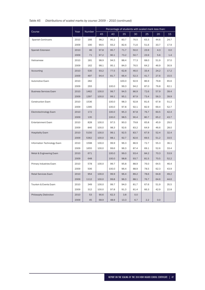# *Table A5 Distributions of scaled marks by course: 2009 – 2010 (continued)*

|                               |      |        | Percentage of students with scaled mark less than: |       |       |      |      |      |      |
|-------------------------------|------|--------|----------------------------------------------------|-------|-------|------|------|------|------|
| Course                        | Year | Number | 45                                                 | 40    | 35    | 30   | 25   | 20   | 15   |
| <b>Spanish Continuers</b>     | 2010 | 166    | 98.2                                               | 95.2  | 83.7  | 76.5 | 63.3 | 44.6 | 24.7 |
|                               | 2009 | 190    | 99.5                                               | 93.2  | 82.6  | 71.6 | 51.6 | 33.7 | 17.9 |
| Spanish Extension             | 2010 | 46     | 97.8                                               | 95.7  | 71.7  | 50.0 | 23.9 | 4.3  | 0.0  |
|                               | 2009 | 71     | 97.2                                               | 90.1  | 73.2  | 50.7 | 23.9 | 5.6  | 1.4  |
| Vietnamese                    | 2010 | 181    | 98.9                                               | 94.5  | 88.4  | 77.3 | 68.0 | 51.9 | 37.0 |
|                               | 2009 | 162    | 98.1                                               | 95.1  | 84.0  | 76.5 | 64.2 | 46.9 | 30.9 |
| Accounting                    | 2010 | 530    | 93.2                                               | 77.5  | 62.8  | 46.0 | 33.4 | 24.2 | 17.2 |
|                               | 2009 | 497    | 94.4                                               | 81.7  | 66.4  | 52.3 | 41.7 | 27.6 | 15.5 |
| Automotive Exam               | 2010 | 282    |                                                    |       | 100.0 | 92.9 | 86.9 | 79.8 | 65.6 |
|                               | 2009 | 293    |                                                    | 100.0 | 99.3  | 94.2 | 87.0 | 76.8 | 62.1 |
| <b>Business Services Exam</b> | 2010 | 1462   | 100.0                                              | 99.7  | 94.5  | 86.9 | 72.6 | 57.9 | 39.4 |
|                               | 2009 | 1397   | 100.0                                              | 99.1  | 95.1  | 87.9 | 73.4 | 56.3 | 39.9 |
| <b>Construction Exam</b>      | 2010 | 1536   |                                                    | 100.0 | 98.3  | 92.8 | 81.6 | 67.8 | 51.2 |
|                               | 2009 | 1395   |                                                    | 100.0 | 97.8  | 92.1 | 82.9 | 69.4 | 52.7 |
| Electrotechnology Exam        | 2010 | 172    |                                                    | 100.0 | 95.3  | 87.8 | 76.7 | 60.5 | 42.4 |
|                               | 2009 | 135    |                                                    | 100.0 | 98.5  | 90.4 | 80.7 | 65.2 | 43.7 |
| <b>Entertainment Exam</b>     | 2010 | 828    | 100.0                                              | 97.5  | 90.0  | 79.8 | 65.8 | 45.9 | 29.0 |
|                               | 2009 | 846    | 100.0                                              | 98.3  | 92.6  | 83.2 | 64.9 | 46.6 | 28.0 |
| <b>Hospitality Exam</b>       | 2010 | 5150   | 100.0                                              | 99.1  | 92.5  | 83.7 | 67.9 | 52.4 | 32.4 |
|                               | 2009 | 5362   | 100.0                                              | 98.1  | 92.7  | 82.6 | 69.5 | 51.2 | 33.5 |
| Information Technology Exam   | 2010 | 1598   | 100.0                                              | 99.9  | 96.3  | 86.9 | 72.7 | 55.3 | 36.1 |
|                               | 2009 | 1655   | 100.0                                              | 99.6  | 96.3  | 87.4 | 69.1 | 52.6 | 33.4 |
| Metal & Engineering Exam      | 2010 | 671    |                                                    | 100.0 | 99.0  | 93.4 | 84.2 | 70.3 | 53.9 |
|                               | 2009 | 648    |                                                    | 100.0 | 98.8  | 93.7 | 81.5 | 70.5 | 52.2 |
| Primary Industries Exam       | 2010 | 578    | 100.0                                              | 99.7  | 95.8  | 88.9 | 76.0 | 64.5 | 46.4 |
|                               | 2009 | 506    |                                                    | 100.0 | 96.4  | 88.9 | 78.5 | 62.3 | 43.9 |
| <b>Retail Services Exam</b>   | 2010 | 954    | 100.0                                              | 99.9  | 96.4  | 89.2 | 78.6 | 64.8 | 49.2 |
|                               | 2009 | 1112   | 100.0                                              | 99.8  | 96.3  | 88.1 | 76.7 | 64.6 | 44.6 |
| Tourism & Events Exam         | 2010 | 349    | 100.0                                              | 99.7  | 94.0  | 81.7 | 67.6 | 51.9 | 35.5 |
|                               | 2009 | 312    | 100.0                                              | 97.8  | 91.3  | 81.4 | 66.3 | 42.9 | 22.8 |
| Philosophy Distinction        | 2010 | 53     | 90.6                                               | 62.3  | 3.8   | 0.0  |      |      |      |
|                               | 2009 | 45     | 68.9                                               | 48.9  | 13.3  | 6.7  | 2.2  | 0.0  |      |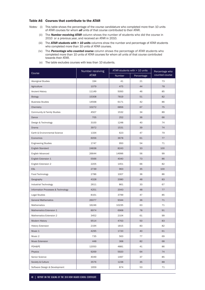## Table A6 Courses that contribute to the ATAR

- *Notes:* (i) This table shows the percentage of the course candidature who completed more than 10 units of ATAR courses for whom *all* units of that course contributed to their ATAR.
	- (ii) The *Number receiving ATAR* column shows the number of students who did the course in 2010 or a previous year, and received an ATAR in 2010.
	- (iii) The *ATAR students with > 10 units* columns show the number and percentage of ATAR students who completed more than 10 units of ATAR courses.
	- (iv) The *Percentage who counted course* column shows the percentage of ATAR students who completed more than 10 units of ATAR courses for whom all units of that course contributed towards their ATAR.
	- (v) The table excludes courses with less than 10 students.

|                                    | Number receiving |        | ATAR students with > 10 units |                |  |  |
|------------------------------------|------------------|--------|-------------------------------|----------------|--|--|
| Course                             | <b>ATAR</b>      | Number | Percentage                    | counted course |  |  |
| <b>Aboriginal Studies</b>          | 194              | 41     | 21                            | 73             |  |  |
| Agriculture                        | 1079             | 475    | 44                            | 78             |  |  |
| Ancient History                    | 11149            | 5093   | 46                            | 85             |  |  |
| <b>Biology</b>                     | 15308            | 7819   | 51                            | 82             |  |  |
| <b>Business Studies</b>            | 14568            | 6171   | 42                            | 86             |  |  |
| Chemistry                          | 10272            | 6856   | 67                            | 75             |  |  |
| Community & Family Studies         | 4507             | 1532   | 34                            | 89             |  |  |
| Dance                              | 705              | 252    | 36                            | 66             |  |  |
| Design & Technology                | 3100             | 1248   | 40                            | 74             |  |  |
| Drama                              | 3972             | 1531   | 39                            | 74             |  |  |
| Earth & Environmental Science      | 1334             | 623    | 47                            | 79             |  |  |
| Economics                          | 6056             | 3678   | 61                            | 77             |  |  |
| <b>Engineering Studies</b>         | 1747             | 950    | 54                            | 71             |  |  |
| English Standard                   | 24838            | 8243   | 33                            | 100            |  |  |
| English Advanced                   | 26644            | 14996  | 56                            | 99             |  |  |
| English Extension 1                | 5566             | 4040   | 73                            | 86             |  |  |
| English Extension 2                | 2205             | 1451   | 66                            | 82             |  |  |
| <b>ESL</b>                         | 2739             | 963    | 35                            | 100            |  |  |
| Food Technology                    | 2786             | 1007   | 36                            | 86             |  |  |
| Geography                          | 4328             | 2080   | 48                            | 83             |  |  |
| Industrial Technology              | 2611             | 861    | 33                            | 67             |  |  |
| Information Processes & Technology | 4251             | 2043   | 48                            | 77             |  |  |
| <b>Legal Studies</b>               | 8161             | 3799   | 47                            | 85             |  |  |
| <b>General Mathematics</b>         | 26077            | 9344   | 36                            | 71             |  |  |
| Mathematics                        | 16246            | 10235  | 63                            | 71             |  |  |
| Mathematics Extension 1            | 8974             | 6968   | 78                            | 91             |  |  |
| Mathematics Extension 2            | 3452             | 2104   | 61                            | 99             |  |  |
| <b>Modern History</b>              | 9514             | 4763   | 50                            | 83             |  |  |
| <b>History Extension</b>           | 2194             | 1815   | 83                            | 82             |  |  |
| Music 1                            | 4295             | 1720   | 40                            | 61             |  |  |
| Music 2                            | 735              | 563    | 77                            | 69             |  |  |
| Music Extension                    | 448              | 368    | 82                            | 68             |  |  |
| PDH&PE                             | 12050            | 4881   | 41                            | 86             |  |  |
| Physics                            | 9269             | 5920   | 64                            | 74             |  |  |
| Senior Science                     | 4049             | 1497   | 37                            | 85             |  |  |
| Society & Culture                  | 3576             | 1238   | 35                            | 88             |  |  |
| Software Design & Development      | 1659             | 874    | 53                            | 71             |  |  |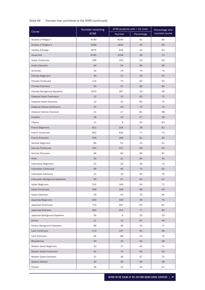# *Table A6 Courses that contribute to the ATAR (continued)*

| Course                             | Number receiving |        | ATAR students with > 10 units | Percentage who |  |
|------------------------------------|------------------|--------|-------------------------------|----------------|--|
|                                    | <b>ATAR</b>      | Number | Percentage                    | counted course |  |
| Studies of Religion I              | 9149             | 8330   | 91                            | 80             |  |
| Studies of Religion II             | 4299             | 1824   | 42                            | 83             |  |
| Textiles & Design                  | 1875             | 616    | 33                            | 82             |  |
| <b>Visual Arts</b>                 | 8195             | 3158   | 39                            | 73             |  |
| <b>Arabic Continuers</b>           | 199              | 100    | 50                            | 69             |  |
| Arabic Extension                   | 64               | 54     | 84                            | 89             |  |
| Armenian                           | 24               | 19     | 79                            | 74             |  |
| <b>Chinese Beginners</b>           | 40               | 12     | 30                            | 50             |  |
| <b>Chinese Continuers</b>          | 115              | 74     | 64                            | 61             |  |
| <b>Chinese Extension</b>           | 35               | 31     | 89                            | 84             |  |
| Chinese Background Speakers        | 1043             | 367    | 35                            | 68             |  |
| <b>Classical Greek Continuers</b>  | 12               | 10     | 83                            | 70             |  |
| <b>Classical Greek Extension</b>   | 12               | 10     | 83                            | 70             |  |
| <b>Classical Hebrew Continuers</b> | 37               | 26     | 70                            | 73             |  |
| <b>Classical Hebrew Extension</b>  | 21               | 17     | 81                            | 88             |  |
| Croatian                           | 18               | 12     | 67                            | 58             |  |
| Filipino                           | 11               | 6      | 55                            | 83             |  |
| French Beginners                   | 611              | 236    | 39                            | 81             |  |
| <b>French Continuers</b>           | 862              | 616    | 71                            | 70             |  |
| French Extension                   | 209              | 169    | 81                            | 93             |  |
| German Beginners                   | 96               | 51     | 53                            | 61             |  |
| <b>German Continuers</b>           | 331              | 227    | 69                            | 65             |  |
| German Extension                   | 98               | 84     | 86                            | 87             |  |
| Hindi                              | 25               | 21     | 84                            | 33             |  |
| Indonesian Beginners               | 51               | 20     | 39                            | 70             |  |
| <b>Indonesian Continuers</b>       | 66               | 46     | 70                            | 63             |  |
| Indonesian Extension               | 21               | 19     | 90                            | 79             |  |
| Indonesian Background Speakers     | 95               | 57     | 60                            | 47             |  |
| Italian Beginners                  | 315              | 169    | 54                            | 72             |  |
| <b>Italian Continuers</b>          | 309              | 209    | 68                            | 64             |  |
| Italian Extension                  | 59               | 44     | 75                            | 84             |  |
| Japanese Beginners                 | 635              | 229    | 36                            | 75             |  |
| Japanese Continuers                | 779              | 497    | 64                            | 61             |  |
| Japanese Extension                 | 285              | 219    | 77                            | 84             |  |
| Japanese Background Speakers       | 36               | 9      | 25                            | 33             |  |
| Khmer                              | 21               | 13     | 62                            | 46             |  |
| Korean Background Speakers         | 88               | 26     | 30                            | 77             |  |
| Latin Continuers                   | 173              | 157    | 91                            | 68             |  |
| Latin Extension                    | 96               | 88     | 92                            | 75             |  |
| Macedonian                         | 30               | 19     | 63                            | 68             |  |
| Modern Greek Beginners             | 43               | 17     | 40                            | 71             |  |
| Modern Greek Continuers            | 91               | 73     | 80                            | 55             |  |
| Modern Greek Extension             | 37               | 36     | 97                            | 75             |  |
| Modern Hebrew                      | 40               | 26     | 65                            | 58             |  |
| Persian                            | 35               | 12     | 34                            | 67             |  |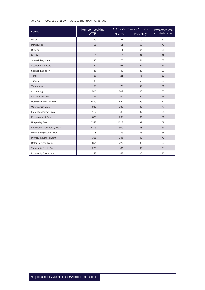# *Table A6 Courses that contribute to the ATAR (continued)*

|                               | Number receiving |        | ATAR students with > 10 units | Percentage who |  |
|-------------------------------|------------------|--------|-------------------------------|----------------|--|
| Course                        | <b>ATAR</b>      | Number | Percentage                    | counted course |  |
| Polish                        | 30               | 21     | 70                            | 62             |  |
| Portuguese                    | 16               | 11     | 69                            | 73             |  |
| Russian                       | 18               | 11     | 61                            | 55             |  |
| Serbian                       | 18               | 12     | 67                            | 92             |  |
| Spanish Beginners             | 185              | 75     | 41                            | 75             |  |
| <b>Spanish Continuers</b>     | 152              | 97     | 64                            | 63             |  |
| Spanish Extension             | 48               | 40     | 83                            | 90             |  |
| Tamil                         | 28               | 21     | 75                            | 62             |  |
| Turkish                       | 33               | 18     | 55                            | 67             |  |
| Vietnamese                    | 158              | 78     | 49                            | 72             |  |
| Accounting                    | 506              | 302    | 60                            | 67             |  |
| Automotive Exam               | 127              | 46     | 36                            | 48             |  |
| <b>Business Services Exam</b> | 1129             | 432    | 38                            | 77             |  |
| <b>Construction Exam</b>      | 942              | 333    | 35                            | 77             |  |
| Electrotechnology Exam        | 112              | 36     | 32                            | 58             |  |
| <b>Entertainment Exam</b>     | 670              | 238    | 36                            | 76             |  |
| <b>Hospitality Exam</b>       | 4343             | 1613   | 37                            | 78             |  |
| Information Technology Exam   | 1315             | 500    | 38                            | 69             |  |
| Metal & Engineering Exam      | 378              | 135    | 36                            | 64             |  |
| Primary Industries Exam       | 366              | 146    | 40                            | 79             |  |
| Retail Services Exam          | 651              | 227    | 35                            | 67             |  |
| Tourism & Events Exam         | 279              | 84     | 30                            | 71             |  |
| Philosophy Distinction        | 43               | 43     | 100                           | 37             |  |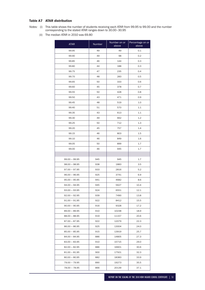# Table A7 ATAR distribution

- *Notes:* (i) This table shows the number of students receiving each ATAR from 99.95 to 99.00 and the number corresponding to the stated ATAR ranges down to 30.00–30.95
	- (ii) The median ATAR in 2010 was 69.80

| <b>ATAR</b>     | Number | Number on or<br>above | Percentage on or<br>above |
|-----------------|--------|-----------------------|---------------------------|
| 99.95           | 49     | 49                    | 0.1                       |
| 99.90           | 49     | 98                    | 0.2                       |
| 99.85           | 46     | 144                   | 0.3                       |
| 99.80           | 44     | 188                   | 0.3                       |
| 99.75           | 47     | 235                   | 0.4                       |
| 99.70           | 48     | 283                   | 0.5                       |
| 99.65           | 50     | 333                   | 0.6                       |
| 99.60           | 45     | 378                   | 0.7                       |
| 99.55           | 50     | 428                   | 0.8                       |
| 99.50           | 43     | 471                   | 0.9                       |
| 99.45           | 48     | 519                   | 1.0                       |
| 99.40           | 51     | 570                   | 1.1                       |
| 99.35           | 43     | 613                   | 1.1                       |
| 99.30           | 49     | 662                   | 1.2                       |
| 99.25           | 50     | 712                   | 1.3                       |
| 99.20           | 45     | 757                   | 1.4                       |
| 99.15           | 46     | 803                   | 1.5                       |
| 99.10           | 46     | 849                   | 1.6                       |
| 99.05           | 50     | 899                   | 1.7                       |
| 99.00           | 46     | 945                   | 1.7                       |
|                 |        |                       |                           |
| $99.00 - 99.95$ | 945    | 945                   | 1.7                       |
| $98.00 - 98.95$ | 938    | 1883                  | 3.5                       |
| $97.00 - 97.95$ | 933    | 2816                  | 5.2                       |
| $96.00 - 96.95$ | 925    | 3741                  | 6.9                       |
| $95.00 - 95.95$ | 941    | 4682                  | 8.6                       |
| $94.00 - 94.95$ | 945    | 5627                  | 10.4                      |
| $93.00 - 93.95$ | 924    | 6551                  | 12.1                      |
| $92.00 - 92.95$ | 939    | 7490                  | 13.8                      |
| $91.00 - 91.95$ | 922    | 8412                  | 15.5                      |
| $90.00 - 90.95$ | 916    | 9328                  | 17.2                      |
| $89.00 - 89.95$ | 910    | 10238                 | 18.9                      |
| $88.00 - 88.95$ | 919    | 11157                 | 20.6                      |
| $87.00 - 87.95$ | 922    | 12079                 | 22.3                      |
| $86.00 - 86.95$ | 925    | 13004                 | 24.0                      |
| $85.00 - 85.95$ | 915    | 13919                 | 25.7                      |
| $84.00 - 84.95$ | 886    | 14805                 | 27.3                      |
| $83.00 - 83.95$ | 910    | 15715                 | 29.0                      |
| $82.00 - 82.95$ | 886    | 16601                 | 30.6                      |
| $81.00 - 81.95$ | 900    | 17501                 | 32.3                      |
| $80.00 - 80.95$ | 882    | 18383                 | 33.9                      |
| 79.00 - 79.95   | 890    | 19273                 | 35.5                      |
| 78.00 - 78.95   | 866    | 20139                 | 37.1                      |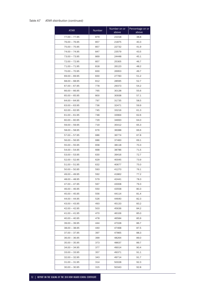# *Table A7 ATAR distribution (continued)*

| <b>ATAR</b>     | Number | Number on or<br>above | Percentage on or<br>above |
|-----------------|--------|-----------------------|---------------------------|
| $77.00 - 77.95$ | 879    | 21018                 | 38.8                      |
| $76.00 - 76.95$ | 857    | 21875                 | 40.3                      |
| $75.00 - 75.95$ | 857    | 22732                 | 41.9                      |
| $74.00 - 74.95$ | 847    | 23579                 | 43.5                      |
| $73.00 - 73.95$ | 869    | 24448                 | 45.1                      |
| 72.00 - 72.95   | 857    | 25305                 | 46.7                      |
| 71.00 - 71.95   | 818    | 26123                 | 48.2                      |
| $70.00 - 70.95$ | 830    | 26953                 | 49.7                      |
| 69.00 - 69.95   | 830    | 27783                 | 51.2                      |
| $68.00 - 68.95$ | 812    | 28595                 | 52.7                      |
| $67.00 - 67.95$ | 778    | 29373                 | 54.2                      |
| $66.00 - 66.95$ | 765    | 30138                 | 55.6                      |
| $65.00 - 65.95$ | 800    | 30938                 | 57.1                      |
| $64.00 - 64.95$ | 797    | 31735                 | 58.5                      |
| $63.00 - 63.95$ | 736    | 32471                 | 59.9                      |
| $62.00 - 62.95$ | 745    | 33216                 | 61.3                      |
| $61.00 - 61.95$ | 748    | 33964                 | 62.6                      |
| $60.00 - 60.95$ | 729    | 34693                 | 64.0                      |
| $59.00 - 59.95$ | 719    | 35412                 | 65.3                      |
| $58.00 - 58.95$ | 676    | 36088                 | 66.6                      |
| $57.00 - 57.95$ | 686    | 36774                 | 67.8                      |
| $56.00 - 56.95$ | 686    | 37460                 | 69.1                      |
| $55.00 - 55.95$ | 658    | 38118                 | 70.3                      |
| $54.00 - 54.95$ | 668    | 38786                 | 71.5                      |
| $53.00 - 53.95$ | 630    | 39416                 | 72.7                      |
| $52.00 - 52.95$ | 629    | 40045                 | 73.9                      |
| $51.00 - 51.95$ | 632    | 40677                 | 75.0                      |
| $50.00 - 50.95$ | 593    | 41270                 | 76.1                      |
| $49.00 - 49.95$ | 592    | 41862                 | 77.2                      |
| $48.00 - 48.95$ | 579    | 42441                 | 78.3                      |
| 47.00 - 47.95   | 567    | 43008                 | 79.3                      |
| $46.00 - 46.95$ | 550    | 43558                 | 80.3                      |
| $45.00 - 45.95$ | 556    | 44114                 | 81.4                      |
| 44.00 - 44.95   | 526    | 44640                 | 82.3                      |
| $43.00 - 43.95$ | 493    | 45133                 | 83.2                      |
| $42.00 - 42.95$ | 503    | 45636                 | 84.2                      |
| $41.00 - 41.95$ | 470    | 46106                 | 85.0                      |
| $40.00 - 40.95$ | 478    | 46584                 | 85.9                      |
| $39.00 - 39.95$ | 444    | 47028                 | 86.7                      |
| $38.00 - 38.95$ | 440    | 47468                 | 87.5                      |
| $37.00 - 37.95$ | 397    | 47865                 | 88.3                      |
| 36.00 - 36.95   | 399    | 48264                 | 89.0                      |
| $35.00 - 35.95$ | 373    | 48637                 | 89.7                      |
| 34.00 - 34.95   | 377    | 49014                 | 90.4                      |
| $33.00 - 33.95$ | 357    | 49371                 | 91.1                      |
| $32.00 - 32.95$ | 343    | 49714                 | 91.7                      |
| 31.00 - 31.95   | 314    | 50028                 | 92.3                      |
| $30.00 - 30.95$ | 315    | 50343                 | 92.8                      |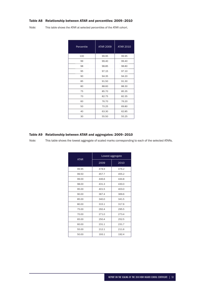# Table A8 Relationship between ATAR and percentiles: 2009–2010

*Note:* This table shows the ATAR at selected percentiles of the ATAR cohort.

| Percentile | <b>ATAR 2009</b> | <b>ATAR 2010</b> |
|------------|------------------|------------------|
| 100        | 99.95            | 99.95            |
| 99         | 99.40            | 99.40            |
| 98         | 98.85            | 98.80            |
| 95         | 97.15            | 97.10            |
| 90         | 94.35            | 94.20            |
| 85         | 91.50            | 91.30            |
| 80         | 88.60            | 88.30            |
| 75         | 85.70            | 85.35            |
| 70         | 82.75            | 82.35            |
| 60         | 76.70            | 76.20            |
| 50         | 70.25            | 69.80            |
| 40         | 63.30            | 62.85            |
| 30         | 55.50            | 55.25            |

# Table A9 Relationship between ATAR and aggregates: 2009–2010

*Note:* This table shows the lowest aggregate of scaled marks corresponding to each of the selected ATARs.

| <b>ATAR</b> | Lowest aggregate |       |  |
|-------------|------------------|-------|--|
|             | 2009             | 2010  |  |
| 99.95       | 478.9            | 476.2 |  |
| 99.50       | 457.7            | 455.2 |  |
| 99.00       | 446.6            | 444.8 |  |
| 98.00       | 431.3            | 430.0 |  |
| 95.00       | 401.5            | 403.0 |  |
| 90.00       | 367.4            | 369.6 |  |
| 85.00       | 340.0            | 341.5 |  |
| 80.00       | 315.1            | 317.6 |  |
| 75.00       | 292.4            | 295.5 |  |
| 70.00       | 271.0            | 273.4 |  |
| 65.00       | 250.4            | 252.5 |  |
| 60.00       | 231.1            | 231.7 |  |
| 55.00       | 212.1            | 211.6 |  |
| 50.00       | 193.1            | 192.4 |  |